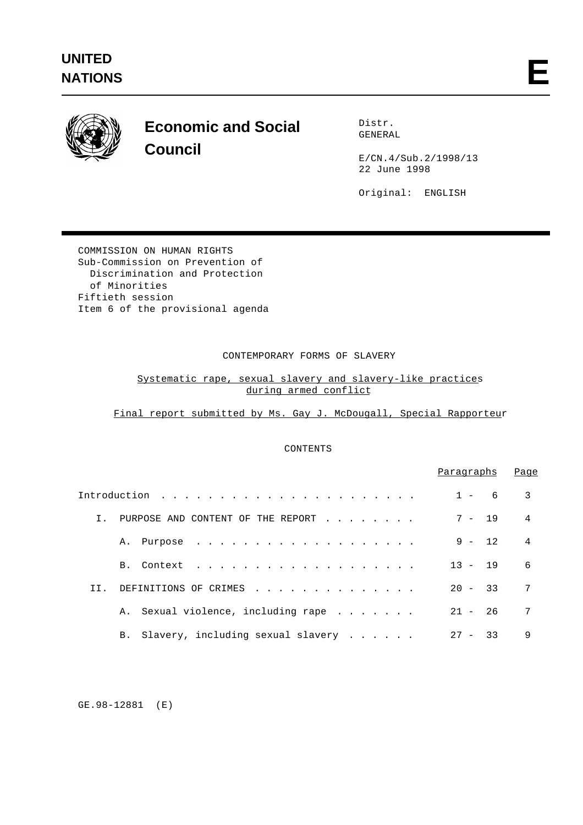

# **Economic and Social Council**

Distr. GENERAL

E/CN.4/Sub.2/1998/13 22 June 1998

Original: ENGLISH

COMMISSION ON HUMAN RIGHTS Sub-Commission on Prevention of Discrimination and Protection of Minorities Fiftieth session Item 6 of the provisional agenda

# CONTEMPORARY FORMS OF SLAVERY

Systematic rape, sexual slavery and slavery-like practices during armed conflict

Final report submitted by Ms. Gay J. McDougall, Special Rapporteur

# CONTENTS

|                                      | Paragraphs | Page |
|--------------------------------------|------------|------|
|                                      | $1 - 6$    |      |
| PURPOSE AND CONTENT OF THE REPORT    | $7 - 19$   | 4    |
|                                      | $9 - 12$   | 4    |
|                                      | $13 - 19$  | 6    |
| II. DEFINITIONS OF CRIMES            | $20 - 33$  | 7    |
| A. Sexual violence, including rape   | $21 - 26$  | 7    |
| B. Slavery, including sexual slavery | $27 - 33$  | 9    |

GE.98-12881 (E)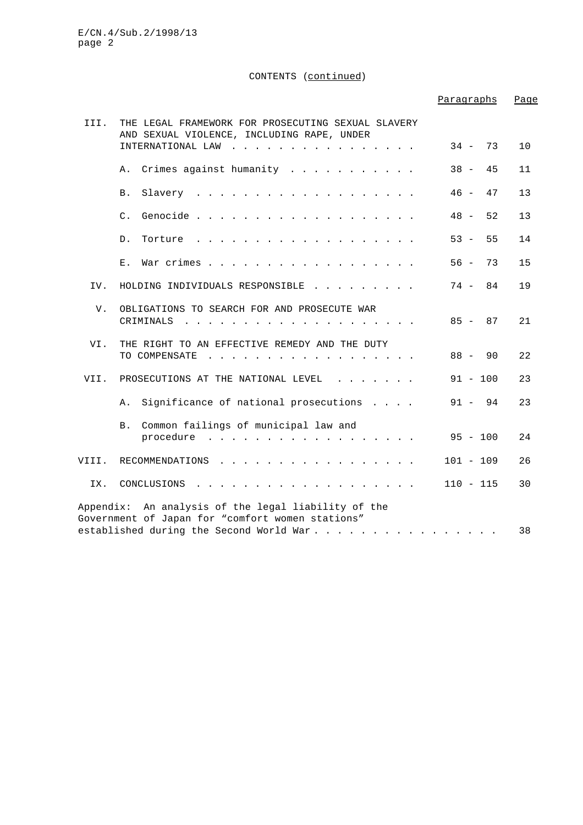# CONTENTS (continued)

|       |                                                                                                                       | Paragraphs   | Page |
|-------|-----------------------------------------------------------------------------------------------------------------------|--------------|------|
| III.  | THE LEGAL FRAMEWORK FOR PROSECUTING SEXUAL SLAVERY<br>AND SEXUAL VIOLENCE, INCLUDING RAPE, UNDER<br>INTERNATIONAL LAW | $34 -$<br>73 | 10   |
|       | Crimes against humanity<br>Α.                                                                                         | $38 -$<br>45 | 11   |
|       | <b>B</b> .                                                                                                            | $46 -$<br>47 | 13   |
|       |                                                                                                                       | $48 -$<br>52 | 13   |
|       | $D$ .                                                                                                                 | $53 -$<br>55 | 14   |
|       | War crimes<br>$E_{\rm{1}}$ .                                                                                          | $56 -$<br>73 | 15   |
| IV.   | HOLDING INDIVIDUALS RESPONSIBLE                                                                                       | $74 -$<br>84 | 19   |
| V.    | OBLIGATIONS TO SEARCH FOR AND PROSECUTE WAR                                                                           | $85 - 87$    | 21   |
| VI.   | THE RIGHT TO AN EFFECTIVE REMEDY AND THE DUTY<br>TO COMPENSATE                                                        | $88 -$<br>90 | 22   |
| VII.  | PROSECUTIONS AT THE NATIONAL LEVEL                                                                                    | $91 - 100$   | 23   |
|       | Significance of national prosecutions<br>Α.                                                                           | $91 - 94$    | 23   |
|       | B. Common failings of municipal law and<br>procedure                                                                  | $95 - 100$   | 24   |
| VIII. | RECOMMENDATIONS                                                                                                       | $101 - 109$  | 26   |
| IX.   |                                                                                                                       | $110 - 115$  | 30   |
|       | Appendix: An analysis of the legal liability of the<br>Government of Japan for "comfort women stations"               |              | 38   |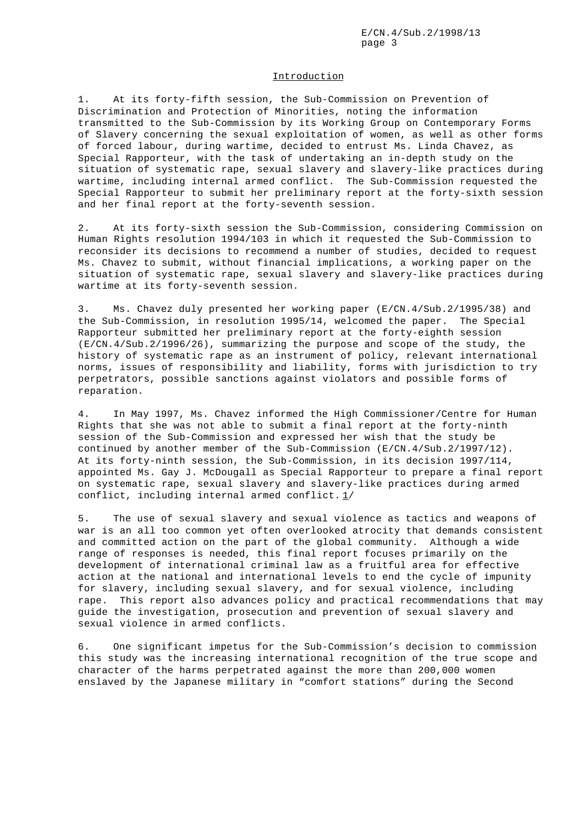#### Introduction

1. At its forty-fifth session, the Sub-Commission on Prevention of Discrimination and Protection of Minorities, noting the information transmitted to the Sub-Commission by its Working Group on Contemporary Forms of Slavery concerning the sexual exploitation of women, as well as other forms of forced labour, during wartime, decided to entrust Ms. Linda Chavez, as Special Rapporteur, with the task of undertaking an in-depth study on the situation of systematic rape, sexual slavery and slavery-like practices during wartime, including internal armed conflict. The Sub-Commission requested the Special Rapporteur to submit her preliminary report at the forty-sixth session and her final report at the forty-seventh session.

2. At its forty-sixth session the Sub-Commission, considering Commission on Human Rights resolution 1994/103 in which it requested the Sub-Commission to reconsider its decisions to recommend a number of studies, decided to request Ms. Chavez to submit, without financial implications, a working paper on the situation of systematic rape, sexual slavery and slavery-like practices during wartime at its forty-seventh session.

3. Ms. Chavez duly presented her working paper (E/CN.4/Sub.2/1995/38) and the Sub-Commission, in resolution 1995/14, welcomed the paper. The Special Rapporteur submitted her preliminary report at the forty-eighth session (E/CN.4/Sub.2/1996/26), summarizing the purpose and scope of the study, the history of systematic rape as an instrument of policy, relevant international norms, issues of responsibility and liability, forms with jurisdiction to try perpetrators, possible sanctions against violators and possible forms of reparation.

4. In May 1997, Ms. Chavez informed the High Commissioner/Centre for Human Rights that she was not able to submit a final report at the forty-ninth session of the Sub-Commission and expressed her wish that the study be continued by another member of the Sub-Commission (E/CN.4/Sub.2/1997/12). At its forty-ninth session, the Sub-Commission, in its decision 1997/114, appointed Ms. Gay J. McDougall as Special Rapporteur to prepare a final report on systematic rape, sexual slavery and slavery-like practices during armed conflict, including internal armed conflict.  $1/$ 

5. The use of sexual slavery and sexual violence as tactics and weapons of war is an all too common yet often overlooked atrocity that demands consistent and committed action on the part of the global community. Although a wide range of responses is needed, this final report focuses primarily on the development of international criminal law as a fruitful area for effective action at the national and international levels to end the cycle of impunity for slavery, including sexual slavery, and for sexual violence, including rape. This report also advances policy and practical recommendations that may guide the investigation, prosecution and prevention of sexual slavery and sexual violence in armed conflicts.

6. One significant impetus for the Sub-Commission's decision to commission this study was the increasing international recognition of the true scope and character of the harms perpetrated against the more than 200,000 women enslaved by the Japanese military in "comfort stations" during the Second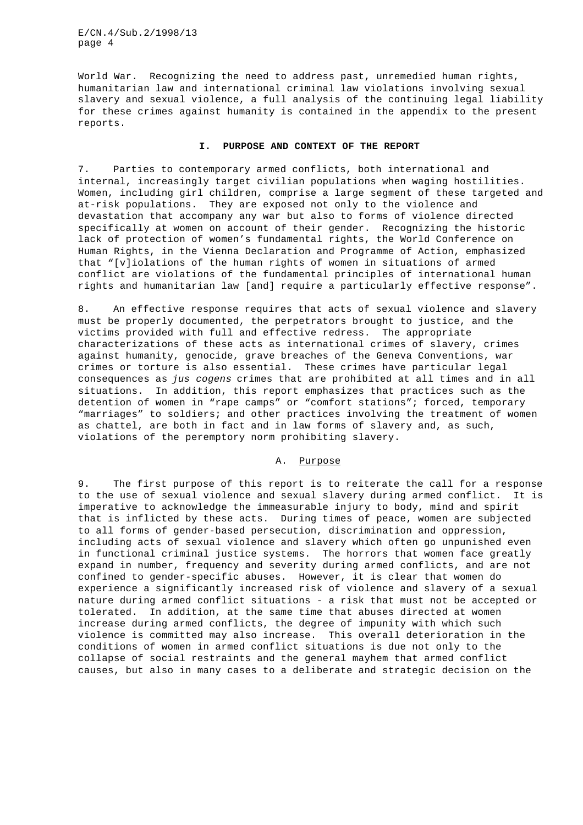World War. Recognizing the need to address past, unremedied human rights, humanitarian law and international criminal law violations involving sexual slavery and sexual violence, a full analysis of the continuing legal liability for these crimes against humanity is contained in the appendix to the present reports.

## **I. PURPOSE AND CONTEXT OF THE REPORT**

7. Parties to contemporary armed conflicts, both international and internal, increasingly target civilian populations when waging hostilities. Women, including girl children, comprise a large segment of these targeted and at-risk populations. They are exposed not only to the violence and devastation that accompany any war but also to forms of violence directed specifically at women on account of their gender. Recognizing the historic lack of protection of women's fundamental rights, the World Conference on Human Rights, in the Vienna Declaration and Programme of Action, emphasized that "[v]iolations of the human rights of women in situations of armed conflict are violations of the fundamental principles of international human rights and humanitarian law [and] require a particularly effective response".

8. An effective response requires that acts of sexual violence and slavery must be properly documented, the perpetrators brought to justice, and the victims provided with full and effective redress. The appropriate characterizations of these acts as international crimes of slavery, crimes against humanity, genocide, grave breaches of the Geneva Conventions, war crimes or torture is also essential. These crimes have particular legal consequences as *jus cogens* crimes that are prohibited at all times and in all situations. In addition, this report emphasizes that practices such as the detention of women in "rape camps" or "comfort stations"; forced, temporary "marriages" to soldiers; and other practices involving the treatment of women as chattel, are both in fact and in law forms of slavery and, as such, violations of the peremptory norm prohibiting slavery.

#### A. Purpose

9. The first purpose of this report is to reiterate the call for a response to the use of sexual violence and sexual slavery during armed conflict. It is imperative to acknowledge the immeasurable injury to body, mind and spirit that is inflicted by these acts. During times of peace, women are subjected to all forms of gender-based persecution, discrimination and oppression, including acts of sexual violence and slavery which often go unpunished even in functional criminal justice systems. The horrors that women face greatly expand in number, frequency and severity during armed conflicts, and are not confined to gender-specific abuses. However, it is clear that women do experience a significantly increased risk of violence and slavery of a sexual nature during armed conflict situations - a risk that must not be accepted or tolerated. In addition, at the same time that abuses directed at women increase during armed conflicts, the degree of impunity with which such violence is committed may also increase. This overall deterioration in the conditions of women in armed conflict situations is due not only to the collapse of social restraints and the general mayhem that armed conflict causes, but also in many cases to a deliberate and strategic decision on the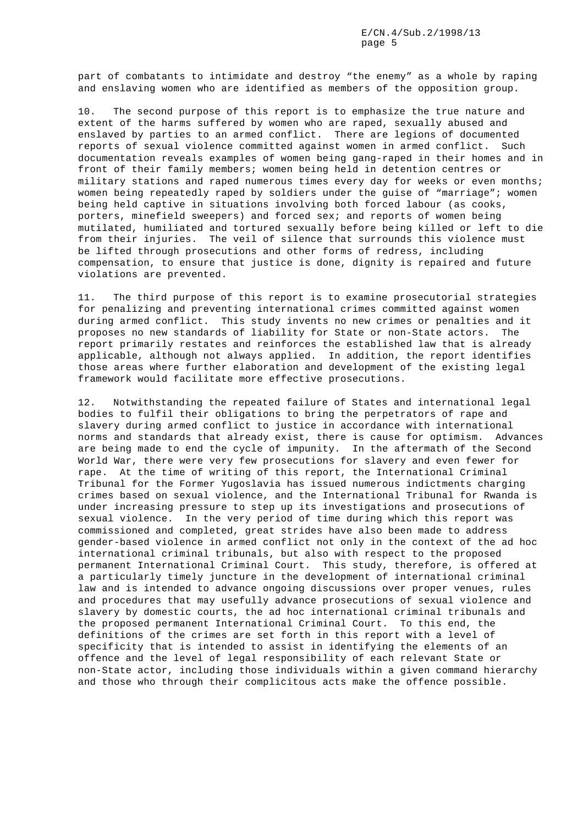part of combatants to intimidate and destroy "the enemy" as a whole by raping and enslaving women who are identified as members of the opposition group.

10. The second purpose of this report is to emphasize the true nature and extent of the harms suffered by women who are raped, sexually abused and enslaved by parties to an armed conflict. There are legions of documented reports of sexual violence committed against women in armed conflict. Such documentation reveals examples of women being gang-raped in their homes and in front of their family members; women being held in detention centres or military stations and raped numerous times every day for weeks or even months; women being repeatedly raped by soldiers under the guise of "marriage"; women being held captive in situations involving both forced labour (as cooks, porters, minefield sweepers) and forced sex; and reports of women being mutilated, humiliated and tortured sexually before being killed or left to die from their injuries. The veil of silence that surrounds this violence must be lifted through prosecutions and other forms of redress, including compensation, to ensure that justice is done, dignity is repaired and future violations are prevented.

11. The third purpose of this report is to examine prosecutorial strategies for penalizing and preventing international crimes committed against women during armed conflict. This study invents no new crimes or penalties and it proposes no new standards of liability for State or non-State actors. The report primarily restates and reinforces the established law that is already applicable, although not always applied. In addition, the report identifies those areas where further elaboration and development of the existing legal framework would facilitate more effective prosecutions.

12. Notwithstanding the repeated failure of States and international legal bodies to fulfil their obligations to bring the perpetrators of rape and slavery during armed conflict to justice in accordance with international norms and standards that already exist, there is cause for optimism. Advances are being made to end the cycle of impunity. In the aftermath of the Second World War, there were very few prosecutions for slavery and even fewer for rape. At the time of writing of this report, the International Criminal Tribunal for the Former Yugoslavia has issued numerous indictments charging crimes based on sexual violence, and the International Tribunal for Rwanda is under increasing pressure to step up its investigations and prosecutions of sexual violence. In the very period of time during which this report was commissioned and completed, great strides have also been made to address gender-based violence in armed conflict not only in the context of the ad hoc international criminal tribunals, but also with respect to the proposed permanent International Criminal Court. This study, therefore, is offered at a particularly timely juncture in the development of international criminal law and is intended to advance ongoing discussions over proper venues, rules and procedures that may usefully advance prosecutions of sexual violence and slavery by domestic courts, the ad hoc international criminal tribunals and the proposed permanent International Criminal Court. To this end, the definitions of the crimes are set forth in this report with a level of specificity that is intended to assist in identifying the elements of an offence and the level of legal responsibility of each relevant State or non-State actor, including those individuals within a given command hierarchy and those who through their complicitous acts make the offence possible.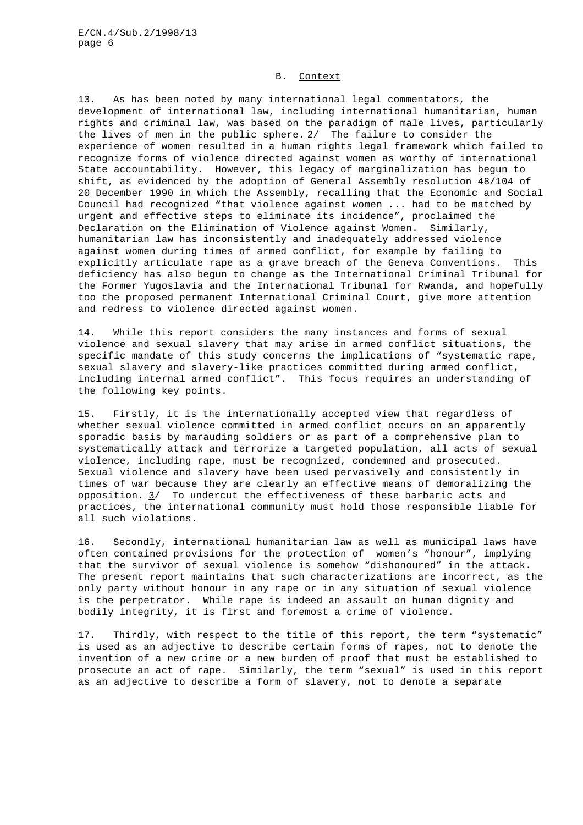#### B. Context

13. As has been noted by many international legal commentators, the development of international law, including international humanitarian, human rights and criminal law, was based on the paradigm of male lives, particularly the lives of men in the public sphere.  $2/$  The failure to consider the experience of women resulted in a human rights legal framework which failed to recognize forms of violence directed against women as worthy of international State accountability. However, this legacy of marginalization has begun to shift, as evidenced by the adoption of General Assembly resolution 48/104 of 20 December 1990 in which the Assembly, recalling that the Economic and Social Council had recognized "that violence against women ... had to be matched by urgent and effective steps to eliminate its incidence", proclaimed the Declaration on the Elimination of Violence against Women. Similarly, humanitarian law has inconsistently and inadequately addressed violence against women during times of armed conflict, for example by failing to explicitly articulate rape as a grave breach of the Geneva Conventions. This deficiency has also begun to change as the International Criminal Tribunal for the Former Yugoslavia and the International Tribunal for Rwanda, and hopefully too the proposed permanent International Criminal Court, give more attention and redress to violence directed against women.

14. While this report considers the many instances and forms of sexual violence and sexual slavery that may arise in armed conflict situations, the specific mandate of this study concerns the implications of "systematic rape, sexual slavery and slavery-like practices committed during armed conflict, including internal armed conflict". This focus requires an understanding of the following key points.

15. Firstly, it is the internationally accepted view that regardless of whether sexual violence committed in armed conflict occurs on an apparently sporadic basis by marauding soldiers or as part of a comprehensive plan to systematically attack and terrorize a targeted population, all acts of sexual violence, including rape, must be recognized, condemned and prosecuted. Sexual violence and slavery have been used pervasively and consistently in times of war because they are clearly an effective means of demoralizing the opposition.  $3/$  To undercut the effectiveness of these barbaric acts and practices, the international community must hold those responsible liable for all such violations.

16. Secondly, international humanitarian law as well as municipal laws have often contained provisions for the protection of women's "honour", implying that the survivor of sexual violence is somehow "dishonoured" in the attack. The present report maintains that such characterizations are incorrect, as the only party without honour in any rape or in any situation of sexual violence is the perpetrator. While rape is indeed an assault on human dignity and bodily integrity, it is first and foremost a crime of violence.

17. Thirdly, with respect to the title of this report, the term "systematic" is used as an adjective to describe certain forms of rapes, not to denote the invention of a new crime or a new burden of proof that must be established to prosecute an act of rape. Similarly, the term "sexual" is used in this report as an adjective to describe a form of slavery, not to denote a separate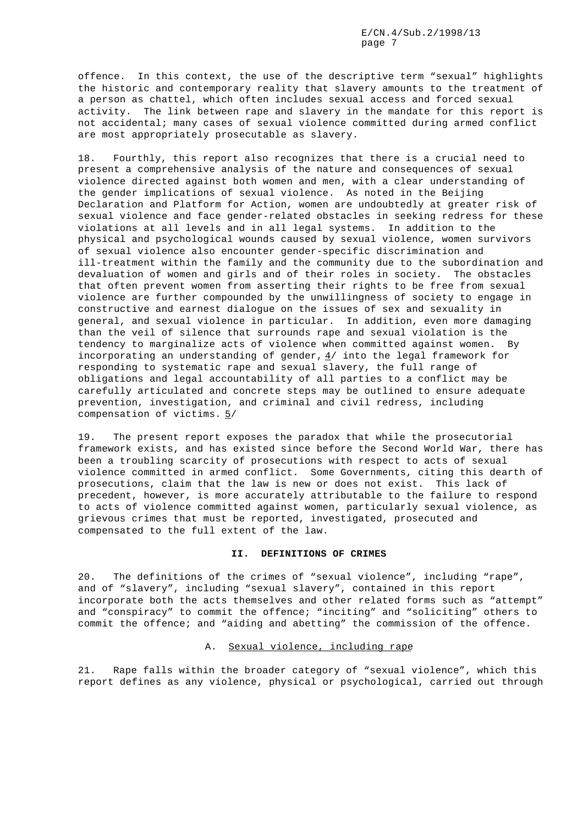offence. In this context, the use of the descriptive term "sexual" highlights the historic and contemporary reality that slavery amounts to the treatment of a person as chattel, which often includes sexual access and forced sexual activity. The link between rape and slavery in the mandate for this report is not accidental; many cases of sexual violence committed during armed conflict are most appropriately prosecutable as slavery.

18. Fourthly, this report also recognizes that there is a crucial need to present a comprehensive analysis of the nature and consequences of sexual violence directed against both women and men, with a clear understanding of the gender implications of sexual violence. As noted in the Beijing Declaration and Platform for Action, women are undoubtedly at greater risk of sexual violence and face gender-related obstacles in seeking redress for these violations at all levels and in all legal systems. In addition to the physical and psychological wounds caused by sexual violence, women survivors of sexual violence also encounter gender-specific discrimination and ill-treatment within the family and the community due to the subordination and devaluation of women and girls and of their roles in society. The obstacles that often prevent women from asserting their rights to be free from sexual violence are further compounded by the unwillingness of society to engage in constructive and earnest dialogue on the issues of sex and sexuality in general, and sexual violence in particular. In addition, even more damaging than the veil of silence that surrounds rape and sexual violation is the tendency to marginalize acts of violence when committed against women. By incorporating an understanding of gender,  $\frac{4}{1}$  into the legal framework for responding to systematic rape and sexual slavery, the full range of obligations and legal accountability of all parties to a conflict may be carefully articulated and concrete steps may be outlined to ensure adequate prevention, investigation, and criminal and civil redress, including compensation of victims. 5/

19. The present report exposes the paradox that while the prosecutorial framework exists, and has existed since before the Second World War, there has been a troubling scarcity of prosecutions with respect to acts of sexual violence committed in armed conflict. Some Governments, citing this dearth of prosecutions, claim that the law is new or does not exist. This lack of precedent, however, is more accurately attributable to the failure to respond to acts of violence committed against women, particularly sexual violence, as grievous crimes that must be reported, investigated, prosecuted and compensated to the full extent of the law.

## **II. DEFINITIONS OF CRIMES**

20. The definitions of the crimes of "sexual violence", including "rape", and of "slavery", including "sexual slavery", contained in this report incorporate both the acts themselves and other related forms such as "attempt" and "conspiracy" to commit the offence; "inciting" and "soliciting" others to commit the offence; and "aiding and abetting" the commission of the offence.

## A. Sexual violence, including rape

21. Rape falls within the broader category of "sexual violence", which this report defines as any violence, physical or psychological, carried out through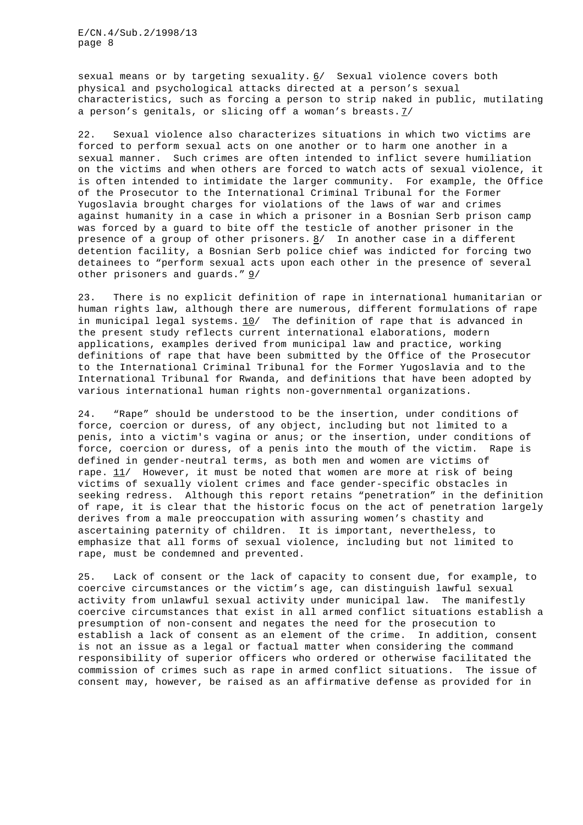sexual means or by targeting sexuality. 6/ Sexual violence covers both physical and psychological attacks directed at a person's sexual characteristics, such as forcing a person to strip naked in public, mutilating a person's genitals, or slicing off a woman's breasts.  $1/$ 

22. Sexual violence also characterizes situations in which two victims are forced to perform sexual acts on one another or to harm one another in a sexual manner. Such crimes are often intended to inflict severe humiliation on the victims and when others are forced to watch acts of sexual violence, it is often intended to intimidate the larger community. For example, the Office of the Prosecutor to the International Criminal Tribunal for the Former Yugoslavia brought charges for violations of the laws of war and crimes against humanity in a case in which a prisoner in a Bosnian Serb prison camp was forced by a guard to bite off the testicle of another prisoner in the presence of a group of other prisoners.  $\underline{8}$ / In another case in a different detention facility, a Bosnian Serb police chief was indicted for forcing two detainees to "perform sexual acts upon each other in the presence of several other prisoners and guards." 9/

23. There is no explicit definition of rape in international humanitarian or human rights law, although there are numerous, different formulations of rape in municipal legal systems.  $10/$  The definition of rape that is advanced in the present study reflects current international elaborations, modern applications, examples derived from municipal law and practice, working definitions of rape that have been submitted by the Office of the Prosecutor to the International Criminal Tribunal for the Former Yugoslavia and to the International Tribunal for Rwanda, and definitions that have been adopted by various international human rights non-governmental organizations.

24. "Rape" should be understood to be the insertion, under conditions of force, coercion or duress, of any object, including but not limited to a penis, into a victim's vagina or anus; or the insertion, under conditions of force, coercion or duress, of a penis into the mouth of the victim. Rape is defined in gender-neutral terms, as both men and women are victims of rape.  $11/$  However, it must be noted that women are more at risk of being victims of sexually violent crimes and face gender-specific obstacles in seeking redress. Although this report retains "penetration" in the definition of rape, it is clear that the historic focus on the act of penetration largely derives from a male preoccupation with assuring women's chastity and ascertaining paternity of children. It is important, nevertheless, to emphasize that all forms of sexual violence, including but not limited to rape, must be condemned and prevented.

25. Lack of consent or the lack of capacity to consent due, for example, to coercive circumstances or the victim's age, can distinguish lawful sexual activity from unlawful sexual activity under municipal law. The manifestly coercive circumstances that exist in all armed conflict situations establish a presumption of non-consent and negates the need for the prosecution to establish a lack of consent as an element of the crime. In addition, consent is not an issue as a legal or factual matter when considering the command responsibility of superior officers who ordered or otherwise facilitated the commission of crimes such as rape in armed conflict situations. The issue of consent may, however, be raised as an affirmative defense as provided for in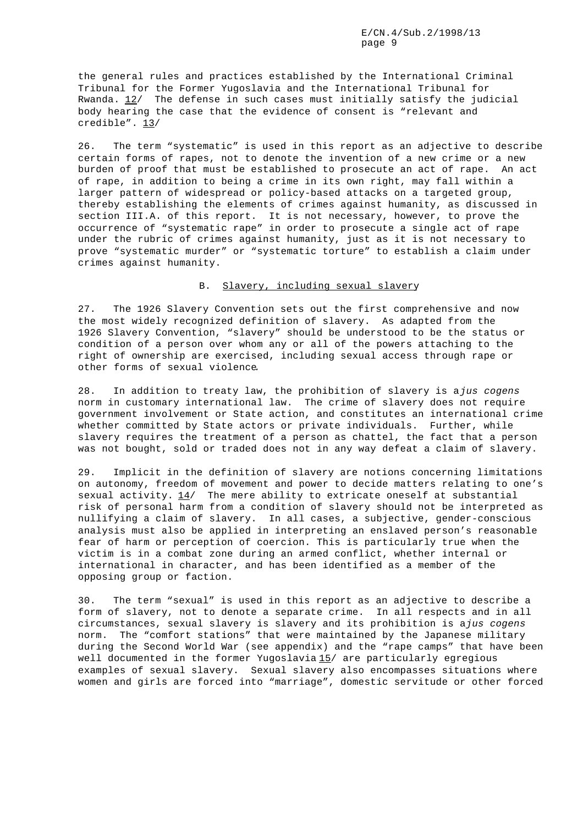the general rules and practices established by the International Criminal Tribunal for the Former Yugoslavia and the International Tribunal for Rwanda.  $12/$  The defense in such cases must initially satisfy the judicial body hearing the case that the evidence of consent is "relevant and credible".  $13/$ 

26. The term "systematic" is used in this report as an adjective to describe certain forms of rapes, not to denote the invention of a new crime or a new burden of proof that must be established to prosecute an act of rape. An act of rape, in addition to being a crime in its own right, may fall within a larger pattern of widespread or policy-based attacks on a targeted group, thereby establishing the elements of crimes against humanity, as discussed in section III.A. of this report. It is not necessary, however, to prove the occurrence of "systematic rape" in order to prosecute a single act of rape under the rubric of crimes against humanity, just as it is not necessary to prove "systematic murder" or "systematic torture" to establish a claim under crimes against humanity.

#### B. Slavery, including sexual slavery

27. The 1926 Slavery Convention sets out the first comprehensive and now the most widely recognized definition of slavery. As adapted from the 1926 Slavery Convention, "slavery" should be understood to be the status or condition of a person over whom any or all of the powers attaching to the right of ownership are exercised, including sexual access through rape or other forms of sexual violence*.*

28. In addition to treaty law, the prohibition of slavery is a *jus cogens* norm in customary international law. The crime of slavery does not require government involvement or State action, and constitutes an international crime whether committed by State actors or private individuals. Further, while slavery requires the treatment of a person as chattel, the fact that a person was not bought, sold or traded does not in any way defeat a claim of slavery.

29. Implicit in the definition of slavery are notions concerning limitations on autonomy, freedom of movement and power to decide matters relating to one's sexual activity.  $14/$  The mere ability to extricate oneself at substantial risk of personal harm from a condition of slavery should not be interpreted as nullifying a claim of slavery. In all cases, a subjective, gender-conscious analysis must also be applied in interpreting an enslaved person's reasonable fear of harm or perception of coercion. This is particularly true when the victim is in a combat zone during an armed conflict, whether internal or international in character, and has been identified as a member of the opposing group or faction.

30. The term "sexual" is used in this report as an adjective to describe a form of slavery, not to denote a separate crime. In all respects and in all circumstances, sexual slavery is slavery and its prohibition is a *jus cogens* norm. The "comfort stations" that were maintained by the Japanese military during the Second World War (see appendix) and the "rape camps" that have been well documented in the former Yugoslavia 15/ are particularly egregious examples of sexual slavery. Sexual slavery also encompasses situations where women and girls are forced into "marriage", domestic servitude or other forced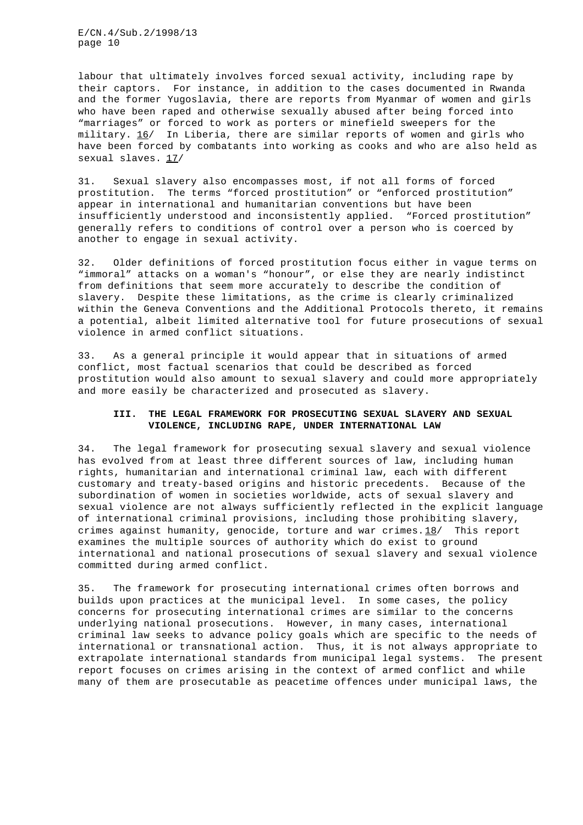labour that ultimately involves forced sexual activity, including rape by their captors. For instance, in addition to the cases documented in Rwanda and the former Yugoslavia, there are reports from Myanmar of women and girls who have been raped and otherwise sexually abused after being forced into "marriages" or forced to work as porters or minefield sweepers for the military. 16/ In Liberia, there are similar reports of women and girls who have been forced by combatants into working as cooks and who are also held as sexual slaves. 17/

31. Sexual slavery also encompasses most, if not all forms of forced prostitution. The terms "forced prostitution" or "enforced prostitution" appear in international and humanitarian conventions but have been insufficiently understood and inconsistently applied. "Forced prostitution" generally refers to conditions of control over a person who is coerced by another to engage in sexual activity.

32. Older definitions of forced prostitution focus either in vague terms on "immoral" attacks on a woman's "honour", or else they are nearly indistinct from definitions that seem more accurately to describe the condition of slavery. Despite these limitations, as the crime is clearly criminalized within the Geneva Conventions and the Additional Protocols thereto, it remains a potential, albeit limited alternative tool for future prosecutions of sexual violence in armed conflict situations.

33. As a general principle it would appear that in situations of armed conflict, most factual scenarios that could be described as forced prostitution would also amount to sexual slavery and could more appropriately and more easily be characterized and prosecuted as slavery.

## **III. THE LEGAL FRAMEWORK FOR PROSECUTING SEXUAL SLAVERY AND SEXUAL VIOLENCE, INCLUDING RAPE, UNDER INTERNATIONAL LAW**

34. The legal framework for prosecuting sexual slavery and sexual violence has evolved from at least three different sources of law, including human rights, humanitarian and international criminal law, each with different customary and treaty-based origins and historic precedents. Because of the subordination of women in societies worldwide, acts of sexual slavery and sexual violence are not always sufficiently reflected in the explicit language of international criminal provisions, including those prohibiting slavery, crimes against humanity, genocide, torture and war crimes. 18/ This report examines the multiple sources of authority which do exist to ground international and national prosecutions of sexual slavery and sexual violence committed during armed conflict.

35. The framework for prosecuting international crimes often borrows and builds upon practices at the municipal level. In some cases, the policy concerns for prosecuting international crimes are similar to the concerns underlying national prosecutions. However, in many cases, international criminal law seeks to advance policy goals which are specific to the needs of international or transnational action. Thus, it is not always appropriate to extrapolate international standards from municipal legal systems. The present report focuses on crimes arising in the context of armed conflict and while many of them are prosecutable as peacetime offences under municipal laws, the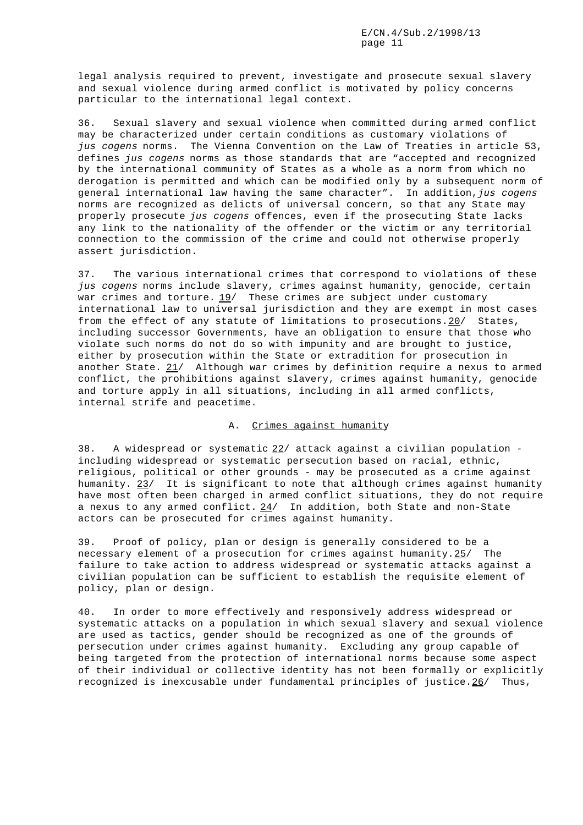legal analysis required to prevent, investigate and prosecute sexual slavery and sexual violence during armed conflict is motivated by policy concerns particular to the international legal context.

36. Sexual slavery and sexual violence when committed during armed conflict may be characterized under certain conditions as customary violations of *jus cogens* norms. The Vienna Convention on the Law of Treaties in article 53, defines *jus cogens* norms as those standards that are "accepted and recognized by the international community of States as a whole as a norm from which no derogation is permitted and which can be modified only by a subsequent norm of general international law having the same character". In addition, *jus cogens* norms are recognized as delicts of universal concern, so that any State may properly prosecute *jus cogens* offences, even if the prosecuting State lacks any link to the nationality of the offender or the victim or any territorial connection to the commission of the crime and could not otherwise properly assert jurisdiction.

37. The various international crimes that correspond to violations of these *jus cogens* norms include slavery, crimes against humanity, genocide, certain war crimes and torture.  $19/$  These crimes are subject under customary international law to universal jurisdiction and they are exempt in most cases from the effect of any statute of limitations to prosecutions. 20/ States, including successor Governments, have an obligation to ensure that those who violate such norms do not do so with impunity and are brought to justice, either by prosecution within the State or extradition for prosecution in another State.  $21/$  Although war crimes by definition require a nexus to armed conflict, the prohibitions against slavery, crimes against humanity, genocide and torture apply in all situations, including in all armed conflicts, internal strife and peacetime.

## A. Crimes against humanity

38. A widespread or systematic 22/ attack against a civilian population including widespread or systematic persecution based on racial, ethnic, religious, political or other grounds - may be prosecuted as a crime against humanity. 23/ It is significant to note that although crimes against humanity have most often been charged in armed conflict situations, they do not require a nexus to any armed conflict.  $24/$  In addition, both State and non-State actors can be prosecuted for crimes against humanity.

39. Proof of policy, plan or design is generally considered to be a necessary element of a prosecution for crimes against humanity. 25/ The failure to take action to address widespread or systematic attacks against a civilian population can be sufficient to establish the requisite element of policy, plan or design.

40. In order to more effectively and responsively address widespread or systematic attacks on a population in which sexual slavery and sexual violence are used as tactics, gender should be recognized as one of the grounds of persecution under crimes against humanity. Excluding any group capable of being targeted from the protection of international norms because some aspect of their individual or collective identity has not been formally or explicitly recognized is inexcusable under fundamental principles of justice. 26/ Thus,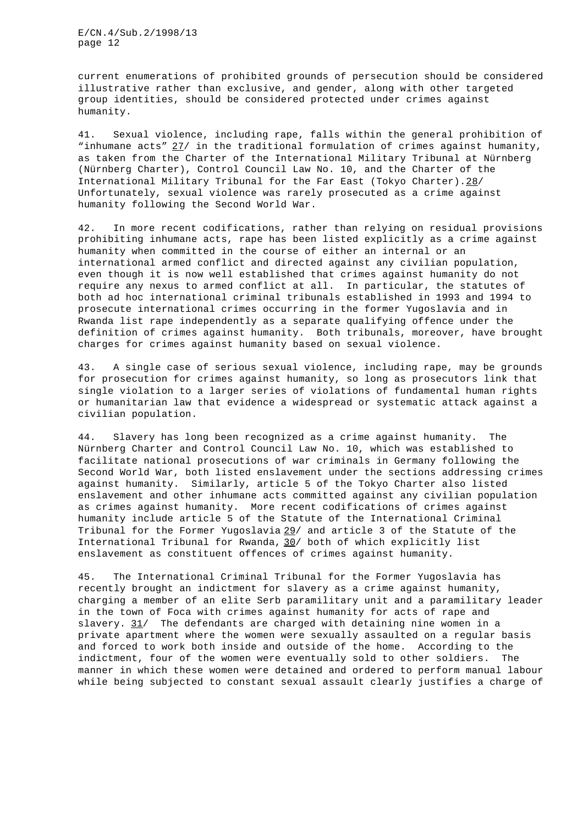current enumerations of prohibited grounds of persecution should be considered illustrative rather than exclusive, and gender, along with other targeted group identities, should be considered protected under crimes against humanity.

41. Sexual violence, including rape, falls within the general prohibition of "inhumane acts" 27/ in the traditional formulation of crimes against humanity, as taken from the Charter of the International Military Tribunal at Nürnberg (Nürnberg Charter), Control Council Law No. 10, and the Charter of the International Military Tribunal for the Far East (Tokyo Charter). 28/ Unfortunately, sexual violence was rarely prosecuted as a crime against humanity following the Second World War.

42. In more recent codifications, rather than relying on residual provisions prohibiting inhumane acts, rape has been listed explicitly as a crime against humanity when committed in the course of either an internal or an international armed conflict and directed against any civilian population, even though it is now well established that crimes against humanity do not require any nexus to armed conflict at all. In particular, the statutes of both ad hoc international criminal tribunals established in 1993 and 1994 to prosecute international crimes occurring in the former Yugoslavia and in Rwanda list rape independently as a separate qualifying offence under the definition of crimes against humanity. Both tribunals, moreover, have brought charges for crimes against humanity based on sexual violence.

43. A single case of serious sexual violence, including rape, may be grounds for prosecution for crimes against humanity, so long as prosecutors link that single violation to a larger series of violations of fundamental human rights or humanitarian law that evidence a widespread or systematic attack against a civilian population.

44. Slavery has long been recognized as a crime against humanity. The Nürnberg Charter and Control Council Law No. 10, which was established to facilitate national prosecutions of war criminals in Germany following the Second World War, both listed enslavement under the sections addressing crimes against humanity. Similarly, article 5 of the Tokyo Charter also listed enslavement and other inhumane acts committed against any civilian population as crimes against humanity. More recent codifications of crimes against humanity include article 5 of the Statute of the International Criminal Tribunal for the Former Yugoslavia 29/ and article 3 of the Statute of the International Tribunal for Rwanda, 30/ both of which explicitly list enslavement as constituent offences of crimes against humanity.

45. The International Criminal Tribunal for the Former Yugoslavia has recently brought an indictment for slavery as a crime against humanity, charging a member of an elite Serb paramilitary unit and a paramilitary leader in the town of Foca with crimes against humanity for acts of rape and slavery.  $31/$  The defendants are charged with detaining nine women in a private apartment where the women were sexually assaulted on a regular basis and forced to work both inside and outside of the home. According to the indictment, four of the women were eventually sold to other soldiers. The manner in which these women were detained and ordered to perform manual labour while being subjected to constant sexual assault clearly justifies a charge of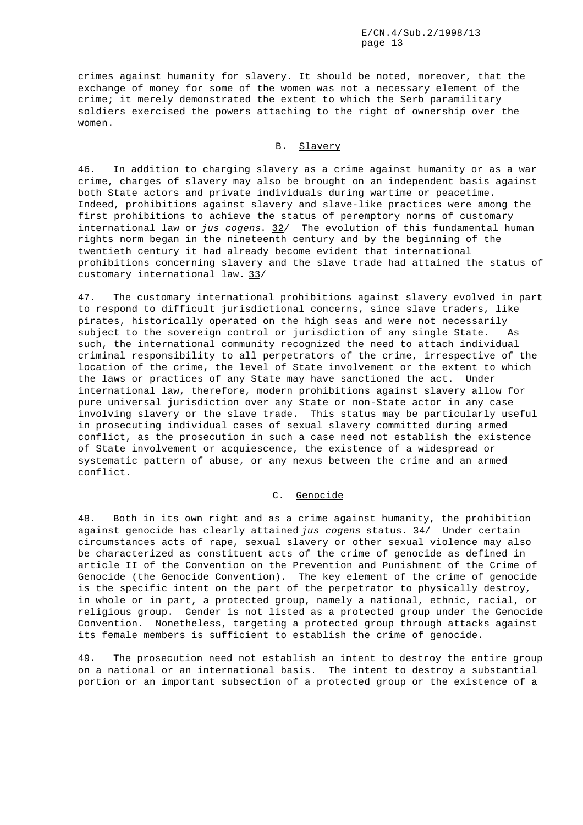crimes against humanity for slavery. It should be noted, moreover, that the exchange of money for some of the women was not a necessary element of the crime; it merely demonstrated the extent to which the Serb paramilitary soldiers exercised the powers attaching to the right of ownership over the women.

## B. Slavery

46. In addition to charging slavery as a crime against humanity or as a war crime, charges of slavery may also be brought on an independent basis against both State actors and private individuals during wartime or peacetime. Indeed, prohibitions against slavery and slave-like practices were among the first prohibitions to achieve the status of peremptory norms of customary international law or *jus cogens*. 32/ The evolution of this fundamental human rights norm began in the nineteenth century and by the beginning of the twentieth century it had already become evident that international prohibitions concerning slavery and the slave trade had attained the status of customary international law. 33/

47. The customary international prohibitions against slavery evolved in part to respond to difficult jurisdictional concerns, since slave traders, like pirates, historically operated on the high seas and were not necessarily subject to the sovereign control or jurisdiction of any single State. As such, the international community recognized the need to attach individual criminal responsibility to all perpetrators of the crime, irrespective of the location of the crime, the level of State involvement or the extent to which the laws or practices of any State may have sanctioned the act. Under international law, therefore, modern prohibitions against slavery allow for pure universal jurisdiction over any State or non-State actor in any case involving slavery or the slave trade. This status may be particularly useful in prosecuting individual cases of sexual slavery committed during armed conflict, as the prosecution in such a case need not establish the existence of State involvement or acquiescence, the existence of a widespread or systematic pattern of abuse, or any nexus between the crime and an armed conflict.

## C. Genocide

48. Both in its own right and as a crime against humanity, the prohibition against genocide has clearly attained *jus cogens* status. 34/ Under certain circumstances acts of rape, sexual slavery or other sexual violence may also be characterized as constituent acts of the crime of genocide as defined in article II of the Convention on the Prevention and Punishment of the Crime of Genocide (the Genocide Convention). The key element of the crime of genocide is the specific intent on the part of the perpetrator to physically destroy, in whole or in part, a protected group, namely a national, ethnic, racial, or religious group. Gender is not listed as a protected group under the Genocide Convention. Nonetheless, targeting a protected group through attacks against its female members is sufficient to establish the crime of genocide.

49. The prosecution need not establish an intent to destroy the entire group on a national or an international basis. The intent to destroy a substantial portion or an important subsection of a protected group or the existence of a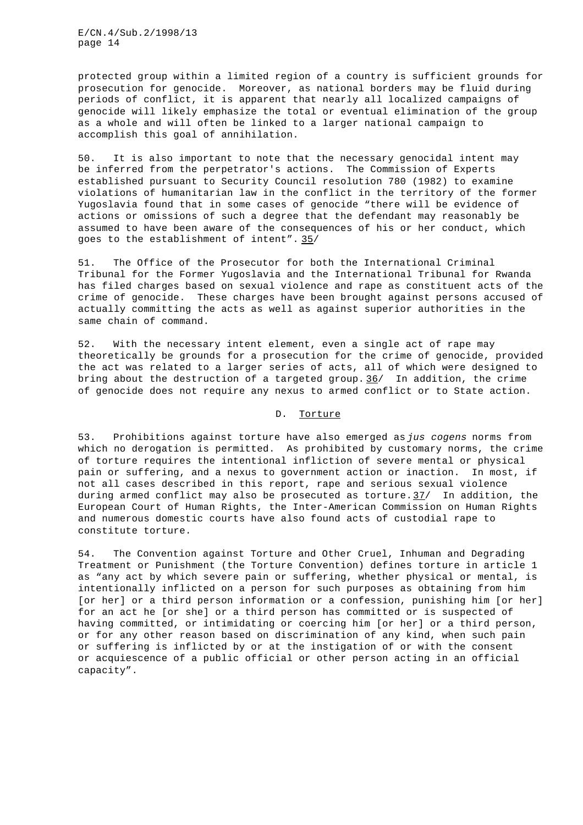protected group within a limited region of a country is sufficient grounds for prosecution for genocide. Moreover, as national borders may be fluid during periods of conflict, it is apparent that nearly all localized campaigns of genocide will likely emphasize the total or eventual elimination of the group as a whole and will often be linked to a larger national campaign to accomplish this goal of annihilation.

50. It is also important to note that the necessary genocidal intent may be inferred from the perpetrator's actions. The Commission of Experts established pursuant to Security Council resolution 780 (1982) to examine violations of humanitarian law in the conflict in the territory of the former Yugoslavia found that in some cases of genocide "there will be evidence of actions or omissions of such a degree that the defendant may reasonably be assumed to have been aware of the consequences of his or her conduct, which goes to the establishment of intent". 35/

51. The Office of the Prosecutor for both the International Criminal Tribunal for the Former Yugoslavia and the International Tribunal for Rwanda has filed charges based on sexual violence and rape as constituent acts of the crime of genocide. These charges have been brought against persons accused of actually committing the acts as well as against superior authorities in the same chain of command.

52. With the necessary intent element, even a single act of rape may theoretically be grounds for a prosecution for the crime of genocide, provided the act was related to a larger series of acts, all of which were designed to bring about the destruction of a targeted group. 36/ In addition, the crime of genocide does not require any nexus to armed conflict or to State action.

D. Torture

53. Prohibitions against torture have also emerged as *jus cogens* norms from which no derogation is permitted. As prohibited by customary norms, the crime of torture requires the intentional infliction of severe mental or physical pain or suffering, and a nexus to government action or inaction. In most, if not all cases described in this report, rape and serious sexual violence during armed conflict may also be prosecuted as torture. 37/ In addition, the European Court of Human Rights, the Inter-American Commission on Human Rights and numerous domestic courts have also found acts of custodial rape to constitute torture.

54. The Convention against Torture and Other Cruel, Inhuman and Degrading Treatment or Punishment (the Torture Convention) defines torture in article 1 as "any act by which severe pain or suffering, whether physical or mental, is intentionally inflicted on a person for such purposes as obtaining from him [or her] or a third person information or a confession, punishing him [or her] for an act he [or she] or a third person has committed or is suspected of having committed, or intimidating or coercing him [or her] or a third person, or for any other reason based on discrimination of any kind, when such pain or suffering is inflicted by or at the instigation of or with the consent or acquiescence of a public official or other person acting in an official capacity".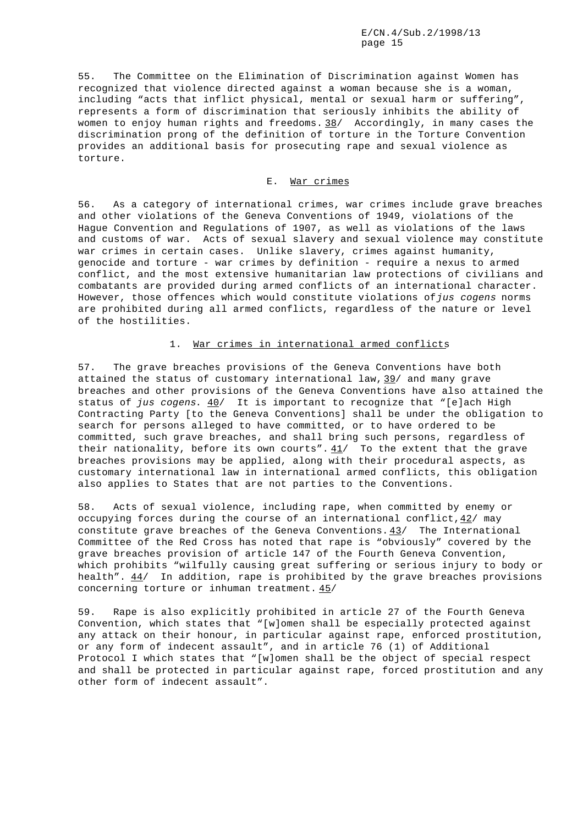55. The Committee on the Elimination of Discrimination against Women has recognized that violence directed against a woman because she is a woman, including "acts that inflict physical, mental or sexual harm or suffering", represents a form of discrimination that seriously inhibits the ability of women to enjoy human rights and freedoms. 38/ Accordingly, in many cases the discrimination prong of the definition of torture in the Torture Convention provides an additional basis for prosecuting rape and sexual violence as torture.

E. War crimes

56. As a category of international crimes, war crimes include grave breaches and other violations of the Geneva Conventions of 1949, violations of the Hague Convention and Regulations of 1907, as well as violations of the laws and customs of war. Acts of sexual slavery and sexual violence may constitute war crimes in certain cases. Unlike slavery, crimes against humanity, genocide and torture - war crimes by definition - require a nexus to armed conflict, and the most extensive humanitarian law protections of civilians and combatants are provided during armed conflicts of an international character. However, those offences which would constitute violations of *jus cogens* norms are prohibited during all armed conflicts, regardless of the nature or level of the hostilities.

## 1. War crimes in international armed conflicts

57. The grave breaches provisions of the Geneva Conventions have both attained the status of customary international law, 39/ and many grave breaches and other provisions of the Geneva Conventions have also attained the status of *jus cogens*. 40/ It is important to recognize that "[e]ach High Contracting Party [to the Geneva Conventions] shall be under the obligation to search for persons alleged to have committed, or to have ordered to be committed, such grave breaches, and shall bring such persons, regardless of their nationality, before its own courts".  $41/$  To the extent that the grave breaches provisions may be applied, along with their procedural aspects, as customary international law in international armed conflicts, this obligation also applies to States that are not parties to the Conventions.

58. Acts of sexual violence, including rape, when committed by enemy or occupying forces during the course of an international conflict, 42/ may constitute grave breaches of the Geneva Conventions. 43/ The International Committee of the Red Cross has noted that rape is "obviously" covered by the grave breaches provision of article 147 of the Fourth Geneva Convention, which prohibits "wilfully causing great suffering or serious injury to body or health".  $44/$  In addition, rape is prohibited by the grave breaches provisions concerning torture or inhuman treatment. 45/

59. Rape is also explicitly prohibited in article 27 of the Fourth Geneva Convention, which states that "[w]omen shall be especially protected against any attack on their honour, in particular against rape, enforced prostitution, or any form of indecent assault", and in article 76 (1) of Additional Protocol I which states that "[w]omen shall be the object of special respect and shall be protected in particular against rape, forced prostitution and any other form of indecent assault".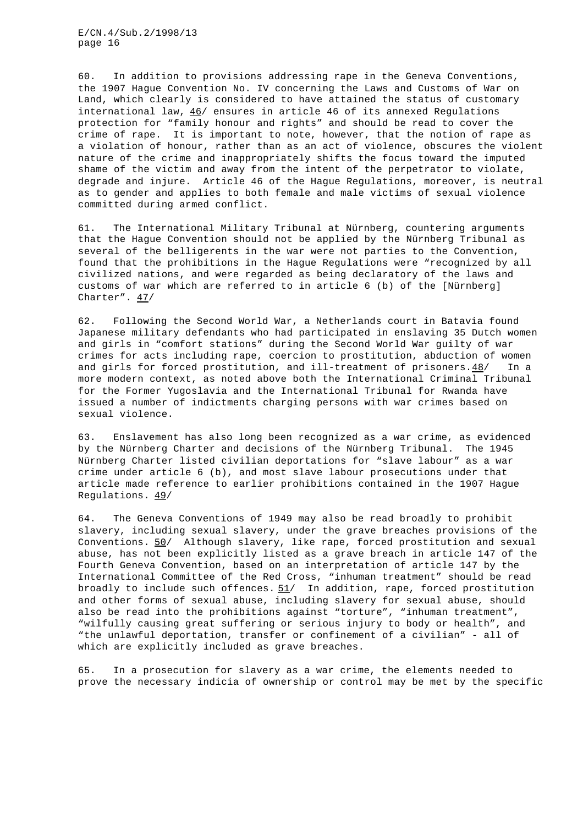60. In addition to provisions addressing rape in the Geneva Conventions, the 1907 Hague Convention No. IV concerning the Laws and Customs of War on Land, which clearly is considered to have attained the status of customary international law,  $46/$  ensures in article 46 of its annexed Regulations protection for "family honour and rights" and should be read to cover the crime of rape. It is important to note, however, that the notion of rape as a violation of honour, rather than as an act of violence, obscures the violent nature of the crime and inappropriately shifts the focus toward the imputed shame of the victim and away from the intent of the perpetrator to violate, degrade and injure. Article 46 of the Hague Regulations, moreover, is neutral as to gender and applies to both female and male victims of sexual violence committed during armed conflict.

61. The International Military Tribunal at Nürnberg, countering arguments that the Hague Convention should not be applied by the Nürnberg Tribunal as several of the belligerents in the war were not parties to the Convention, found that the prohibitions in the Hague Regulations were "recognized by all civilized nations, and were regarded as being declaratory of the laws and customs of war which are referred to in article 6 (b) of the [Nürnberg] Charter".  $47/$ 

62. Following the Second World War, a Netherlands court in Batavia found Japanese military defendants who had participated in enslaving 35 Dutch women and girls in "comfort stations" during the Second World War guilty of war crimes for acts including rape, coercion to prostitution, abduction of women and girls for forced prostitution, and ill-treatment of prisoners. $48/$  In a more modern context, as noted above both the International Criminal Tribunal for the Former Yugoslavia and the International Tribunal for Rwanda have issued a number of indictments charging persons with war crimes based on sexual violence.

63. Enslavement has also long been recognized as a war crime, as evidenced by the Nürnberg Charter and decisions of the Nürnberg Tribunal. The 1945 Nürnberg Charter listed civilian deportations for "slave labour" as a war crime under article 6 (b), and most slave labour prosecutions under that article made reference to earlier prohibitions contained in the 1907 Hague Regulations. 49/

64. The Geneva Conventions of 1949 may also be read broadly to prohibit slavery, including sexual slavery, under the grave breaches provisions of the Conventions. 50/ Although slavery, like rape, forced prostitution and sexual abuse, has not been explicitly listed as a grave breach in article 147 of the Fourth Geneva Convention, based on an interpretation of article 147 by the International Committee of the Red Cross, "inhuman treatment" should be read broadly to include such offences.  $51/$  In addition, rape, forced prostitution and other forms of sexual abuse, including slavery for sexual abuse, should also be read into the prohibitions against "torture", "inhuman treatment", "wilfully causing great suffering or serious injury to body or health", and "the unlawful deportation, transfer or confinement of a civilian" - all of which are explicitly included as grave breaches.

65. In a prosecution for slavery as a war crime, the elements needed to prove the necessary indicia of ownership or control may be met by the specific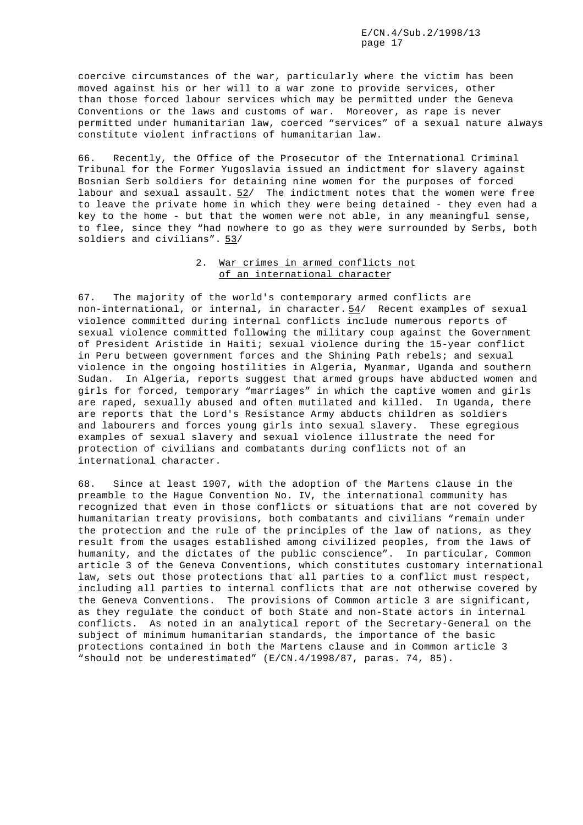coercive circumstances of the war, particularly where the victim has been moved against his or her will to a war zone to provide services, other than those forced labour services which may be permitted under the Geneva Conventions or the laws and customs of war. Moreover, as rape is never permitted under humanitarian law, coerced "services" of a sexual nature always constitute violent infractions of humanitarian law.

66. Recently, the Office of the Prosecutor of the International Criminal Tribunal for the Former Yugoslavia issued an indictment for slavery against Bosnian Serb soldiers for detaining nine women for the purposes of forced labour and sexual assault.  $52/$  The indictment notes that the women were free to leave the private home in which they were being detained - they even had a key to the home - but that the women were not able, in any meaningful sense, to flee, since they "had nowhere to go as they were surrounded by Serbs, both soldiers and civilians". 53/

## 2. War crimes in armed conflicts not of an international character

67. The majority of the world's contemporary armed conflicts are non-international, or internal, in character. 54/ Recent examples of sexual violence committed during internal conflicts include numerous reports of sexual violence committed following the military coup against the Government of President Aristide in Haiti; sexual violence during the 15-year conflict in Peru between government forces and the Shining Path rebels; and sexual violence in the ongoing hostilities in Algeria, Myanmar, Uganda and southern Sudan. In Algeria, reports suggest that armed groups have abducted women and girls for forced, temporary "marriages" in which the captive women and girls are raped, sexually abused and often mutilated and killed. In Uganda, there are reports that the Lord's Resistance Army abducts children as soldiers and labourers and forces young girls into sexual slavery. These egregious examples of sexual slavery and sexual violence illustrate the need for protection of civilians and combatants during conflicts not of an international character.

68. Since at least 1907, with the adoption of the Martens clause in the preamble to the Hague Convention No. IV, the international community has recognized that even in those conflicts or situations that are not covered by humanitarian treaty provisions, both combatants and civilians "remain under the protection and the rule of the principles of the law of nations, as they result from the usages established among civilized peoples, from the laws of humanity, and the dictates of the public conscience". In particular, Common article 3 of the Geneva Conventions, which constitutes customary international law, sets out those protections that all parties to a conflict must respect, including all parties to internal conflicts that are not otherwise covered by the Geneva Conventions. The provisions of Common article 3 are significant, as they regulate the conduct of both State and non-State actors in internal conflicts. As noted in an analytical report of the Secretary-General on the subject of minimum humanitarian standards, the importance of the basic protections contained in both the Martens clause and in Common article 3 "should not be underestimated" (E/CN.4/1998/87, paras. 74, 85).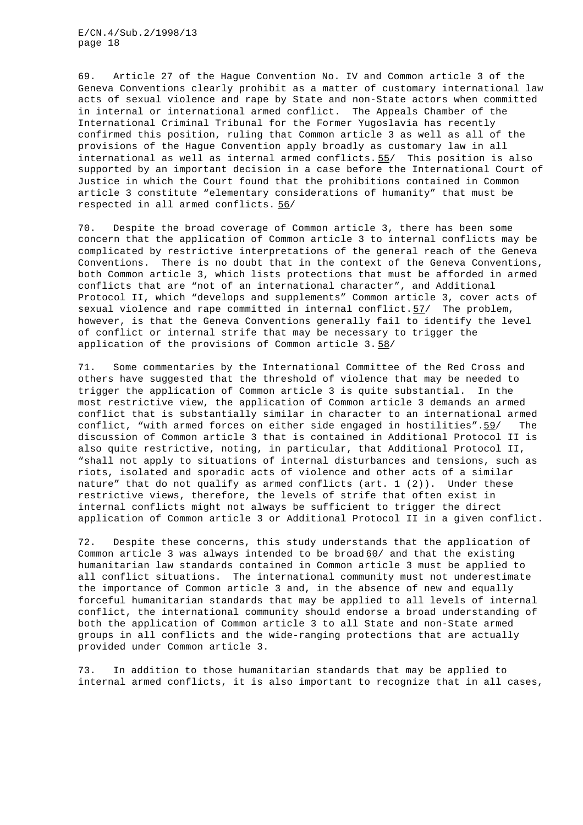69. Article 27 of the Hague Convention No. IV and Common article 3 of the Geneva Conventions clearly prohibit as a matter of customary international law acts of sexual violence and rape by State and non-State actors when committed in internal or international armed conflict. The Appeals Chamber of the International Criminal Tribunal for the Former Yugoslavia has recently confirmed this position, ruling that Common article 3 as well as all of the provisions of the Hague Convention apply broadly as customary law in all international as well as internal armed conflicts. 55/ This position is also supported by an important decision in a case before the International Court of Justice in which the Court found that the prohibitions contained in Common article 3 constitute "elementary considerations of humanity" that must be respected in all armed conflicts. 56/

70. Despite the broad coverage of Common article 3, there has been some concern that the application of Common article 3 to internal conflicts may be complicated by restrictive interpretations of the general reach of the Geneva Conventions. There is no doubt that in the context of the Geneva Conventions, both Common article 3, which lists protections that must be afforded in armed conflicts that are "not of an international character", and Additional Protocol II, which "develops and supplements" Common article 3, cover acts of sexual violence and rape committed in internal conflict. 57/ The problem, however, is that the Geneva Conventions generally fail to identify the level of conflict or internal strife that may be necessary to trigger the application of the provisions of Common article 3. 58/

71. Some commentaries by the International Committee of the Red Cross and others have suggested that the threshold of violence that may be needed to trigger the application of Common article 3 is quite substantial. In the most restrictive view, the application of Common article 3 demands an armed conflict that is substantially similar in character to an international armed conflict, "with armed forces on either side engaged in hostilities". 59/ The discussion of Common article 3 that is contained in Additional Protocol II is also quite restrictive, noting, in particular, that Additional Protocol II, "shall not apply to situations of internal disturbances and tensions, such as riots, isolated and sporadic acts of violence and other acts of a similar nature" that do not qualify as armed conflicts  $(\text{art. 1 } (2))$ . Under these restrictive views, therefore, the levels of strife that often exist in internal conflicts might not always be sufficient to trigger the direct application of Common article 3 or Additional Protocol II in a given conflict.

72. Despite these concerns, this study understands that the application of Common article 3 was always intended to be broad  $60/$  and that the existing humanitarian law standards contained in Common article 3 must be applied to all conflict situations. The international community must not underestimate the importance of Common article 3 and, in the absence of new and equally forceful humanitarian standards that may be applied to all levels of internal conflict, the international community should endorse a broad understanding of both the application of Common article 3 to all State and non-State armed groups in all conflicts and the wide-ranging protections that are actually provided under Common article 3.

73. In addition to those humanitarian standards that may be applied to internal armed conflicts, it is also important to recognize that in all cases,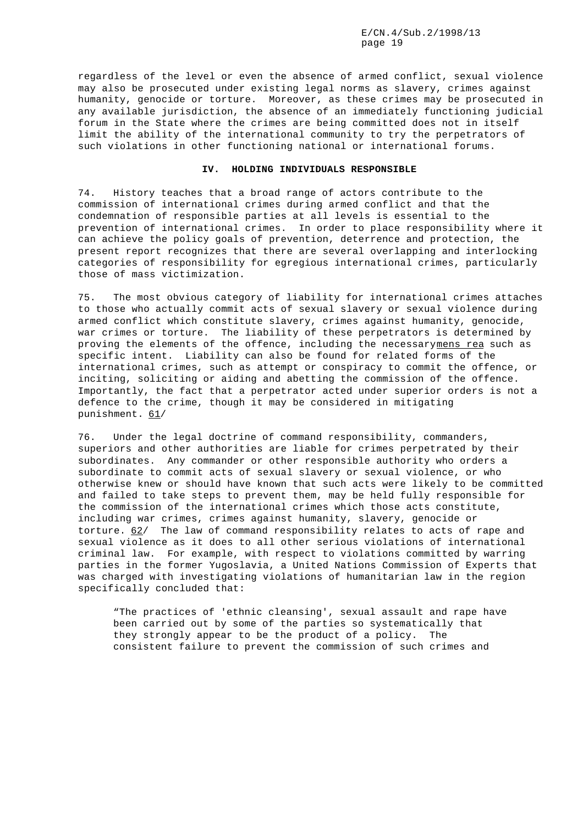regardless of the level or even the absence of armed conflict, sexual violence may also be prosecuted under existing legal norms as slavery, crimes against humanity, genocide or torture. Moreover, as these crimes may be prosecuted in any available jurisdiction, the absence of an immediately functioning judicial forum in the State where the crimes are being committed does not in itself limit the ability of the international community to try the perpetrators of such violations in other functioning national or international forums.

#### **IV. HOLDING INDIVIDUALS RESPONSIBLE**

74. History teaches that a broad range of actors contribute to the commission of international crimes during armed conflict and that the condemnation of responsible parties at all levels is essential to the prevention of international crimes. In order to place responsibility where it can achieve the policy goals of prevention, deterrence and protection, the present report recognizes that there are several overlapping and interlocking categories of responsibility for egregious international crimes, particularly those of mass victimization.

75. The most obvious category of liability for international crimes attaches to those who actually commit acts of sexual slavery or sexual violence during armed conflict which constitute slavery, crimes against humanity, genocide, war crimes or torture. The liability of these perpetrators is determined by proving the elements of the offence, including the necessary mens rea such as specific intent. Liability can also be found for related forms of the international crimes, such as attempt or conspiracy to commit the offence, or inciting, soliciting or aiding and abetting the commission of the offence. Importantly, the fact that a perpetrator acted under superior orders is not a defence to the crime, though it may be considered in mitigating punishment. 61/

76. Under the legal doctrine of command responsibility, commanders, superiors and other authorities are liable for crimes perpetrated by their subordinates. Any commander or other responsible authority who orders a subordinate to commit acts of sexual slavery or sexual violence, or who otherwise knew or should have known that such acts were likely to be committed and failed to take steps to prevent them, may be held fully responsible for the commission of the international crimes which those acts constitute, including war crimes, crimes against humanity, slavery, genocide or torture. 62/ The law of command responsibility relates to acts of rape and sexual violence as it does to all other serious violations of international criminal law. For example, with respect to violations committed by warring parties in the former Yugoslavia, a United Nations Commission of Experts that was charged with investigating violations of humanitarian law in the region specifically concluded that:

"The practices of 'ethnic cleansing', sexual assault and rape have been carried out by some of the parties so systematically that they strongly appear to be the product of a policy. The consistent failure to prevent the commission of such crimes and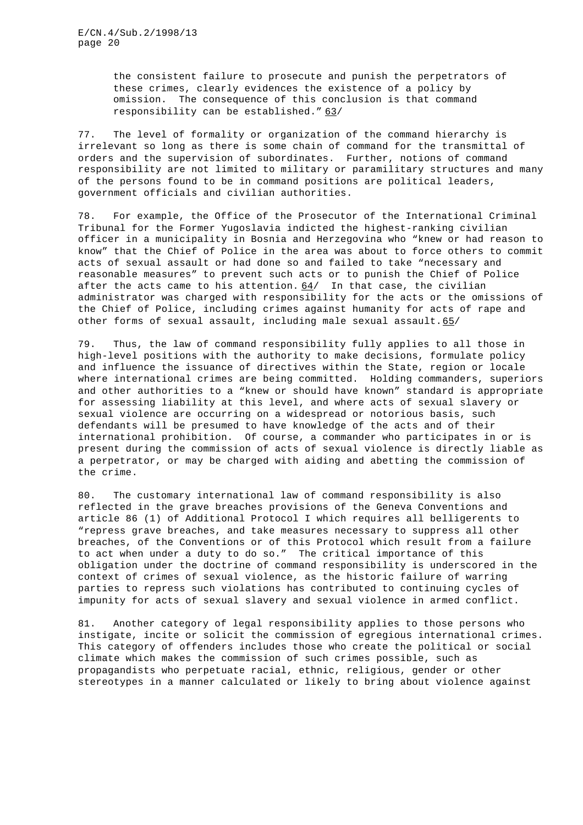the consistent failure to prosecute and punish the perpetrators of these crimes, clearly evidences the existence of a policy by omission. The consequence of this conclusion is that command responsibility can be established." 63/

77. The level of formality or organization of the command hierarchy is irrelevant so long as there is some chain of command for the transmittal of orders and the supervision of subordinates. Further, notions of command responsibility are not limited to military or paramilitary structures and many of the persons found to be in command positions are political leaders, government officials and civilian authorities.

78. For example, the Office of the Prosecutor of the International Criminal Tribunal for the Former Yugoslavia indicted the highest-ranking civilian officer in a municipality in Bosnia and Herzegovina who "knew or had reason to know" that the Chief of Police in the area was about to force others to commit acts of sexual assault or had done so and failed to take "necessary and reasonable measures" to prevent such acts or to punish the Chief of Police after the acts came to his attention.  $64/$  In that case, the civilian administrator was charged with responsibility for the acts or the omissions of the Chief of Police, including crimes against humanity for acts of rape and other forms of sexual assault, including male sexual assault. 65/

79. Thus, the law of command responsibility fully applies to all those in high-level positions with the authority to make decisions, formulate policy and influence the issuance of directives within the State, region or locale where international crimes are being committed. Holding commanders, superiors and other authorities to a "knew or should have known" standard is appropriate for assessing liability at this level, and where acts of sexual slavery or sexual violence are occurring on a widespread or notorious basis, such defendants will be presumed to have knowledge of the acts and of their international prohibition. Of course, a commander who participates in or is present during the commission of acts of sexual violence is directly liable as a perpetrator, or may be charged with aiding and abetting the commission of the crime.

80. The customary international law of command responsibility is also reflected in the grave breaches provisions of the Geneva Conventions and article 86 (1) of Additional Protocol I which requires all belligerents to "repress grave breaches, and take measures necessary to suppress all other breaches, of the Conventions or of this Protocol which result from a failure to act when under a duty to do so." The critical importance of this obligation under the doctrine of command responsibility is underscored in the context of crimes of sexual violence, as the historic failure of warring parties to repress such violations has contributed to continuing cycles of impunity for acts of sexual slavery and sexual violence in armed conflict.

81. Another category of legal responsibility applies to those persons who instigate, incite or solicit the commission of egregious international crimes. This category of offenders includes those who create the political or social climate which makes the commission of such crimes possible, such as propagandists who perpetuate racial, ethnic, religious, gender or other stereotypes in a manner calculated or likely to bring about violence against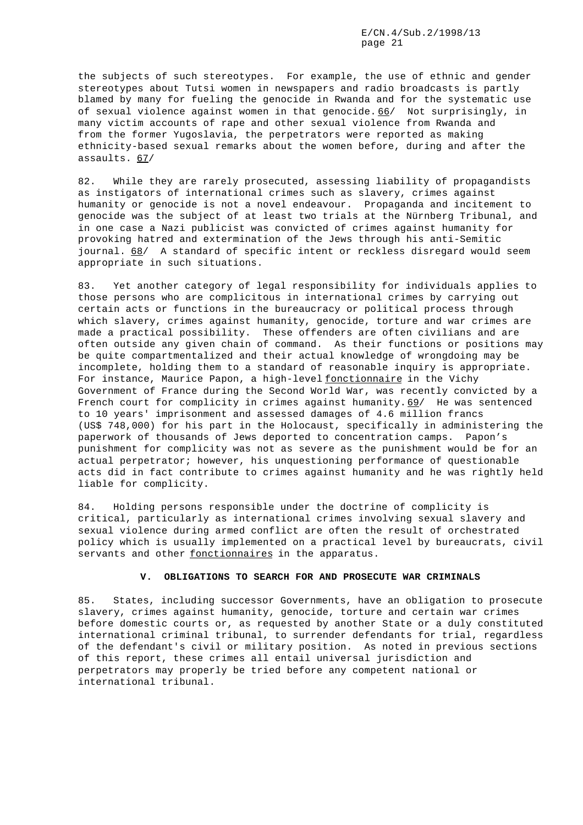the subjects of such stereotypes. For example, the use of ethnic and gender stereotypes about Tutsi women in newspapers and radio broadcasts is partly blamed by many for fueling the genocide in Rwanda and for the systematic use of sexual violence against women in that genocide. 66/ Not surprisingly, in many victim accounts of rape and other sexual violence from Rwanda and from the former Yugoslavia, the perpetrators were reported as making ethnicity-based sexual remarks about the women before, during and after the assaults. 67/

82. While they are rarely prosecuted, assessing liability of propagandists as instigators of international crimes such as slavery, crimes against humanity or genocide is not a novel endeavour. Propaganda and incitement to genocide was the subject of at least two trials at the Nürnberg Tribunal, and in one case a Nazi publicist was convicted of crimes against humanity for provoking hatred and extermination of the Jews through his anti-Semitic journal. 68/ A standard of specific intent or reckless disregard would seem appropriate in such situations.

83. Yet another category of legal responsibility for individuals applies to those persons who are complicitous in international crimes by carrying out certain acts or functions in the bureaucracy or political process through which slavery, crimes against humanity, genocide, torture and war crimes are made a practical possibility. These offenders are often civilians and are often outside any given chain of command. As their functions or positions may be quite compartmentalized and their actual knowledge of wrongdoing may be incomplete, holding them to a standard of reasonable inquiry is appropriate. For instance, Maurice Papon, a high-level fonctionnaire in the Vichy Government of France during the Second World War, was recently convicted by a French court for complicity in crimes against humanity. 69/ He was sentenced to 10 years' imprisonment and assessed damages of 4.6 million francs (US\$ 748,000) for his part in the Holocaust, specifically in administering the paperwork of thousands of Jews deported to concentration camps. Papon's punishment for complicity was not as severe as the punishment would be for an actual perpetrator; however, his unquestioning performance of questionable acts did in fact contribute to crimes against humanity and he was rightly held liable for complicity.

84. Holding persons responsible under the doctrine of complicity is critical, particularly as international crimes involving sexual slavery and sexual violence during armed conflict are often the result of orchestrated policy which is usually implemented on a practical level by bureaucrats, civil servants and other fonctionnaires in the apparatus.

#### **V. OBLIGATIONS TO SEARCH FOR AND PROSECUTE WAR CRIMINALS**

85. States, including successor Governments, have an obligation to prosecute slavery, crimes against humanity, genocide, torture and certain war crimes before domestic courts or, as requested by another State or a duly constituted international criminal tribunal, to surrender defendants for trial, regardless of the defendant's civil or military position. As noted in previous sections of this report, these crimes all entail universal jurisdiction and perpetrators may properly be tried before any competent national or international tribunal.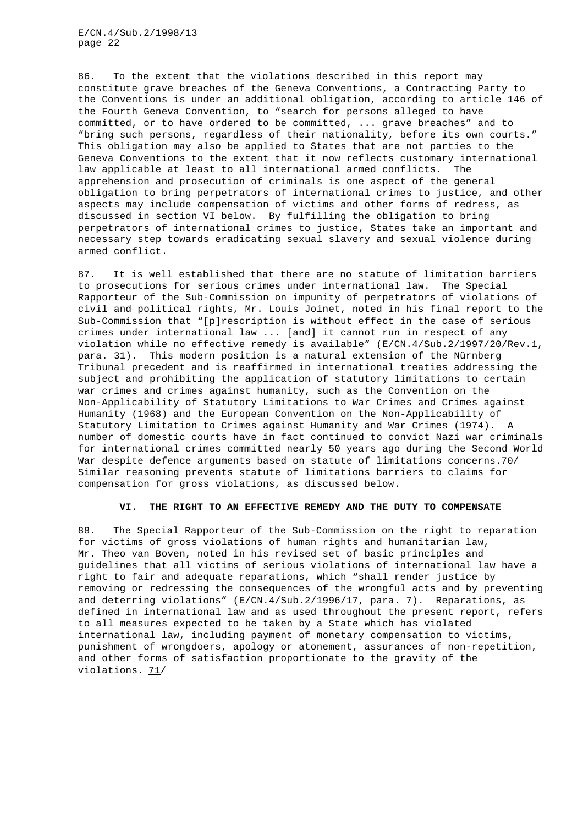86. To the extent that the violations described in this report may constitute grave breaches of the Geneva Conventions, a Contracting Party to the Conventions is under an additional obligation, according to article 146 of the Fourth Geneva Convention, to "search for persons alleged to have committed, or to have ordered to be committed, ... grave breaches" and to "bring such persons, regardless of their nationality, before its own courts." This obligation may also be applied to States that are not parties to the Geneva Conventions to the extent that it now reflects customary international law applicable at least to all international armed conflicts. The apprehension and prosecution of criminals is one aspect of the general obligation to bring perpetrators of international crimes to justice, and other aspects may include compensation of victims and other forms of redress, as discussed in section VI below. By fulfilling the obligation to bring perpetrators of international crimes to justice, States take an important and necessary step towards eradicating sexual slavery and sexual violence during armed conflict.

87. It is well established that there are no statute of limitation barriers to prosecutions for serious crimes under international law. The Special Rapporteur of the Sub-Commission on impunity of perpetrators of violations of civil and political rights, Mr. Louis Joinet, noted in his final report to the Sub-Commission that "[p]rescription is without effect in the case of serious crimes under international law ... [and] it cannot run in respect of any violation while no effective remedy is available" (E/CN.4/Sub.2/1997/20/Rev.1, para. 31). This modern position is a natural extension of the Nürnberg Tribunal precedent and is reaffirmed in international treaties addressing the subject and prohibiting the application of statutory limitations to certain war crimes and crimes against humanity, such as the Convention on the Non-Applicability of Statutory Limitations to War Crimes and Crimes against Humanity (1968) and the European Convention on the Non-Applicability of Statutory Limitation to Crimes against Humanity and War Crimes (1974). A number of domestic courts have in fact continued to convict Nazi war criminals for international crimes committed nearly 50 years ago during the Second World War despite defence arguments based on statute of limitations concerns. 70/ Similar reasoning prevents statute of limitations barriers to claims for compensation for gross violations, as discussed below.

#### **VI. THE RIGHT TO AN EFFECTIVE REMEDY AND THE DUTY TO COMPENSATE**

88. The Special Rapporteur of the Sub-Commission on the right to reparation for victims of gross violations of human rights and humanitarian law, Mr. Theo van Boven, noted in his revised set of basic principles and guidelines that all victims of serious violations of international law have a right to fair and adequate reparations, which "shall render justice by removing or redressing the consequences of the wrongful acts and by preventing and deterring violations" (E/CN.4/Sub.2/1996/17, para. 7). Reparations, as defined in international law and as used throughout the present report, refers to all measures expected to be taken by a State which has violated international law, including payment of monetary compensation to victims, punishment of wrongdoers, apology or atonement, assurances of non-repetition, and other forms of satisfaction proportionate to the gravity of the violations. 71/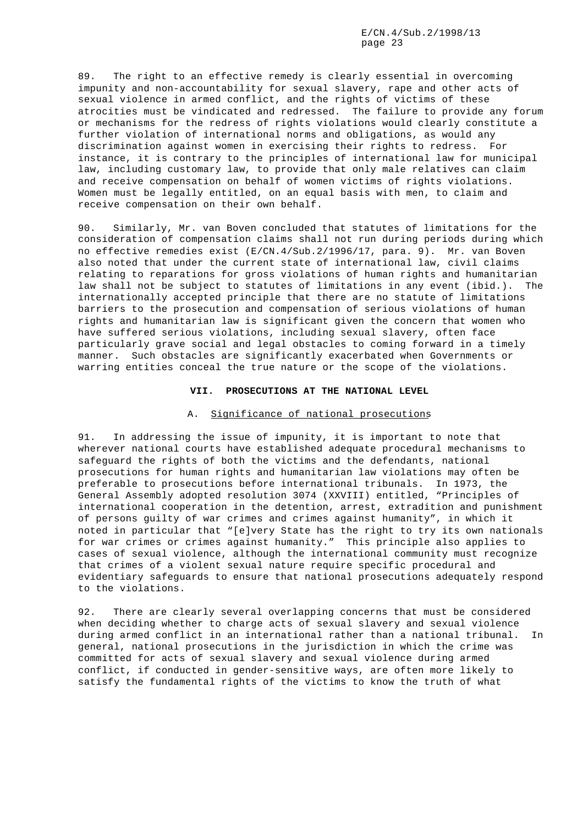89. The right to an effective remedy is clearly essential in overcoming impunity and non-accountability for sexual slavery, rape and other acts of sexual violence in armed conflict, and the rights of victims of these atrocities must be vindicated and redressed. The failure to provide any forum or mechanisms for the redress of rights violations would clearly constitute a further violation of international norms and obligations, as would any discrimination against women in exercising their rights to redress. For instance, it is contrary to the principles of international law for municipal law, including customary law, to provide that only male relatives can claim and receive compensation on behalf of women victims of rights violations. Women must be legally entitled, on an equal basis with men, to claim and receive compensation on their own behalf.

90. Similarly, Mr. van Boven concluded that statutes of limitations for the consideration of compensation claims shall not run during periods during which no effective remedies exist (E/CN.4/Sub.2/1996/17, para. 9). Mr. van Boven also noted that under the current state of international law, civil claims relating to reparations for gross violations of human rights and humanitarian law shall not be subject to statutes of limitations in any event (ibid.). The internationally accepted principle that there are no statute of limitations barriers to the prosecution and compensation of serious violations of human rights and humanitarian law is significant given the concern that women who have suffered serious violations, including sexual slavery, often face particularly grave social and legal obstacles to coming forward in a timely manner. Such obstacles are significantly exacerbated when Governments or warring entities conceal the true nature or the scope of the violations.

## **VII. PROSECUTIONS AT THE NATIONAL LEVEL**

### A. Significance of national prosecutions

91. In addressing the issue of impunity, it is important to note that wherever national courts have established adequate procedural mechanisms to safeguard the rights of both the victims and the defendants, national prosecutions for human rights and humanitarian law violations may often be preferable to prosecutions before international tribunals. In 1973, the General Assembly adopted resolution 3074 (XXVIII) entitled, "Principles of international cooperation in the detention, arrest, extradition and punishment of persons guilty of war crimes and crimes against humanity", in which it noted in particular that "[e]very State has the right to try its own nationals for war crimes or crimes against humanity." This principle also applies to cases of sexual violence, although the international community must recognize that crimes of a violent sexual nature require specific procedural and evidentiary safeguards to ensure that national prosecutions adequately respond to the violations.

92. There are clearly several overlapping concerns that must be considered when deciding whether to charge acts of sexual slavery and sexual violence during armed conflict in an international rather than a national tribunal. In general, national prosecutions in the jurisdiction in which the crime was committed for acts of sexual slavery and sexual violence during armed conflict, if conducted in gender-sensitive ways, are often more likely to satisfy the fundamental rights of the victims to know the truth of what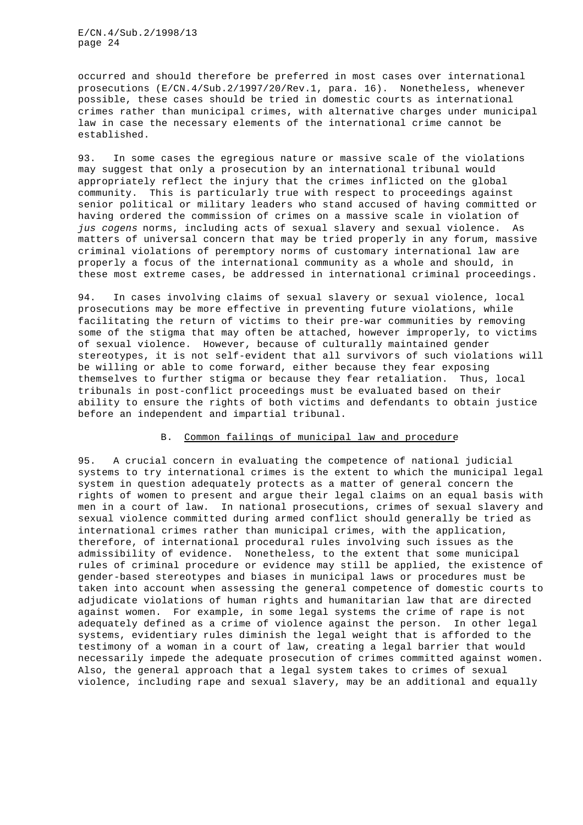occurred and should therefore be preferred in most cases over international prosecutions (E/CN.4/Sub.2/1997/20/Rev.1, para. 16). Nonetheless, whenever possible, these cases should be tried in domestic courts as international crimes rather than municipal crimes, with alternative charges under municipal law in case the necessary elements of the international crime cannot be established.

93. In some cases the egregious nature or massive scale of the violations may suggest that only a prosecution by an international tribunal would appropriately reflect the injury that the crimes inflicted on the global community. This is particularly true with respect to proceedings against senior political or military leaders who stand accused of having committed or having ordered the commission of crimes on a massive scale in violation of *jus cogens* norms, including acts of sexual slavery and sexual violence. As matters of universal concern that may be tried properly in any forum, massive criminal violations of peremptory norms of customary international law are properly a focus of the international community as a whole and should, in these most extreme cases, be addressed in international criminal proceedings.

94. In cases involving claims of sexual slavery or sexual violence, local prosecutions may be more effective in preventing future violations, while facilitating the return of victims to their pre-war communities by removing some of the stigma that may often be attached, however improperly, to victims of sexual violence. However, because of culturally maintained gender stereotypes, it is not self-evident that all survivors of such violations will be willing or able to come forward, either because they fear exposing themselves to further stigma or because they fear retaliation. Thus, local tribunals in post-conflict proceedings must be evaluated based on their ability to ensure the rights of both victims and defendants to obtain justice before an independent and impartial tribunal.

#### B. Common failings of municipal law and procedure

95. A crucial concern in evaluating the competence of national judicial systems to try international crimes is the extent to which the municipal legal system in question adequately protects as a matter of general concern the rights of women to present and argue their legal claims on an equal basis with men in a court of law. In national prosecutions, crimes of sexual slavery and sexual violence committed during armed conflict should generally be tried as international crimes rather than municipal crimes, with the application, therefore, of international procedural rules involving such issues as the admissibility of evidence. Nonetheless, to the extent that some municipal rules of criminal procedure or evidence may still be applied, the existence of gender-based stereotypes and biases in municipal laws or procedures must be taken into account when assessing the general competence of domestic courts to adjudicate violations of human rights and humanitarian law that are directed against women. For example, in some legal systems the crime of rape is not adequately defined as a crime of violence against the person. In other legal systems, evidentiary rules diminish the legal weight that is afforded to the testimony of a woman in a court of law, creating a legal barrier that would necessarily impede the adequate prosecution of crimes committed against women. Also, the general approach that a legal system takes to crimes of sexual violence, including rape and sexual slavery, may be an additional and equally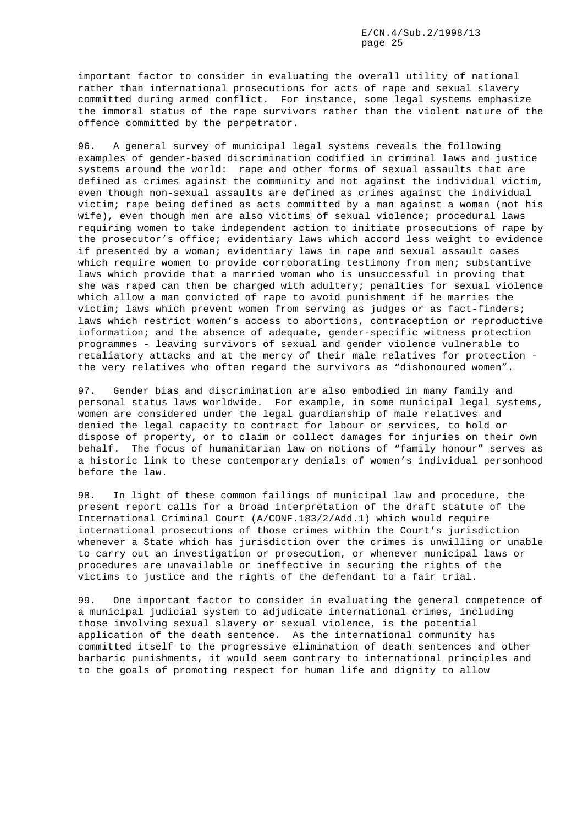important factor to consider in evaluating the overall utility of national rather than international prosecutions for acts of rape and sexual slavery committed during armed conflict. For instance, some legal systems emphasize the immoral status of the rape survivors rather than the violent nature of the offence committed by the perpetrator.

96. A general survey of municipal legal systems reveals the following examples of gender-based discrimination codified in criminal laws and justice systems around the world: rape and other forms of sexual assaults that are defined as crimes against the community and not against the individual victim, even though non-sexual assaults are defined as crimes against the individual victim; rape being defined as acts committed by a man against a woman (not his wife), even though men are also victims of sexual violence; procedural laws requiring women to take independent action to initiate prosecutions of rape by the prosecutor's office; evidentiary laws which accord less weight to evidence if presented by a woman; evidentiary laws in rape and sexual assault cases which require women to provide corroborating testimony from men; substantive laws which provide that a married woman who is unsuccessful in proving that she was raped can then be charged with adultery; penalties for sexual violence which allow a man convicted of rape to avoid punishment if he marries the victim; laws which prevent women from serving as judges or as fact-finders; laws which restrict women's access to abortions, contraception or reproductive information; and the absence of adequate, gender-specific witness protection programmes - leaving survivors of sexual and gender violence vulnerable to retaliatory attacks and at the mercy of their male relatives for protection the very relatives who often regard the survivors as "dishonoured women".

97. Gender bias and discrimination are also embodied in many family and personal status laws worldwide. For example, in some municipal legal systems, women are considered under the legal guardianship of male relatives and denied the legal capacity to contract for labour or services, to hold or dispose of property, or to claim or collect damages for injuries on their own behalf. The focus of humanitarian law on notions of "family honour" serves as a historic link to these contemporary denials of women's individual personhood before the law.

98. In light of these common failings of municipal law and procedure, the present report calls for a broad interpretation of the draft statute of the International Criminal Court (A/CONF.183/2/Add.1) which would require international prosecutions of those crimes within the Court's jurisdiction whenever a State which has jurisdiction over the crimes is unwilling or unable to carry out an investigation or prosecution, or whenever municipal laws or procedures are unavailable or ineffective in securing the rights of the victims to justice and the rights of the defendant to a fair trial.

99. One important factor to consider in evaluating the general competence of a municipal judicial system to adjudicate international crimes, including those involving sexual slavery or sexual violence, is the potential application of the death sentence. As the international community has committed itself to the progressive elimination of death sentences and other barbaric punishments, it would seem contrary to international principles and to the goals of promoting respect for human life and dignity to allow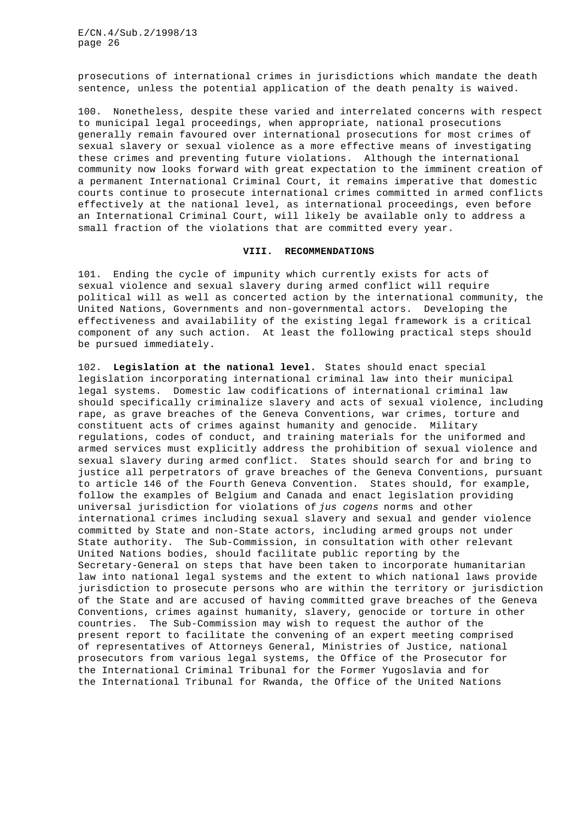prosecutions of international crimes in jurisdictions which mandate the death sentence, unless the potential application of the death penalty is waived.

100. Nonetheless, despite these varied and interrelated concerns with respect to municipal legal proceedings, when appropriate, national prosecutions generally remain favoured over international prosecutions for most crimes of sexual slavery or sexual violence as a more effective means of investigating these crimes and preventing future violations. Although the international community now looks forward with great expectation to the imminent creation of a permanent International Criminal Court, it remains imperative that domestic courts continue to prosecute international crimes committed in armed conflicts effectively at the national level, as international proceedings, even before an International Criminal Court, will likely be available only to address a small fraction of the violations that are committed every year.

## **VIII. RECOMMENDATIONS**

101. Ending the cycle of impunity which currently exists for acts of sexual violence and sexual slavery during armed conflict will require political will as well as concerted action by the international community, the United Nations, Governments and non-governmental actors. Developing the effectiveness and availability of the existing legal framework is a critical component of any such action. At least the following practical steps should be pursued immediately.

102. **Legislation at the national level.** States should enact special legislation incorporating international criminal law into their municipal legal systems. Domestic law codifications of international criminal law should specifically criminalize slavery and acts of sexual violence, including rape, as grave breaches of the Geneva Conventions, war crimes, torture and constituent acts of crimes against humanity and genocide. Military regulations, codes of conduct, and training materials for the uniformed and armed services must explicitly address the prohibition of sexual violence and sexual slavery during armed conflict. States should search for and bring to justice all perpetrators of grave breaches of the Geneva Conventions, pursuant to article 146 of the Fourth Geneva Convention. States should, for example, follow the examples of Belgium and Canada and enact legislation providing universal jurisdiction for violations of *jus cogens* norms and other international crimes including sexual slavery and sexual and gender violence committed by State and non-State actors, including armed groups not under State authority. The Sub-Commission, in consultation with other relevant United Nations bodies, should facilitate public reporting by the Secretary-General on steps that have been taken to incorporate humanitarian law into national legal systems and the extent to which national laws provide jurisdiction to prosecute persons who are within the territory or jurisdiction of the State and are accused of having committed grave breaches of the Geneva Conventions, crimes against humanity, slavery, genocide or torture in other countries. The Sub-Commission may wish to request the author of the present report to facilitate the convening of an expert meeting comprised of representatives of Attorneys General, Ministries of Justice, national prosecutors from various legal systems, the Office of the Prosecutor for the International Criminal Tribunal for the Former Yugoslavia and for the International Tribunal for Rwanda, the Office of the United Nations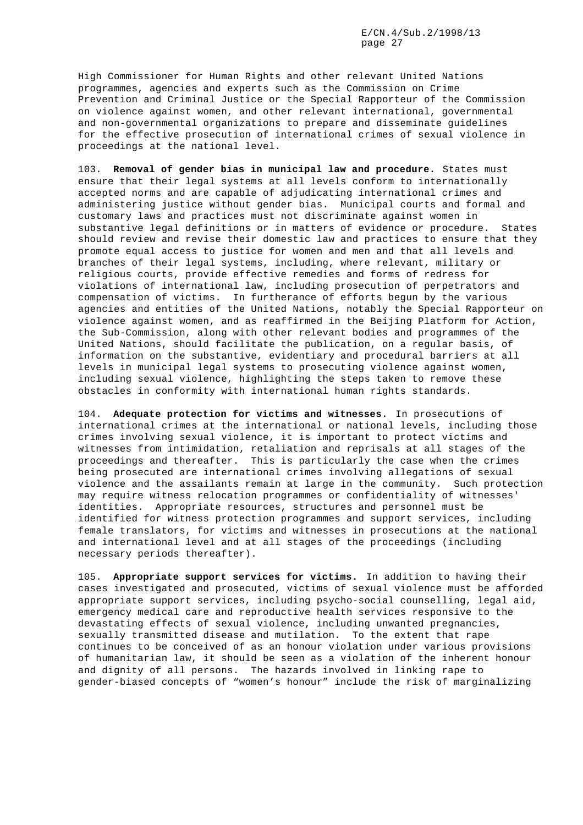High Commissioner for Human Rights and other relevant United Nations programmes, agencies and experts such as the Commission on Crime Prevention and Criminal Justice or the Special Rapporteur of the Commission on violence against women, and other relevant international, governmental and non-governmental organizations to prepare and disseminate guidelines for the effective prosecution of international crimes of sexual violence in proceedings at the national level.

103. **Removal of gender bias in municipal law and procedure.** States must ensure that their legal systems at all levels conform to internationally accepted norms and are capable of adjudicating international crimes and administering justice without gender bias. Municipal courts and formal and customary laws and practices must not discriminate against women in substantive legal definitions or in matters of evidence or procedure. States should review and revise their domestic law and practices to ensure that they promote equal access to justice for women and men and that all levels and branches of their legal systems, including, where relevant, military or religious courts, provide effective remedies and forms of redress for violations of international law, including prosecution of perpetrators and compensation of victims. In furtherance of efforts begun by the various agencies and entities of the United Nations, notably the Special Rapporteur on violence against women, and as reaffirmed in the Beijing Platform for Action, the Sub-Commission, along with other relevant bodies and programmes of the United Nations, should facilitate the publication, on a regular basis, of information on the substantive, evidentiary and procedural barriers at all levels in municipal legal systems to prosecuting violence against women, including sexual violence, highlighting the steps taken to remove these obstacles in conformity with international human rights standards.

104. **Adequate protection for victims and witnesses.** In prosecutions of international crimes at the international or national levels, including those crimes involving sexual violence, it is important to protect victims and witnesses from intimidation, retaliation and reprisals at all stages of the proceedings and thereafter. This is particularly the case when the crimes being prosecuted are international crimes involving allegations of sexual violence and the assailants remain at large in the community. Such protection may require witness relocation programmes or confidentiality of witnesses' identities. Appropriate resources, structures and personnel must be identified for witness protection programmes and support services, including female translators, for victims and witnesses in prosecutions at the national and international level and at all stages of the proceedings (including necessary periods thereafter).

105. **Appropriate support services for victims.** In addition to having their cases investigated and prosecuted, victims of sexual violence must be afforded appropriate support services, including psycho-social counselling, legal aid, emergency medical care and reproductive health services responsive to the devastating effects of sexual violence, including unwanted pregnancies, sexually transmitted disease and mutilation. To the extent that rape continues to be conceived of as an honour violation under various provisions of humanitarian law, it should be seen as a violation of the inherent honour and dignity of all persons. The hazards involved in linking rape to gender-biased concepts of "women's honour" include the risk of marginalizing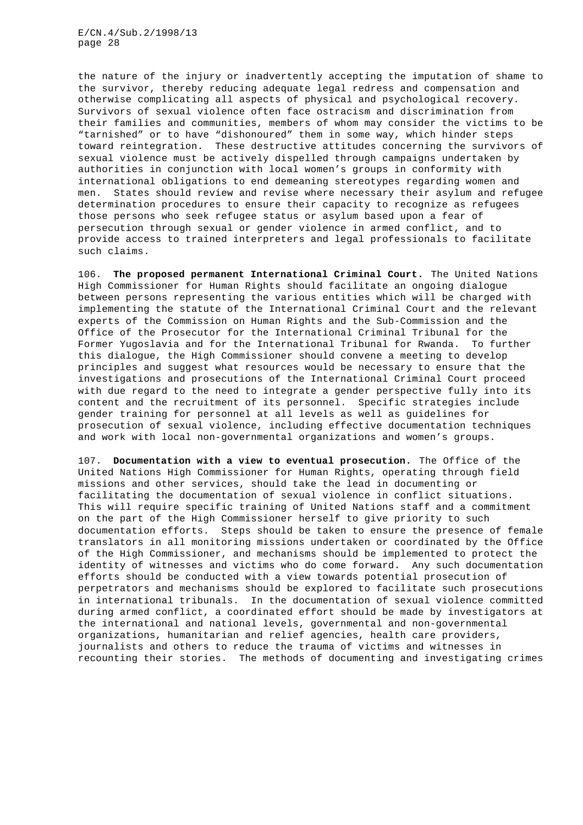the nature of the injury or inadvertently accepting the imputation of shame to the survivor, thereby reducing adequate legal redress and compensation and otherwise complicating all aspects of physical and psychological recovery. Survivors of sexual violence often face ostracism and discrimination from their families and communities, members of whom may consider the victims to be "tarnished" or to have "dishonoured" them in some way, which hinder steps toward reintegration. These destructive attitudes concerning the survivors of sexual violence must be actively dispelled through campaigns undertaken by authorities in conjunction with local women's groups in conformity with international obligations to end demeaning stereotypes regarding women and men. States should review and revise where necessary their asylum and refugee determination procedures to ensure their capacity to recognize as refugees those persons who seek refugee status or asylum based upon a fear of persecution through sexual or gender violence in armed conflict, and to provide access to trained interpreters and legal professionals to facilitate such claims.

106. **The proposed permanent International Criminal Court.** The United Nations High Commissioner for Human Rights should facilitate an ongoing dialogue between persons representing the various entities which will be charged with implementing the statute of the International Criminal Court and the relevant experts of the Commission on Human Rights and the Sub-Commission and the Office of the Prosecutor for the International Criminal Tribunal for the Former Yugoslavia and for the International Tribunal for Rwanda. To further this dialogue, the High Commissioner should convene a meeting to develop principles and suggest what resources would be necessary to ensure that the investigations and prosecutions of the International Criminal Court proceed with due regard to the need to integrate a gender perspective fully into its content and the recruitment of its personnel. Specific strategies include gender training for personnel at all levels as well as guidelines for prosecution of sexual violence, including effective documentation techniques and work with local non-governmental organizations and women's groups.

107. **Documentation with a view to eventual prosecution.** The Office of the United Nations High Commissioner for Human Rights, operating through field missions and other services, should take the lead in documenting or facilitating the documentation of sexual violence in conflict situations. This will require specific training of United Nations staff and a commitment on the part of the High Commissioner herself to give priority to such documentation efforts. Steps should be taken to ensure the presence of female translators in all monitoring missions undertaken or coordinated by the Office of the High Commissioner, and mechanisms should be implemented to protect the identity of witnesses and victims who do come forward. Any such documentation efforts should be conducted with a view towards potential prosecution of perpetrators and mechanisms should be explored to facilitate such prosecutions in international tribunals. In the documentation of sexual violence committed during armed conflict, a coordinated effort should be made by investigators at the international and national levels, governmental and non-governmental organizations, humanitarian and relief agencies, health care providers, journalists and others to reduce the trauma of victims and witnesses in recounting their stories. The methods of documenting and investigating crimes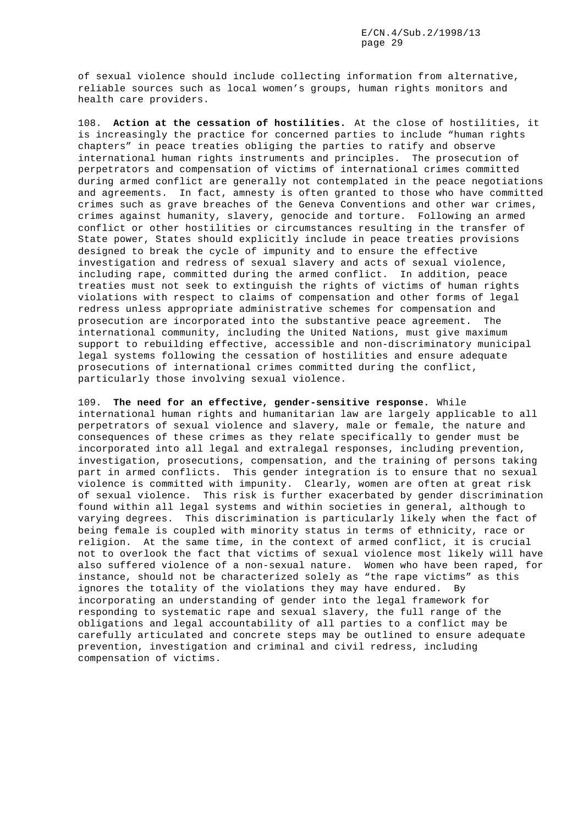of sexual violence should include collecting information from alternative, reliable sources such as local women's groups, human rights monitors and health care providers.

108. **Action at the cessation of hostilities.** At the close of hostilities, it is increasingly the practice for concerned parties to include "human rights chapters" in peace treaties obliging the parties to ratify and observe international human rights instruments and principles. The prosecution of perpetrators and compensation of victims of international crimes committed during armed conflict are generally not contemplated in the peace negotiations and agreements. In fact, amnesty is often granted to those who have committed crimes such as grave breaches of the Geneva Conventions and other war crimes, crimes against humanity, slavery, genocide and torture. Following an armed conflict or other hostilities or circumstances resulting in the transfer of State power, States should explicitly include in peace treaties provisions designed to break the cycle of impunity and to ensure the effective investigation and redress of sexual slavery and acts of sexual violence, including rape, committed during the armed conflict. In addition, peace treaties must not seek to extinguish the rights of victims of human rights violations with respect to claims of compensation and other forms of legal redress unless appropriate administrative schemes for compensation and prosecution are incorporated into the substantive peace agreement. The international community, including the United Nations, must give maximum support to rebuilding effective, accessible and non-discriminatory municipal legal systems following the cessation of hostilities and ensure adequate prosecutions of international crimes committed during the conflict, particularly those involving sexual violence.

109. **The need for an effective, gender-sensitive response.** While international human rights and humanitarian law are largely applicable to all perpetrators of sexual violence and slavery, male or female, the nature and consequences of these crimes as they relate specifically to gender must be incorporated into all legal and extralegal responses, including prevention, investigation, prosecutions, compensation, and the training of persons taking part in armed conflicts. This gender integration is to ensure that no sexual violence is committed with impunity. Clearly, women are often at great risk of sexual violence. This risk is further exacerbated by gender discrimination found within all legal systems and within societies in general, although to varying degrees. This discrimination is particularly likely when the fact of being female is coupled with minority status in terms of ethnicity, race or religion. At the same time, in the context of armed conflict, it is crucial not to overlook the fact that victims of sexual violence most likely will have also suffered violence of a non-sexual nature. Women who have been raped, for instance, should not be characterized solely as "the rape victims" as this ignores the totality of the violations they may have endured. By incorporating an understanding of gender into the legal framework for responding to systematic rape and sexual slavery, the full range of the obligations and legal accountability of all parties to a conflict may be carefully articulated and concrete steps may be outlined to ensure adequate prevention, investigation and criminal and civil redress, including compensation of victims.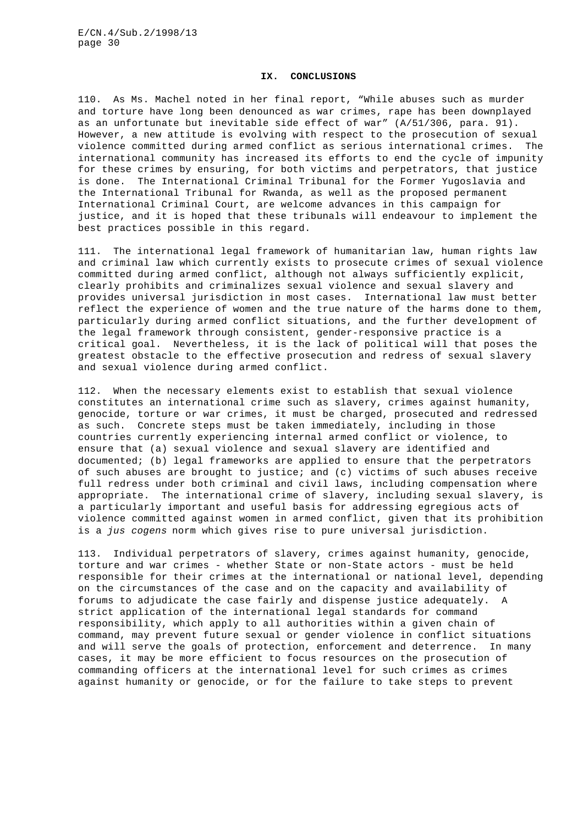#### **IX. CONCLUSIONS**

110. As Ms. Machel noted in her final report, "While abuses such as murder and torture have long been denounced as war crimes, rape has been downplayed as an unfortunate but inevitable side effect of war" (A/51/306, para. 91). However, a new attitude is evolving with respect to the prosecution of sexual violence committed during armed conflict as serious international crimes. The international community has increased its efforts to end the cycle of impunity for these crimes by ensuring, for both victims and perpetrators, that justice is done. The International Criminal Tribunal for the Former Yugoslavia and the International Tribunal for Rwanda, as well as the proposed permanent International Criminal Court, are welcome advances in this campaign for justice, and it is hoped that these tribunals will endeavour to implement the best practices possible in this regard.

111. The international legal framework of humanitarian law, human rights law and criminal law which currently exists to prosecute crimes of sexual violence committed during armed conflict, although not always sufficiently explicit, clearly prohibits and criminalizes sexual violence and sexual slavery and provides universal jurisdiction in most cases. International law must better reflect the experience of women and the true nature of the harms done to them, particularly during armed conflict situations, and the further development of the legal framework through consistent, gender-responsive practice is a critical goal. Nevertheless, it is the lack of political will that poses the greatest obstacle to the effective prosecution and redress of sexual slavery and sexual violence during armed conflict.

112. When the necessary elements exist to establish that sexual violence constitutes an international crime such as slavery, crimes against humanity, genocide, torture or war crimes, it must be charged, prosecuted and redressed as such. Concrete steps must be taken immediately, including in those countries currently experiencing internal armed conflict or violence, to ensure that (a) sexual violence and sexual slavery are identified and documented; (b) legal frameworks are applied to ensure that the perpetrators of such abuses are brought to justice; and (c) victims of such abuses receive full redress under both criminal and civil laws, including compensation where appropriate. The international crime of slavery, including sexual slavery, is a particularly important and useful basis for addressing egregious acts of violence committed against women in armed conflict, given that its prohibition is a *jus cogens* norm which gives rise to pure universal jurisdiction.

113. Individual perpetrators of slavery, crimes against humanity, genocide, torture and war crimes - whether State or non-State actors - must be held responsible for their crimes at the international or national level, depending on the circumstances of the case and on the capacity and availability of forums to adjudicate the case fairly and dispense justice adequately. A strict application of the international legal standards for command responsibility, which apply to all authorities within a given chain of command, may prevent future sexual or gender violence in conflict situations and will serve the goals of protection, enforcement and deterrence. In many cases, it may be more efficient to focus resources on the prosecution of commanding officers at the international level for such crimes as crimes against humanity or genocide, or for the failure to take steps to prevent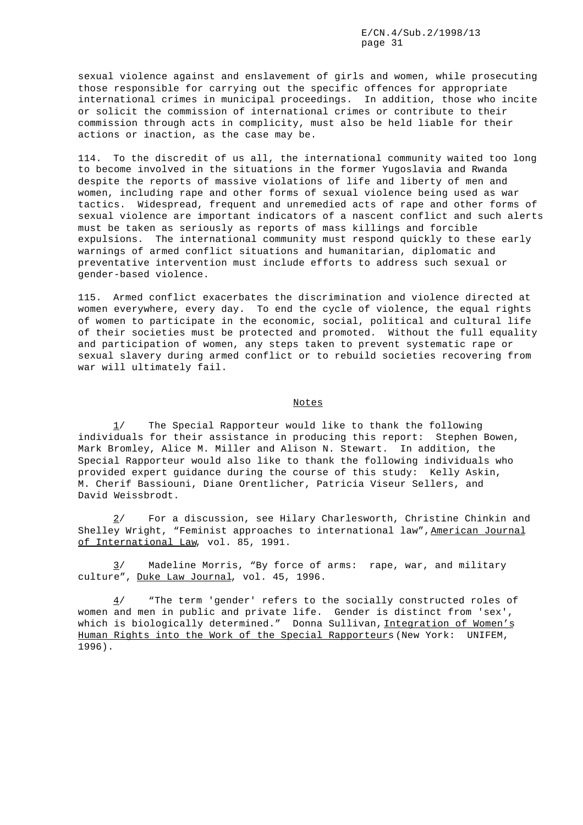sexual violence against and enslavement of girls and women, while prosecuting those responsible for carrying out the specific offences for appropriate international crimes in municipal proceedings. In addition, those who incite or solicit the commission of international crimes or contribute to their commission through acts in complicity, must also be held liable for their actions or inaction, as the case may be.

114. To the discredit of us all, the international community waited too long to become involved in the situations in the former Yugoslavia and Rwanda despite the reports of massive violations of life and liberty of men and women, including rape and other forms of sexual violence being used as war tactics. Widespread, frequent and unremedied acts of rape and other forms of sexual violence are important indicators of a nascent conflict and such alerts must be taken as seriously as reports of mass killings and forcible expulsions. The international community must respond quickly to these early warnings of armed conflict situations and humanitarian, diplomatic and preventative intervention must include efforts to address such sexual or gender-based violence.

115. Armed conflict exacerbates the discrimination and violence directed at women everywhere, every day. To end the cycle of violence, the equal rights of women to participate in the economic, social, political and cultural life of their societies must be protected and promoted. Without the full equality and participation of women, any steps taken to prevent systematic rape or sexual slavery during armed conflict or to rebuild societies recovering from war will ultimately fail.

#### Notes

1/ The Special Rapporteur would like to thank the following individuals for their assistance in producing this report: Stephen Bowen, Mark Bromley, Alice M. Miller and Alison N. Stewart. In addition, the Special Rapporteur would also like to thank the following individuals who provided expert guidance during the course of this study: Kelly Askin, M. Cherif Bassiouni, Diane Orentlicher, Patricia Viseur Sellers, and David Weissbrodt.

2/ For a discussion, see Hilary Charlesworth, Christine Chinkin and Shelley Wright, "Feminist approaches to international law", American Journal of International Law, vol. 85, 1991.

3/ Madeline Morris, "By force of arms: rape, war, and military culture", Duke Law Journal, vol. 45, 1996.

4/ "The term 'gender' refers to the socially constructed roles of women and men in public and private life. Gender is distinct from 'sex', which is biologically determined." Donna Sullivan, Integration of Women's Human Rights into the Work of the Special Rapporteurs (New York: UNIFEM, 1996).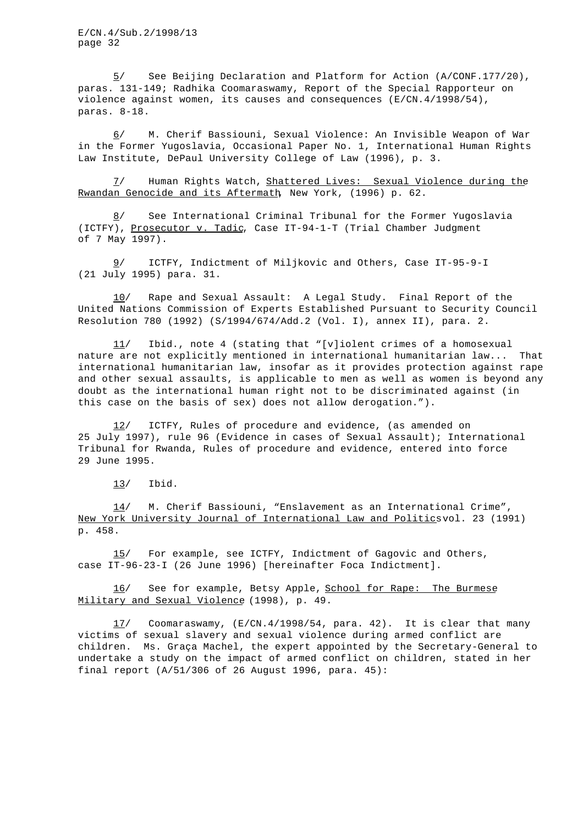5/ See Beijing Declaration and Platform for Action (A/CONF.177/20), paras. 131-149; Radhika Coomaraswamy, Report of the Special Rapporteur on violence against women, its causes and consequences (E/CN.4/1998/54), paras. 8-18.

6/ M. Cherif Bassiouni, Sexual Violence: An Invisible Weapon of War in the Former Yugoslavia, Occasional Paper No. 1, International Human Rights Law Institute, DePaul University College of Law (1996), p. 3.

7/ Human Rights Watch, Shattered Lives: Sexual Violence during the Rwandan Genocide and its Aftermath, New York, (1996) p. 62.

8/ See International Criminal Tribunal for the Former Yugoslavia (ICTFY), Prosecutor v. Tadic, Case IT-94-1-T (Trial Chamber Judgment of 7 May 1997).

9/ ICTFY, Indictment of Miljkovic and Others, Case IT-95-9-I (21 July 1995) para. 31.

10/ Rape and Sexual Assault: A Legal Study. Final Report of the United Nations Commission of Experts Established Pursuant to Security Council Resolution 780 (1992) (S/1994/674/Add.2 (Vol. I), annex II), para. 2.

11/ Ibid., note 4 (stating that "[v]iolent crimes of a homosexual nature are not explicitly mentioned in international humanitarian law... That international humanitarian law, insofar as it provides protection against rape and other sexual assaults, is applicable to men as well as women is beyond any doubt as the international human right not to be discriminated against (in this case on the basis of sex) does not allow derogation.").

12/ ICTFY, Rules of procedure and evidence, (as amended on 25 July 1997), rule 96 (Evidence in cases of Sexual Assault); International Tribunal for Rwanda, Rules of procedure and evidence, entered into force 29 June 1995.

13/ Ibid.

14/ M. Cherif Bassiouni, "Enslavement as an International Crime", New York University Journal of International Law and Politics vol. 23 (1991) p. 458.

15/ For example, see ICTFY, Indictment of Gagovic and Others, case IT-96-23-I (26 June 1996) [hereinafter Foca Indictment].

16/ See for example, Betsy Apple, School for Rape: The Burmese Military and Sexual Violence (1998), p. 49.

17/ Coomaraswamy,  $(E/CN.4/1998/54$ , para. 42). It is clear that many victims of sexual slavery and sexual violence during armed conflict are children. Ms. Graça Machel, the expert appointed by the Secretary-General to undertake a study on the impact of armed conflict on children, stated in her final report (A/51/306 of 26 August 1996, para. 45):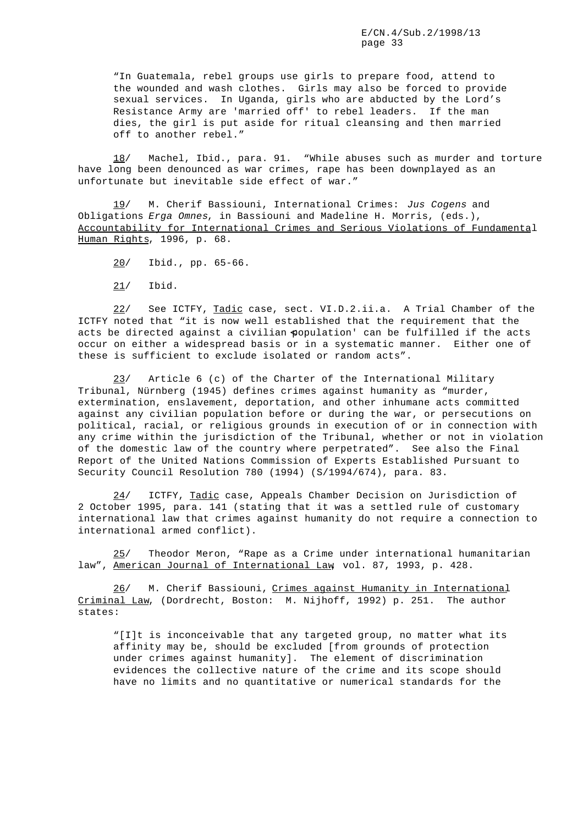"In Guatemala, rebel groups use girls to prepare food, attend to the wounded and wash clothes. Girls may also be forced to provide sexual services. In Uganda, girls who are abducted by the Lord's Resistance Army are 'married off' to rebel leaders. If the man dies, the girl is put aside for ritual cleansing and then married off to another rebel."

18/ Machel, Ibid., para. 91. "While abuses such as murder and torture have long been denounced as war crimes, rape has been downplayed as an unfortunate but inevitable side effect of war."

19/ M. Cherif Bassiouni, International Crimes: *Jus Cogens* and Obligations *Erga Omnes*, in Bassiouni and Madeline H. Morris, (eds.), Accountability for International Crimes and Serious Violations of Fundamental Human Rights, 1996, p. 68.

20/ Ibid., pp. 65-66.

21/ Ibid.

22/ See ICTFY, Tadic case, sect. VI.D.2.ii.a. A Trial Chamber of the ICTFY noted that "it is now well established that the requirement that the acts be directed against a civilian population' can be fulfilled if the acts occur on either a widespread basis or in a systematic manner. Either one of these is sufficient to exclude isolated or random acts".

23/ Article 6 (c) of the Charter of the International Military Tribunal, Nürnberg (1945) defines crimes against humanity as "murder, extermination, enslavement, deportation, and other inhumane acts committed against any civilian population before or during the war, or persecutions on political, racial, or religious grounds in execution of or in connection with any crime within the jurisdiction of the Tribunal, whether or not in violation of the domestic law of the country where perpetrated". See also the Final Report of the United Nations Commission of Experts Established Pursuant to Security Council Resolution 780 (1994) (S/1994/674), para. 83.

24/ ICTFY, Tadic case, Appeals Chamber Decision on Jurisdiction of 2 October 1995, para. 141 (stating that it was a settled rule of customary international law that crimes against humanity do not require a connection to international armed conflict).

25/ Theodor Meron, "Rape as a Crime under international humanitarian law", American Journal of International Law, vol. 87, 1993, p. 428.

26/ M. Cherif Bassiouni, Crimes against Humanity in International Criminal Law, (Dordrecht, Boston: M. Nijhoff, 1992) p. 251. The author states:

"[I]t is inconceivable that any targeted group, no matter what its affinity may be, should be excluded [from grounds of protection under crimes against humanity]. The element of discrimination evidences the collective nature of the crime and its scope should have no limits and no quantitative or numerical standards for the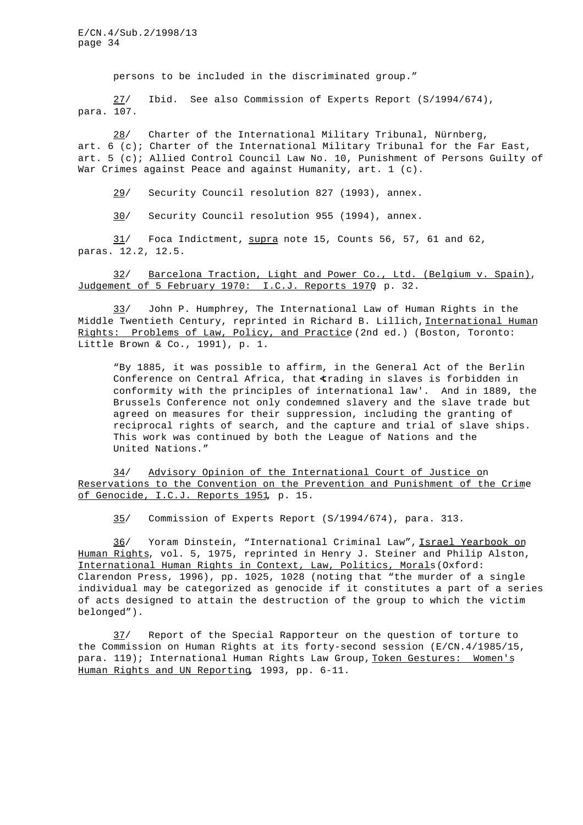persons to be included in the discriminated group."

27/ Ibid. See also Commission of Experts Report (S/1994/674), para. 107.

28/ Charter of the International Military Tribunal, Nürnberg, art. 6 (c); Charter of the International Military Tribunal for the Far East, art. 5 (c); Allied Control Council Law No. 10, Punishment of Persons Guilty of War Crimes against Peace and against Humanity, art. 1 (c).

29/ Security Council resolution 827 (1993), annex.

30/ Security Council resolution 955 (1994), annex.

 $31/$  Foca Indictment, supra note 15, Counts 56, 57, 61 and 62, paras. 12.2, 12.5.

32/ Barcelona Traction, Light and Power Co., Ltd. (Belgium v. Spain), Judgement of 5 February 1970: I.C.J. Reports 1970, p. 32.

33/ John P. Humphrey, The International Law of Human Rights in the Middle Twentieth Century, reprinted in Richard B. Lillich, International Human Rights: Problems of Law, Policy, and Practice (2nd ed.) (Boston, Toronto: Little Brown & Co., 1991), p. 1.

"By 1885, it was possible to affirm, in the General Act of the Berlin Conference on Central Africa, that trading in slaves is forbidden in conformity with the principles of international law'. And in 1889, the Brussels Conference not only condemned slavery and the slave trade but agreed on measures for their suppression, including the granting of reciprocal rights of search, and the capture and trial of slave ships. This work was continued by both the League of Nations and the United Nations."

34/ Advisory Opinion of the International Court of Justice on Reservations to the Convention on the Prevention and Punishment of the Crime of Genocide, I.C.J. Reports 1951, p. 15.

35/ Commission of Experts Report (S/1994/674), para. 313.

36/ Yoram Dinstein, "International Criminal Law", Israel Yearbook on Human Rights, vol. 5, 1975, reprinted in Henry J. Steiner and Philip Alston, International Human Rights in Context, Law, Politics, Morals (Oxford: Clarendon Press, 1996), pp. 1025, 1028 (noting that "the murder of a single individual may be categorized as genocide if it constitutes a part of a series of acts designed to attain the destruction of the group to which the victim belonged").

37/ Report of the Special Rapporteur on the question of torture to the Commission on Human Rights at its forty-second session (E/CN.4/1985/15, para. 119); International Human Rights Law Group, Token Gestures: Women's Human Rights and UN Reporting, 1993, pp. 6-11.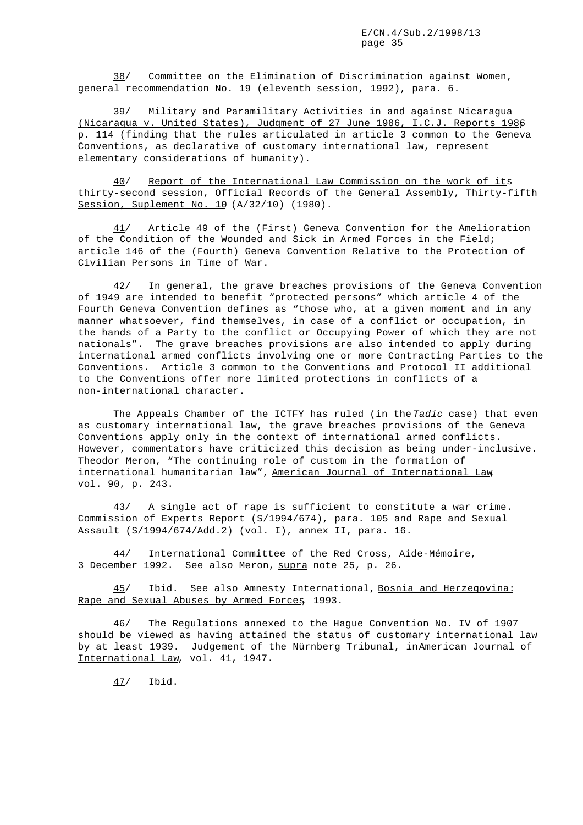38/ Committee on the Elimination of Discrimination against Women, general recommendation No. 19 (eleventh session, 1992), para. 6.

39/ Military and Paramilitary Activities in and against Nicaragua (Nicaragua v. United States), Judgment of 27 June 1986, I.C.J. Reports 1986, p. 114 (finding that the rules articulated in article 3 common to the Geneva Conventions, as declarative of customary international law, represent elementary considerations of humanity).

40/ Report of the International Law Commission on the work of its thirty-second session, Official Records of the General Assembly, Thirty-fifth Session, Suplement No. 10 (A/32/10) (1980).

41/ Article 49 of the (First) Geneva Convention for the Amelioration of the Condition of the Wounded and Sick in Armed Forces in the Field; article 146 of the (Fourth) Geneva Convention Relative to the Protection of Civilian Persons in Time of War.

42/ In general, the grave breaches provisions of the Geneva Convention of 1949 are intended to benefit "protected persons" which article 4 of the Fourth Geneva Convention defines as "those who, at a given moment and in any manner whatsoever, find themselves, in case of a conflict or occupation, in the hands of a Party to the conflict or Occupying Power of which they are not nationals". The grave breaches provisions are also intended to apply during international armed conflicts involving one or more Contracting Parties to the Conventions. Article 3 common to the Conventions and Protocol II additional to the Conventions offer more limited protections in conflicts of a non-international character.

The Appeals Chamber of the ICTFY has ruled (in the *Tadic* case) that even as customary international law, the grave breaches provisions of the Geneva Conventions apply only in the context of international armed conflicts. However, commentators have criticized this decision as being under-inclusive. Theodor Meron, "The continuing role of custom in the formation of international humanitarian law", American Journal of International Law, vol. 90, p. 243.

43/ A single act of rape is sufficient to constitute a war crime. Commission of Experts Report (S/1994/674), para. 105 and Rape and Sexual Assault (S/1994/674/Add.2) (vol. I), annex II, para. 16.

44/ International Committee of the Red Cross, Aide-Mémoire, 3 December 1992. See also Meron, supra note 25, p. 26.

45/ Ibid. See also Amnesty International, Bosnia and Herzegovina: Rape and Sexual Abuses by Armed Forces, 1993.

46/ The Regulations annexed to the Hague Convention No. IV of 1907 should be viewed as having attained the status of customary international law by at least 1939. Judgement of the Nürnberg Tribunal, in American Journal of International Law, vol. 41, 1947.

47/ Ibid.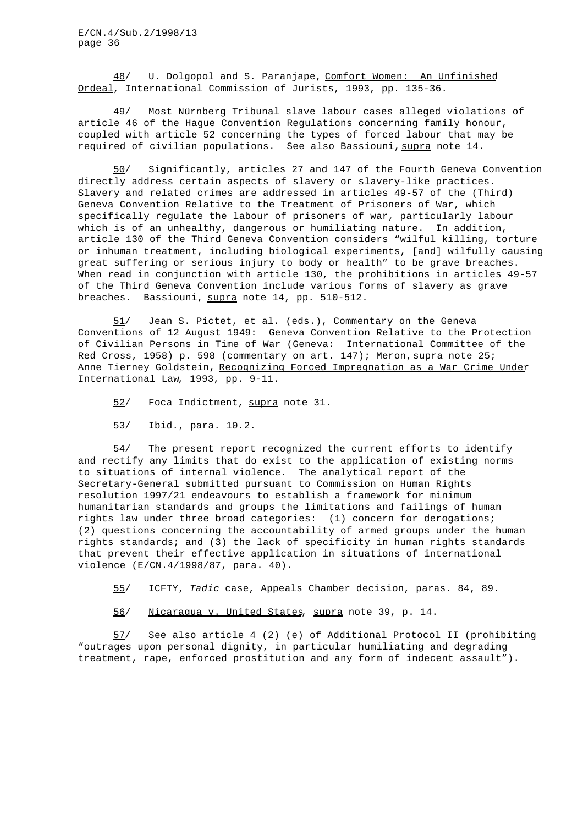48/ U. Dolgopol and S. Paranjape, Comfort Women: An Unfinished Ordeal, International Commission of Jurists, 1993, pp. 135-36.

49/ Most Nürnberg Tribunal slave labour cases alleged violations of article 46 of the Hague Convention Regulations concerning family honour, coupled with article 52 concerning the types of forced labour that may be required of civilian populations. See also Bassiouni, supra note 14.

50/ Significantly, articles 27 and 147 of the Fourth Geneva Convention directly address certain aspects of slavery or slavery-like practices. Slavery and related crimes are addressed in articles 49-57 of the (Third) Geneva Convention Relative to the Treatment of Prisoners of War, which specifically regulate the labour of prisoners of war, particularly labour which is of an unhealthy, dangerous or humiliating nature. In addition, article 130 of the Third Geneva Convention considers "wilful killing, torture or inhuman treatment, including biological experiments, [and] wilfully causing great suffering or serious injury to body or health" to be grave breaches. When read in conjunction with article 130, the prohibitions in articles 49-57 of the Third Geneva Convention include various forms of slavery as grave breaches. Bassiouni, supra note 14, pp. 510-512.

51/ Jean S. Pictet, et al. (eds.), Commentary on the Geneva Conventions of 12 August 1949: Geneva Convention Relative to the Protection of Civilian Persons in Time of War (Geneva: International Committee of the Red Cross, 1958) p. 598 (commentary on art. 147); Meron, supra note 25; Anne Tierney Goldstein, Recognizing Forced Impregnation as a War Crime Under International Law, 1993, pp. 9-11.

52/ Foca Indictment, supra note 31.

53/ Ibid., para. 10.2.

54/ The present report recognized the current efforts to identify and rectify any limits that do exist to the application of existing norms to situations of internal violence. The analytical report of the Secretary-General submitted pursuant to Commission on Human Rights resolution 1997/21 endeavours to establish a framework for minimum humanitarian standards and groups the limitations and failings of human rights law under three broad categories: (1) concern for derogations; (2) questions concerning the accountability of armed groups under the human rights standards; and (3) the lack of specificity in human rights standards that prevent their effective application in situations of international violence (E/CN.4/1998/87, para. 40).

55/ ICFTY, *Tadic* case, Appeals Chamber decision, paras. 84, 89.

56/ Nicaragua v. United States, supra note 39, p. 14.

57/ See also article 4 (2) (e) of Additional Protocol II (prohibiting "outrages upon personal dignity, in particular humiliating and degrading treatment, rape, enforced prostitution and any form of indecent assault").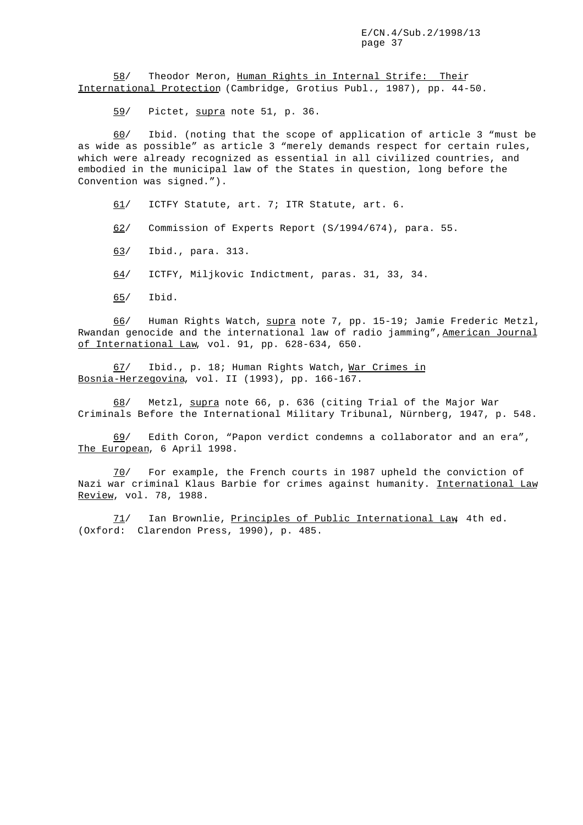58/ Theodor Meron, Human Rights in Internal Strife: Their International Protection (Cambridge, Grotius Publ., 1987), pp. 44-50.

59/ Pictet, supra note 51, p. 36.

60/ Ibid. (noting that the scope of application of article 3 "must be as wide as possible" as article 3 "merely demands respect for certain rules, which were already recognized as essential in all civilized countries, and embodied in the municipal law of the States in question, long before the Convention was signed.").

61/ ICTFY Statute, art. 7; ITR Statute, art. 6.

62/ Commission of Experts Report (S/1994/674), para. 55.

63/ Ibid., para. 313.

64/ ICTFY, Miljkovic Indictment, paras. 31, 33, 34.

65/ Ibid.

66/ Human Rights Watch, supra note 7, pp. 15-19; Jamie Frederic Metzl, Rwandan genocide and the international law of radio jamming", American Journal of International Law, vol. 91, pp. 628-634, 650.

67/ Ibid., p. 18; Human Rights Watch, War Crimes in Bosnia-Herzegovina, vol. II (1993), pp. 166-167.

68/ Metzl, supra note 66, p. 636 (citing Trial of the Major War Criminals Before the International Military Tribunal, Nürnberg, 1947, p. 548.

69/ Edith Coron, "Papon verdict condemns a collaborator and an era", The European, 6 April 1998.

70/ For example, the French courts in 1987 upheld the conviction of Nazi war criminal Klaus Barbie for crimes against humanity. International Law Review, vol. 78, 1988.

71/ Ian Brownlie, Principles of Public International Law, 4th ed. (Oxford: Clarendon Press, 1990), p. 485.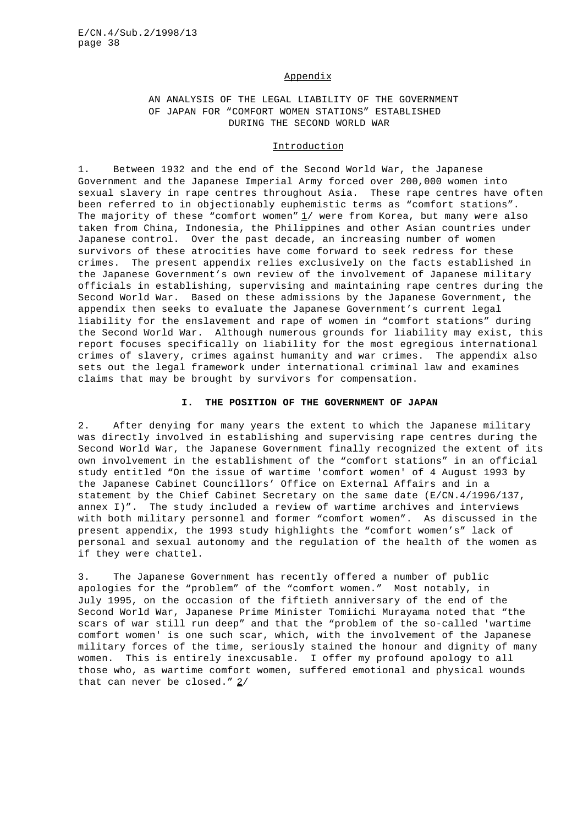#### Appendix

# AN ANALYSIS OF THE LEGAL LIABILITY OF THE GOVERNMENT OF JAPAN FOR "COMFORT WOMEN STATIONS" ESTABLISHED DURING THE SECOND WORLD WAR

#### Introduction

1. Between 1932 and the end of the Second World War, the Japanese Government and the Japanese Imperial Army forced over 200,000 women into sexual slavery in rape centres throughout Asia. These rape centres have often been referred to in objectionably euphemistic terms as "comfort stations". The majority of these "comfort women"  $\frac{1}{1}$  were from Korea, but many were also taken from China, Indonesia, the Philippines and other Asian countries under Japanese control. Over the past decade, an increasing number of women survivors of these atrocities have come forward to seek redress for these crimes. The present appendix relies exclusively on the facts established in the Japanese Government's own review of the involvement of Japanese military officials in establishing, supervising and maintaining rape centres during the Second World War. Based on these admissions by the Japanese Government, the appendix then seeks to evaluate the Japanese Government's current legal liability for the enslavement and rape of women in "comfort stations" during the Second World War. Although numerous grounds for liability may exist, this report focuses specifically on liability for the most egregious international crimes of slavery, crimes against humanity and war crimes. The appendix also sets out the legal framework under international criminal law and examines claims that may be brought by survivors for compensation.

## **I. THE POSITION OF THE GOVERNMENT OF JAPAN**

2. After denying for many years the extent to which the Japanese military was directly involved in establishing and supervising rape centres during the Second World War, the Japanese Government finally recognized the extent of its own involvement in the establishment of the "comfort stations" in an official study entitled "On the issue of wartime 'comfort women' of 4 August 1993 by the Japanese Cabinet Councillors' Office on External Affairs and in a statement by the Chief Cabinet Secretary on the same date (E/CN.4/1996/137, annex I)". The study included a review of wartime archives and interviews with both military personnel and former "comfort women". As discussed in the present appendix, the 1993 study highlights the "comfort women's" lack of personal and sexual autonomy and the regulation of the health of the women as if they were chattel.

3. The Japanese Government has recently offered a number of public apologies for the "problem" of the "comfort women." Most notably, in July 1995, on the occasion of the fiftieth anniversary of the end of the Second World War, Japanese Prime Minister Tomiichi Murayama noted that "the scars of war still run deep" and that the "problem of the so-called 'wartime comfort women' is one such scar, which, with the involvement of the Japanese military forces of the time, seriously stained the honour and dignity of many women. This is entirely inexcusable. I offer my profound apology to all those who, as wartime comfort women, suffered emotional and physical wounds that can never be closed." 2/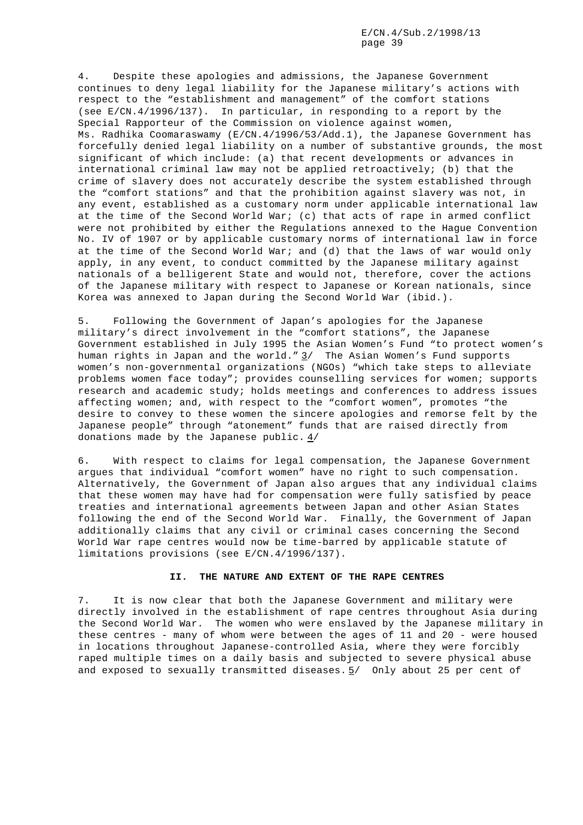4. Despite these apologies and admissions, the Japanese Government continues to deny legal liability for the Japanese military's actions with respect to the "establishment and management" of the comfort stations (see E/CN.4/1996/137). In particular, in responding to a report by the Special Rapporteur of the Commission on violence against women, Ms. Radhika Coomaraswamy (E/CN.4/1996/53/Add.1), the Japanese Government has forcefully denied legal liability on a number of substantive grounds, the most significant of which include: (a) that recent developments or advances in international criminal law may not be applied retroactively; (b) that the crime of slavery does not accurately describe the system established through the "comfort stations" and that the prohibition against slavery was not, in any event, established as a customary norm under applicable international law at the time of the Second World War; (c) that acts of rape in armed conflict were not prohibited by either the Regulations annexed to the Hague Convention No. IV of 1907 or by applicable customary norms of international law in force at the time of the Second World War; and (d) that the laws of war would only apply, in any event, to conduct committed by the Japanese military against nationals of a belligerent State and would not, therefore, cover the actions of the Japanese military with respect to Japanese or Korean nationals, since Korea was annexed to Japan during the Second World War (ibid.).

5. Following the Government of Japan's apologies for the Japanese military's direct involvement in the "comfort stations", the Japanese Government established in July 1995 the Asian Women's Fund "to protect women's human rights in Japan and the world." $3/$  The Asian Women's Fund supports women's non-governmental organizations (NGOs) "which take steps to alleviate problems women face today"; provides counselling services for women; supports research and academic study; holds meetings and conferences to address issues affecting women; and, with respect to the "comfort women", promotes "the desire to convey to these women the sincere apologies and remorse felt by the Japanese people" through "atonement" funds that are raised directly from donations made by the Japanese public.  $4/$ 

6. With respect to claims for legal compensation, the Japanese Government argues that individual "comfort women" have no right to such compensation. Alternatively, the Government of Japan also argues that any individual claims that these women may have had for compensation were fully satisfied by peace treaties and international agreements between Japan and other Asian States following the end of the Second World War. Finally, the Government of Japan additionally claims that any civil or criminal cases concerning the Second World War rape centres would now be time-barred by applicable statute of limitations provisions (see E/CN.4/1996/137).

#### **II. THE NATURE AND EXTENT OF THE RAPE CENTRES**

7. It is now clear that both the Japanese Government and military were directly involved in the establishment of rape centres throughout Asia during the Second World War. The women who were enslaved by the Japanese military in these centres - many of whom were between the ages of 11 and 20 - were housed in locations throughout Japanese-controlled Asia, where they were forcibly raped multiple times on a daily basis and subjected to severe physical abuse and exposed to sexually transmitted diseases.  $5/$  Only about 25 per cent of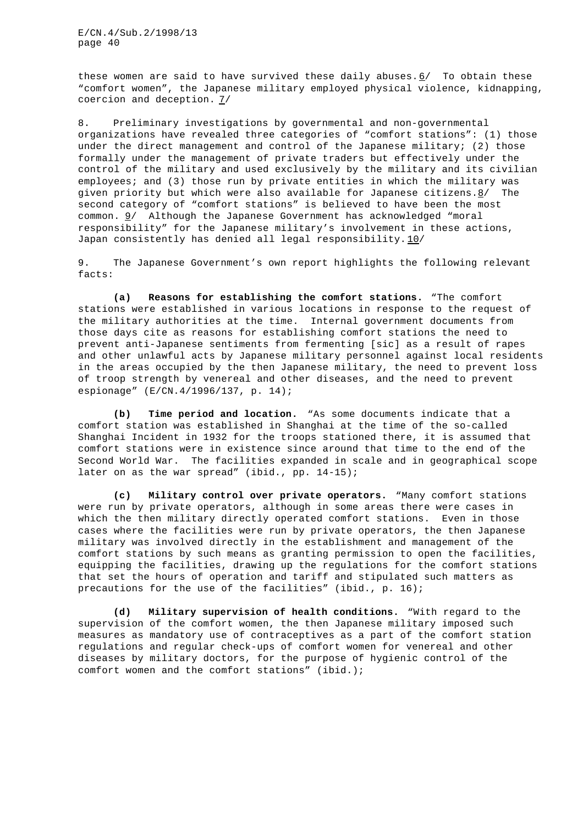these women are said to have survived these daily abuses. $6/$  To obtain these "comfort women", the Japanese military employed physical violence, kidnapping, coercion and deception. 7/

8. Preliminary investigations by governmental and non-governmental organizations have revealed three categories of "comfort stations": (1) those under the direct management and control of the Japanese military; (2) those formally under the management of private traders but effectively under the control of the military and used exclusively by the military and its civilian employees; and (3) those run by private entities in which the military was given priority but which were also available for Japanese citizens. $\underline{8}/$  The second category of "comfort stations" is believed to have been the most common. 9/ Although the Japanese Government has acknowledged "moral responsibility" for the Japanese military's involvement in these actions, Japan consistently has denied all legal responsibility. 10/

9. The Japanese Government's own report highlights the following relevant facts:

**(a) Reasons for establishing the comfort stations.** "The comfort stations were established in various locations in response to the request of the military authorities at the time. Internal government documents from those days cite as reasons for establishing comfort stations the need to prevent anti-Japanese sentiments from fermenting [sic] as a result of rapes and other unlawful acts by Japanese military personnel against local residents in the areas occupied by the then Japanese military, the need to prevent loss of troop strength by venereal and other diseases, and the need to prevent espionage" (E/CN.4/1996/137, p. 14);

**(b) Time period and location.** "As some documents indicate that a comfort station was established in Shanghai at the time of the so-called Shanghai Incident in 1932 for the troops stationed there, it is assumed that comfort stations were in existence since around that time to the end of the Second World War. The facilities expanded in scale and in geographical scope later on as the war spread" (ibid., pp. 14-15);

**(c) Military control over private operators.** "Many comfort stations were run by private operators, although in some areas there were cases in which the then military directly operated comfort stations. Even in those cases where the facilities were run by private operators, the then Japanese military was involved directly in the establishment and management of the comfort stations by such means as granting permission to open the facilities, equipping the facilities, drawing up the regulations for the comfort stations that set the hours of operation and tariff and stipulated such matters as precautions for the use of the facilities" (ibid., p. 16);

**(d) Military supervision of health conditions.** "With regard to the supervision of the comfort women, the then Japanese military imposed such measures as mandatory use of contraceptives as a part of the comfort station regulations and regular check-ups of comfort women for venereal and other diseases by military doctors, for the purpose of hygienic control of the comfort women and the comfort stations" (ibid.);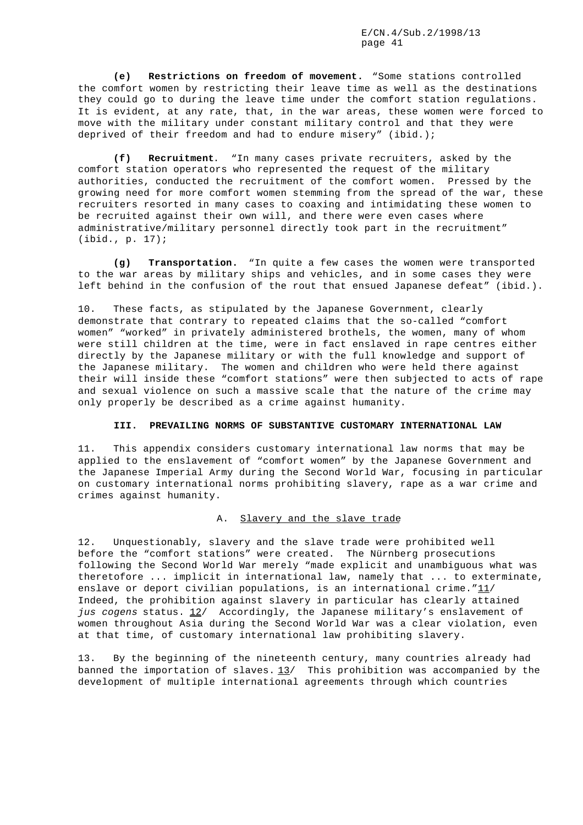**(e) Restrictions on freedom of movement.** "Some stations controlled the comfort women by restricting their leave time as well as the destinations they could go to during the leave time under the comfort station regulations. It is evident, at any rate, that, in the war areas, these women were forced to move with the military under constant military control and that they were deprived of their freedom and had to endure misery" (ibid.);

**(f) Recruitment**. "In many cases private recruiters, asked by the comfort station operators who represented the request of the military authorities, conducted the recruitment of the comfort women. Pressed by the growing need for more comfort women stemming from the spread of the war, these recruiters resorted in many cases to coaxing and intimidating these women to be recruited against their own will, and there were even cases where administrative/military personnel directly took part in the recruitment" (ibid., p. 17);

**(g) Transportation.** "In quite a few cases the women were transported to the war areas by military ships and vehicles, and in some cases they were left behind in the confusion of the rout that ensued Japanese defeat" (ibid.).

10. These facts, as stipulated by the Japanese Government, clearly demonstrate that contrary to repeated claims that the so-called "comfort women" "worked" in privately administered brothels, the women, many of whom were still children at the time, were in fact enslaved in rape centres either directly by the Japanese military or with the full knowledge and support of the Japanese military. The women and children who were held there against their will inside these "comfort stations" were then subjected to acts of rape and sexual violence on such a massive scale that the nature of the crime may only properly be described as a crime against humanity.

## **III. PREVAILING NORMS OF SUBSTANTIVE CUSTOMARY INTERNATIONAL LAW**

11. This appendix considers customary international law norms that may be applied to the enslavement of "comfort women" by the Japanese Government and the Japanese Imperial Army during the Second World War, focusing in particular on customary international norms prohibiting slavery, rape as a war crime and crimes against humanity.

#### A. Slavery and the slave trade

12. Unquestionably, slavery and the slave trade were prohibited well before the "comfort stations" were created. The Nürnberg prosecutions following the Second World War merely "made explicit and unambiguous what was theretofore ... implicit in international law, namely that ... to exterminate, enslave or deport civilian populations, is an international crime.  $"11/$ Indeed, the prohibition against slavery in particular has clearly attained *jus cogens* status. 12/ Accordingly, the Japanese military's enslavement of women throughout Asia during the Second World War was a clear violation, even at that time, of customary international law prohibiting slavery.

13. By the beginning of the nineteenth century, many countries already had banned the importation of slaves.  $13/$  This prohibition was accompanied by the development of multiple international agreements through which countries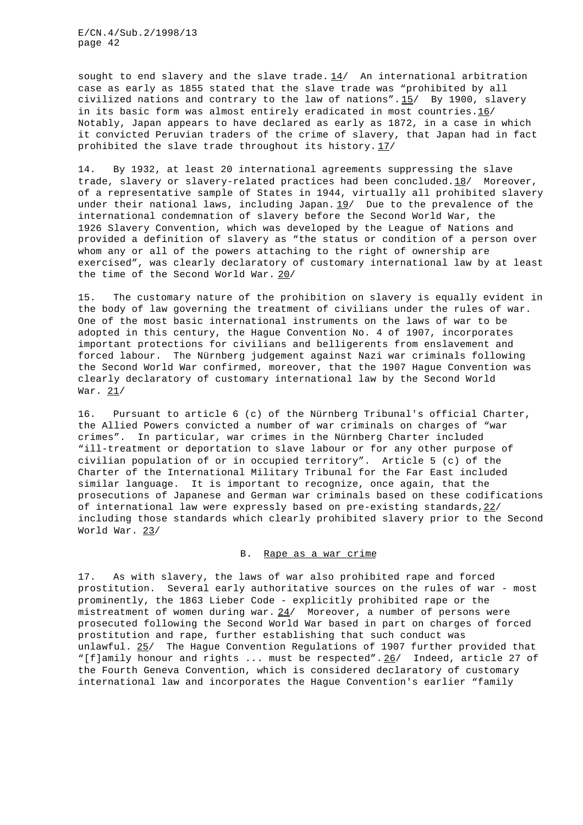sought to end slavery and the slave trade.  $14/$  An international arbitration case as early as 1855 stated that the slave trade was "prohibited by all civilized nations and contrary to the law of nations". 15/ By 1900, slavery in its basic form was almost entirely eradicated in most countries. 16/ Notably, Japan appears to have declared as early as 1872, in a case in which it convicted Peruvian traders of the crime of slavery, that Japan had in fact prohibited the slave trade throughout its history. 17/

14. By 1932, at least 20 international agreements suppressing the slave trade, slavery or slavery-related practices had been concluded. $18/$  Moreover, of a representative sample of States in 1944, virtually all prohibited slavery under their national laws, including Japan.  $19/$  Due to the prevalence of the international condemnation of slavery before the Second World War, the 1926 Slavery Convention, which was developed by the League of Nations and provided a definition of slavery as "the status or condition of a person over whom any or all of the powers attaching to the right of ownership are exercised", was clearly declaratory of customary international law by at least the time of the Second World War. 20/

15. The customary nature of the prohibition on slavery is equally evident in the body of law governing the treatment of civilians under the rules of war. One of the most basic international instruments on the laws of war to be adopted in this century, the Hague Convention No. 4 of 1907, incorporates important protections for civilians and belligerents from enslavement and forced labour. The Nürnberg judgement against Nazi war criminals following the Second World War confirmed, moreover, that the 1907 Hague Convention was clearly declaratory of customary international law by the Second World War. 21/

16. Pursuant to article 6 (c) of the Nürnberg Tribunal's official Charter, the Allied Powers convicted a number of war criminals on charges of "war crimes". In particular, war crimes in the Nürnberg Charter included "ill-treatment or deportation to slave labour or for any other purpose of civilian population of or in occupied territory". Article 5 (c) of the Charter of the International Military Tribunal for the Far East included similar language. It is important to recognize, once again, that the prosecutions of Japanese and German war criminals based on these codifications of international law were expressly based on pre-existing standards, 22/ including those standards which clearly prohibited slavery prior to the Second World War. 23/

## B. Rape as a war crime

17. As with slavery, the laws of war also prohibited rape and forced prostitution. Several early authoritative sources on the rules of war - most prominently, the 1863 Lieber Code - explicitly prohibited rape or the mistreatment of women during war.  $24/$  Moreover, a number of persons were prosecuted following the Second World War based in part on charges of forced prostitution and rape, further establishing that such conduct was unlawful. 25/ The Hague Convention Regulations of 1907 further provided that "[f]amily honour and rights ... must be respected". 26/ Indeed, article 27 of the Fourth Geneva Convention, which is considered declaratory of customary international law and incorporates the Hague Convention's earlier "family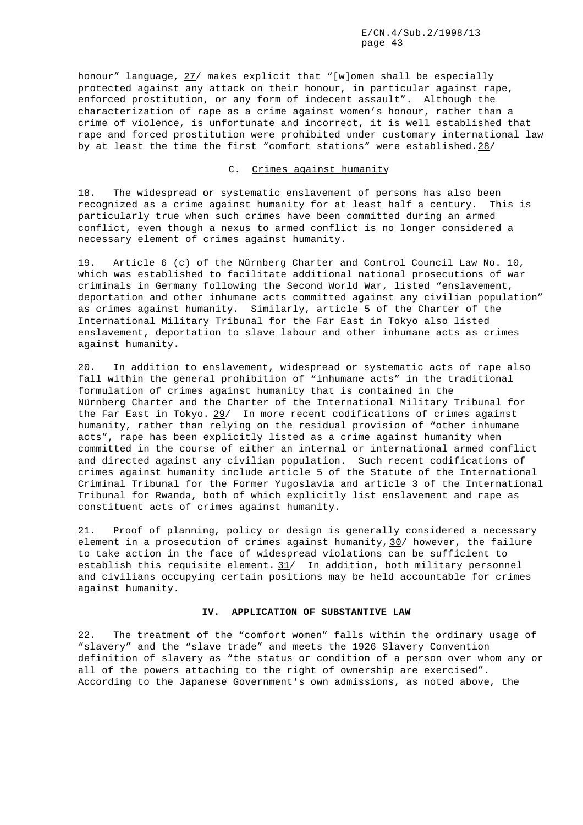honour" language, 27/ makes explicit that "[w]omen shall be especially protected against any attack on their honour, in particular against rape, enforced prostitution, or any form of indecent assault". Although the characterization of rape as a crime against women's honour, rather than a crime of violence, is unfortunate and incorrect, it is well established that rape and forced prostitution were prohibited under customary international law by at least the time the first "comfort stations" were established. 28/

#### C. Crimes against humanity

18. The widespread or systematic enslavement of persons has also been recognized as a crime against humanity for at least half a century. This is particularly true when such crimes have been committed during an armed conflict, even though a nexus to armed conflict is no longer considered a necessary element of crimes against humanity.

19. Article 6 (c) of the Nürnberg Charter and Control Council Law No. 10, which was established to facilitate additional national prosecutions of war criminals in Germany following the Second World War, listed "enslavement, deportation and other inhumane acts committed against any civilian population" as crimes against humanity. Similarly, article 5 of the Charter of the International Military Tribunal for the Far East in Tokyo also listed enslavement, deportation to slave labour and other inhumane acts as crimes against humanity.

20. In addition to enslavement, widespread or systematic acts of rape also fall within the general prohibition of "inhumane acts" in the traditional formulation of crimes against humanity that is contained in the Nürnberg Charter and the Charter of the International Military Tribunal for the Far East in Tokyo. 29/ In more recent codifications of crimes against humanity, rather than relying on the residual provision of "other inhumane acts", rape has been explicitly listed as a crime against humanity when committed in the course of either an internal or international armed conflict and directed against any civilian population. Such recent codifications of crimes against humanity include article 5 of the Statute of the International Criminal Tribunal for the Former Yugoslavia and article 3 of the International Tribunal for Rwanda, both of which explicitly list enslavement and rape as constituent acts of crimes against humanity.

21. Proof of planning, policy or design is generally considered a necessary element in a prosecution of crimes against humanity,  $30/$  however, the failure to take action in the face of widespread violations can be sufficient to establish this requisite element. 31/ In addition, both military personnel and civilians occupying certain positions may be held accountable for crimes against humanity.

## **IV. APPLICATION OF SUBSTANTIVE LAW**

22. The treatment of the "comfort women" falls within the ordinary usage of "slavery" and the "slave trade" and meets the 1926 Slavery Convention definition of slavery as "the status or condition of a person over whom any or all of the powers attaching to the right of ownership are exercised". According to the Japanese Government's own admissions, as noted above, the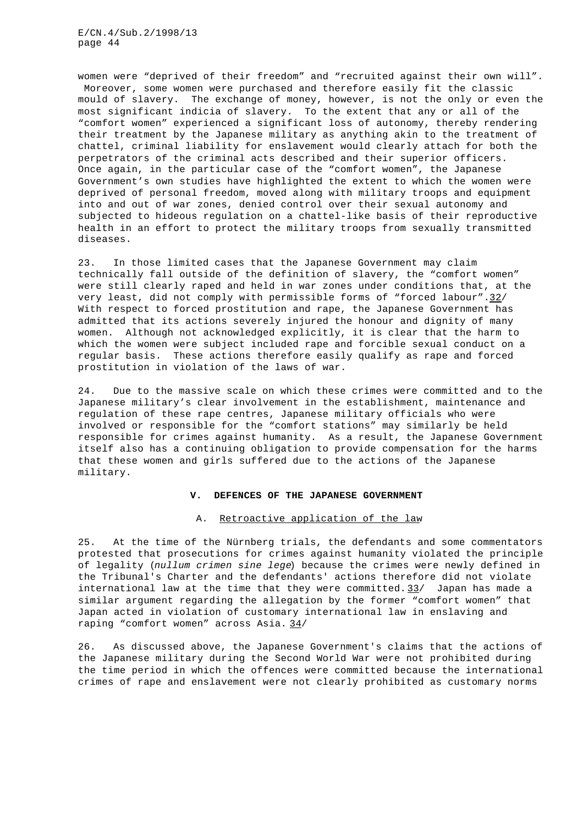women were "deprived of their freedom" and "recruited against their own will". Moreover, some women were purchased and therefore easily fit the classic mould of slavery. The exchange of money, however, is not the only or even the most significant indicia of slavery. To the extent that any or all of the "comfort women" experienced a significant loss of autonomy, thereby rendering their treatment by the Japanese military as anything akin to the treatment of chattel, criminal liability for enslavement would clearly attach for both the perpetrators of the criminal acts described and their superior officers. Once again, in the particular case of the "comfort women", the Japanese Government's own studies have highlighted the extent to which the women were deprived of personal freedom, moved along with military troops and equipment into and out of war zones, denied control over their sexual autonomy and subjected to hideous regulation on a chattel-like basis of their reproductive health in an effort to protect the military troops from sexually transmitted diseases.

23. In those limited cases that the Japanese Government may claim technically fall outside of the definition of slavery, the "comfort women" were still clearly raped and held in war zones under conditions that, at the very least, did not comply with permissible forms of "forced labour". 32/ With respect to forced prostitution and rape, the Japanese Government has admitted that its actions severely injured the honour and dignity of many women. Although not acknowledged explicitly, it is clear that the harm to which the women were subject included rape and forcible sexual conduct on a regular basis. These actions therefore easily qualify as rape and forced prostitution in violation of the laws of war.

24. Due to the massive scale on which these crimes were committed and to the Japanese military's clear involvement in the establishment, maintenance and regulation of these rape centres, Japanese military officials who were involved or responsible for the "comfort stations" may similarly be held responsible for crimes against humanity. As a result, the Japanese Government itself also has a continuing obligation to provide compensation for the harms that these women and girls suffered due to the actions of the Japanese military.

# **V. DEFENCES OF THE JAPANESE GOVERNMENT**

#### A. Retroactive application of the law

25. At the time of the Nürnberg trials, the defendants and some commentators protested that prosecutions for crimes against humanity violated the principle of legality (*nullum crimen sine lege*) because the crimes were newly defined in the Tribunal's Charter and the defendants' actions therefore did not violate international law at the time that they were committed.  $33/$  Japan has made a similar argument regarding the allegation by the former "comfort women" that Japan acted in violation of customary international law in enslaving and raping "comfort women" across Asia. 34/

26. As discussed above, the Japanese Government's claims that the actions of the Japanese military during the Second World War were not prohibited during the time period in which the offences were committed because the international crimes of rape and enslavement were not clearly prohibited as customary norms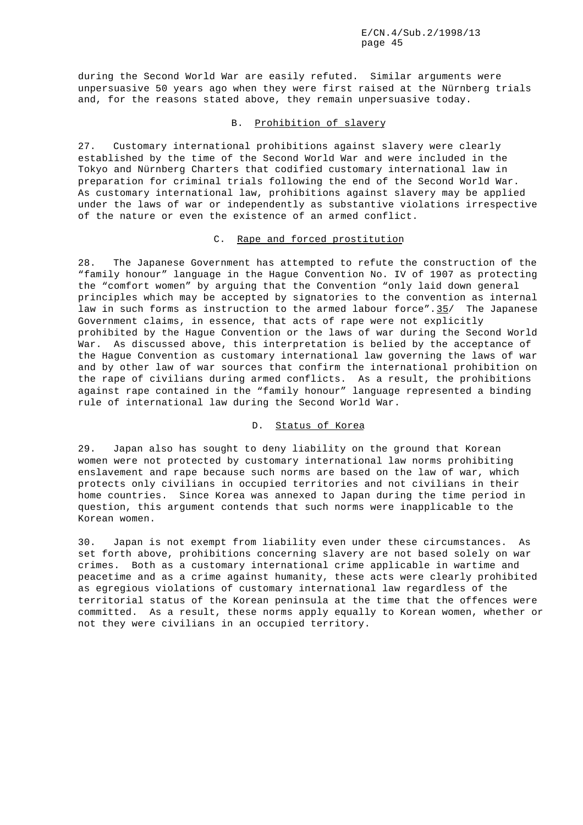during the Second World War are easily refuted. Similar arguments were unpersuasive 50 years ago when they were first raised at the Nürnberg trials and, for the reasons stated above, they remain unpersuasive today.

## B. Prohibition of slavery

27. Customary international prohibitions against slavery were clearly established by the time of the Second World War and were included in the Tokyo and Nürnberg Charters that codified customary international law in preparation for criminal trials following the end of the Second World War. As customary international law, prohibitions against slavery may be applied under the laws of war or independently as substantive violations irrespective of the nature or even the existence of an armed conflict.

## C. Rape and forced prostitution

28. The Japanese Government has attempted to refute the construction of the "family honour" language in the Hague Convention No. IV of 1907 as protecting the "comfort women" by arguing that the Convention "only laid down general principles which may be accepted by signatories to the convention as internal law in such forms as instruction to the armed labour force". 35/ The Japanese Government claims, in essence, that acts of rape were not explicitly prohibited by the Hague Convention or the laws of war during the Second World War. As discussed above, this interpretation is belied by the acceptance of the Hague Convention as customary international law governing the laws of war and by other law of war sources that confirm the international prohibition on the rape of civilians during armed conflicts. As a result, the prohibitions against rape contained in the "family honour" language represented a binding rule of international law during the Second World War.

#### D. Status of Korea

29. Japan also has sought to deny liability on the ground that Korean women were not protected by customary international law norms prohibiting enslavement and rape because such norms are based on the law of war, which protects only civilians in occupied territories and not civilians in their home countries. Since Korea was annexed to Japan during the time period in question, this argument contends that such norms were inapplicable to the Korean women.

30. Japan is not exempt from liability even under these circumstances. As set forth above, prohibitions concerning slavery are not based solely on war crimes. Both as a customary international crime applicable in wartime and peacetime and as a crime against humanity, these acts were clearly prohibited as egregious violations of customary international law regardless of the territorial status of the Korean peninsula at the time that the offences were committed. As a result, these norms apply equally to Korean women, whether or not they were civilians in an occupied territory.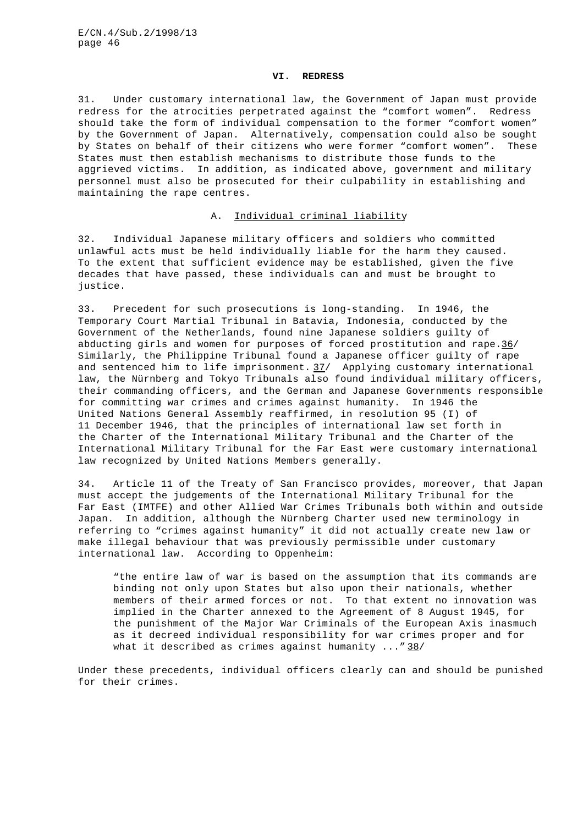#### **VI. REDRESS**

31. Under customary international law, the Government of Japan must provide redress for the atrocities perpetrated against the "comfort women". Redress should take the form of individual compensation to the former "comfort women" by the Government of Japan. Alternatively, compensation could also be sought by States on behalf of their citizens who were former "comfort women". These States must then establish mechanisms to distribute those funds to the aggrieved victims. In addition, as indicated above, government and military personnel must also be prosecuted for their culpability in establishing and maintaining the rape centres.

#### A. Individual criminal liability

32. Individual Japanese military officers and soldiers who committed unlawful acts must be held individually liable for the harm they caused. To the extent that sufficient evidence may be established, given the five decades that have passed, these individuals can and must be brought to justice.

33. Precedent for such prosecutions is long-standing. In 1946, the Temporary Court Martial Tribunal in Batavia, Indonesia, conducted by the Government of the Netherlands, found nine Japanese soldiers guilty of abducting girls and women for purposes of forced prostitution and rape. 36/ Similarly, the Philippine Tribunal found a Japanese officer guilty of rape and sentenced him to life imprisonment. 37/ Applying customary international law, the Nürnberg and Tokyo Tribunals also found individual military officers, their commanding officers, and the German and Japanese Governments responsible for committing war crimes and crimes against humanity. In 1946 the United Nations General Assembly reaffirmed, in resolution 95 (I) of 11 December 1946, that the principles of international law set forth in the Charter of the International Military Tribunal and the Charter of the International Military Tribunal for the Far East were customary international law recognized by United Nations Members generally.

34. Article 11 of the Treaty of San Francisco provides, moreover, that Japan must accept the judgements of the International Military Tribunal for the Far East (IMTFE) and other Allied War Crimes Tribunals both within and outside Japan. In addition, although the Nürnberg Charter used new terminology in referring to "crimes against humanity" it did not actually create new law or make illegal behaviour that was previously permissible under customary international law. According to Oppenheim:

"the entire law of war is based on the assumption that its commands are binding not only upon States but also upon their nationals, whether members of their armed forces or not. To that extent no innovation was implied in the Charter annexed to the Agreement of 8 August 1945, for the punishment of the Major War Criminals of the European Axis inasmuch as it decreed individual responsibility for war crimes proper and for what it described as crimes against humanity  $\ldots$  "38/

Under these precedents, individual officers clearly can and should be punished for their crimes.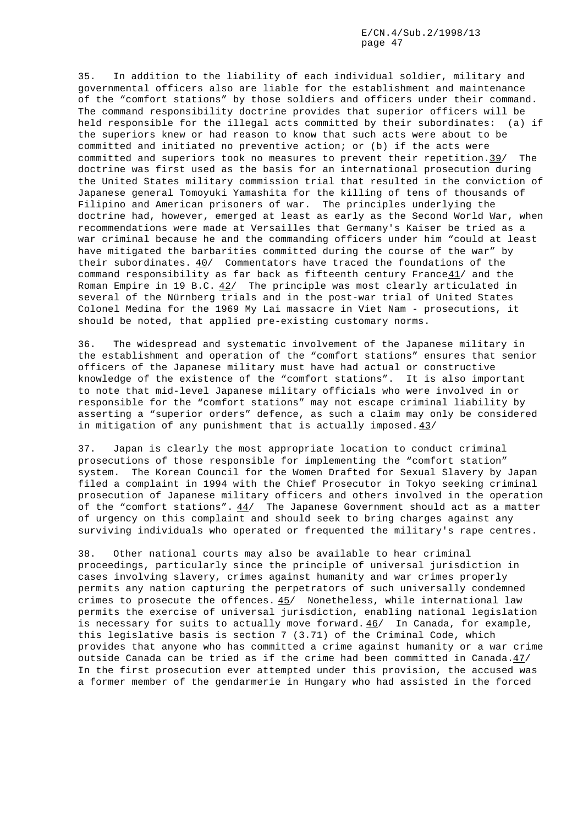35. In addition to the liability of each individual soldier, military and governmental officers also are liable for the establishment and maintenance of the "comfort stations" by those soldiers and officers under their command. The command responsibility doctrine provides that superior officers will be held responsible for the illegal acts committed by their subordinates: (a) if the superiors knew or had reason to know that such acts were about to be committed and initiated no preventive action; or (b) if the acts were committed and superiors took no measures to prevent their repetition. 39/ The doctrine was first used as the basis for an international prosecution during the United States military commission trial that resulted in the conviction of Japanese general Tomoyuki Yamashita for the killing of tens of thousands of Filipino and American prisoners of war. The principles underlying the doctrine had, however, emerged at least as early as the Second World War, when recommendations were made at Versailles that Germany's Kaiser be tried as a war criminal because he and the commanding officers under him "could at least have mitigated the barbarities committed during the course of the war" by their subordinates.  $40/$  Commentators have traced the foundations of the command responsibility as far back as fifteenth century France  $41/$  and the Roman Empire in 19 B.C.  $42/$  The principle was most clearly articulated in several of the Nürnberg trials and in the post-war trial of United States Colonel Medina for the 1969 My Lai massacre in Viet Nam - prosecutions, it should be noted, that applied pre-existing customary norms.

36. The widespread and systematic involvement of the Japanese military in the establishment and operation of the "comfort stations" ensures that senior officers of the Japanese military must have had actual or constructive knowledge of the existence of the "comfort stations". It is also important to note that mid-level Japanese military officials who were involved in or responsible for the "comfort stations" may not escape criminal liability by asserting a "superior orders" defence, as such a claim may only be considered in mitigation of any punishment that is actually imposed. 43/

37. Japan is clearly the most appropriate location to conduct criminal prosecutions of those responsible for implementing the "comfort station" system. The Korean Council for the Women Drafted for Sexual Slavery by Japan filed a complaint in 1994 with the Chief Prosecutor in Tokyo seeking criminal prosecution of Japanese military officers and others involved in the operation of the "comfort stations".  $44/$  The Japanese Government should act as a matter of urgency on this complaint and should seek to bring charges against any surviving individuals who operated or frequented the military's rape centres.

38. Other national courts may also be available to hear criminal proceedings, particularly since the principle of universal jurisdiction in cases involving slavery, crimes against humanity and war crimes properly permits any nation capturing the perpetrators of such universally condemned crimes to prosecute the offences.  $45/$  Nonetheless, while international law permits the exercise of universal jurisdiction, enabling national legislation is necessary for suits to actually move forward.  $46/$  In Canada, for example, this legislative basis is section 7 (3.71) of the Criminal Code, which provides that anyone who has committed a crime against humanity or a war crime outside Canada can be tried as if the crime had been committed in Canada. 47/ In the first prosecution ever attempted under this provision, the accused was a former member of the gendarmerie in Hungary who had assisted in the forced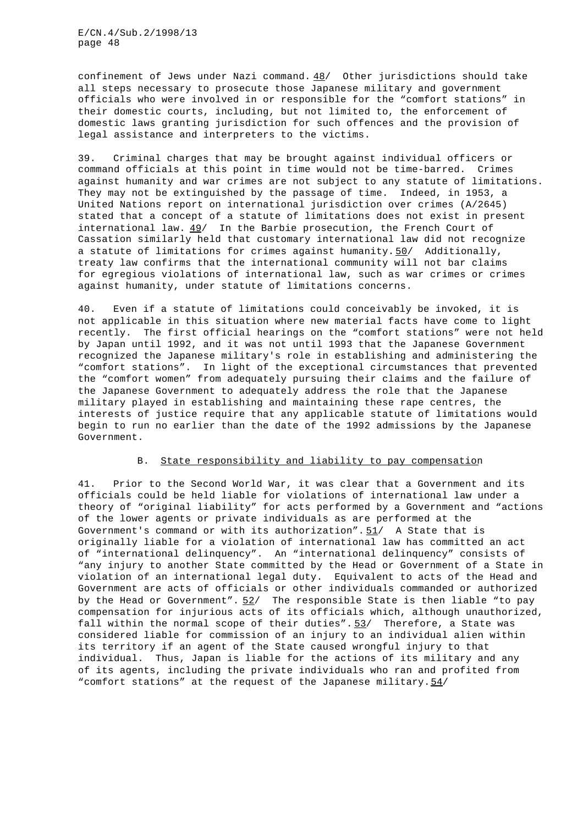confinement of Jews under Nazi command.  $48/$  Other jurisdictions should take all steps necessary to prosecute those Japanese military and government officials who were involved in or responsible for the "comfort stations" in their domestic courts, including, but not limited to, the enforcement of domestic laws granting jurisdiction for such offences and the provision of legal assistance and interpreters to the victims.

39. Criminal charges that may be brought against individual officers or command officials at this point in time would not be time-barred. Crimes against humanity and war crimes are not subject to any statute of limitations. They may not be extinguished by the passage of time. Indeed, in 1953, a United Nations report on international jurisdiction over crimes (A/2645) stated that a concept of a statute of limitations does not exist in present international law. 49/ In the Barbie prosecution, the French Court of Cassation similarly held that customary international law did not recognize a statute of limitations for crimes against humanity. 50/ Additionally, treaty law confirms that the international community will not bar claims for egregious violations of international law, such as war crimes or crimes against humanity, under statute of limitations concerns.

40. Even if a statute of limitations could conceivably be invoked, it is not applicable in this situation where new material facts have come to light recently. The first official hearings on the "comfort stations" were not held by Japan until 1992, and it was not until 1993 that the Japanese Government recognized the Japanese military's role in establishing and administering the "comfort stations". In light of the exceptional circumstances that prevented the "comfort women" from adequately pursuing their claims and the failure of the Japanese Government to adequately address the role that the Japanese military played in establishing and maintaining these rape centres, the interests of justice require that any applicable statute of limitations would begin to run no earlier than the date of the 1992 admissions by the Japanese Government.

#### B. State responsibility and liability to pay compensation

41. Prior to the Second World War, it was clear that a Government and its officials could be held liable for violations of international law under a theory of "original liability" for acts performed by a Government and "actions of the lower agents or private individuals as are performed at the Government's command or with its authorization". 51/ A State that is originally liable for a violation of international law has committed an act of "international delinquency". An "international delinquency" consists of "any injury to another State committed by the Head or Government of a State in violation of an international legal duty. Equivalent to acts of the Head and Government are acts of officials or other individuals commanded or authorized by the Head or Government".  $52/$  The responsible State is then liable "to pay compensation for injurious acts of its officials which, although unauthorized, fall within the normal scope of their duties". 53/ Therefore, a State was considered liable for commission of an injury to an individual alien within its territory if an agent of the State caused wrongful injury to that individual. Thus, Japan is liable for the actions of its military and any of its agents, including the private individuals who ran and profited from "comfort stations" at the request of the Japanese military. 54/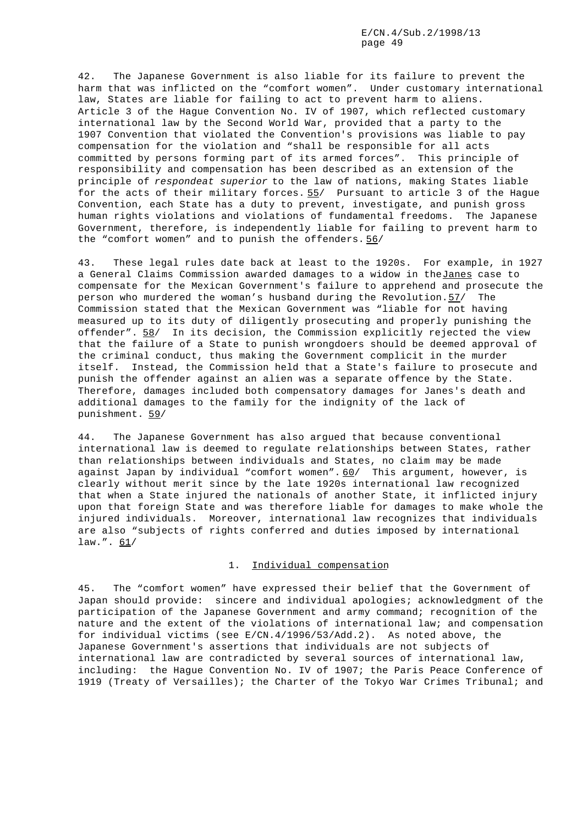42. The Japanese Government is also liable for its failure to prevent the harm that was inflicted on the "comfort women". Under customary international law, States are liable for failing to act to prevent harm to aliens. Article 3 of the Hague Convention No. IV of 1907, which reflected customary international law by the Second World War, provided that a party to the 1907 Convention that violated the Convention's provisions was liable to pay compensation for the violation and "shall be responsible for all acts committed by persons forming part of its armed forces". This principle of responsibility and compensation has been described as an extension of the principle of *respondeat superior* to the law of nations, making States liable for the acts of their military forces. 55/ Pursuant to article 3 of the Hague Convention, each State has a duty to prevent, investigate, and punish gross human rights violations and violations of fundamental freedoms. The Japanese Government, therefore, is independently liable for failing to prevent harm to the "comfort women" and to punish the offenders. 56/

43. These legal rules date back at least to the 1920s. For example, in 1927 a General Claims Commission awarded damages to a widow in the Janes case to compensate for the Mexican Government's failure to apprehend and prosecute the person who murdered the woman's husband during the Revolution. 57/ The Commission stated that the Mexican Government was "liable for not having measured up to its duty of diligently prosecuting and properly punishing the offender". 58/ In its decision, the Commission explicitly rejected the view that the failure of a State to punish wrongdoers should be deemed approval of the criminal conduct, thus making the Government complicit in the murder itself. Instead, the Commission held that a State's failure to prosecute and punish the offender against an alien was a separate offence by the State. Therefore, damages included both compensatory damages for Janes's death and additional damages to the family for the indignity of the lack of punishment. 59/

44. The Japanese Government has also argued that because conventional international law is deemed to regulate relationships between States, rather than relationships between individuals and States, no claim may be made against Japan by individual "comfort women".  $60/$  This argument, however, is clearly without merit since by the late 1920s international law recognized that when a State injured the nationals of another State, it inflicted injury upon that foreign State and was therefore liable for damages to make whole the injured individuals. Moreover, international law recognizes that individuals are also "subjects of rights conferred and duties imposed by international law.". 61/

## 1. Individual compensation

45. The "comfort women" have expressed their belief that the Government of Japan should provide: sincere and individual apologies; acknowledgment of the participation of the Japanese Government and army command; recognition of the nature and the extent of the violations of international law; and compensation for individual victims (see E/CN.4/1996/53/Add.2). As noted above, the Japanese Government's assertions that individuals are not subjects of international law are contradicted by several sources of international law, including: the Hague Convention No. IV of 1907; the Paris Peace Conference of 1919 (Treaty of Versailles); the Charter of the Tokyo War Crimes Tribunal; and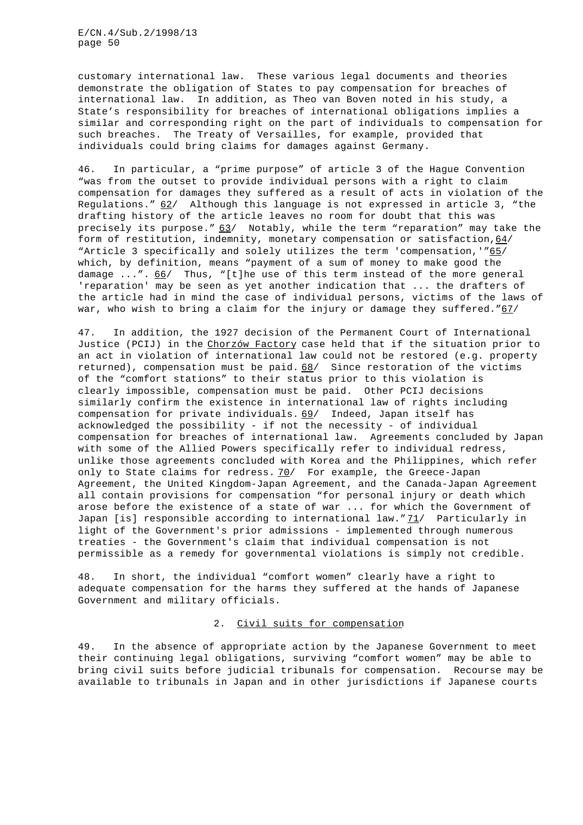customary international law. These various legal documents and theories demonstrate the obligation of States to pay compensation for breaches of international law. In addition, as Theo van Boven noted in his study, a State's responsibility for breaches of international obligations implies a similar and corresponding right on the part of individuals to compensation for such breaches. The Treaty of Versailles, for example, provided that individuals could bring claims for damages against Germany.

46. In particular, a "prime purpose" of article 3 of the Hague Convention "was from the outset to provide individual persons with a right to claim compensation for damages they suffered as a result of acts in violation of the Regulations." 62/ Although this language is not expressed in article 3, "the drafting history of the article leaves no room for doubt that this was precisely its purpose." 63/ Notably, while the term "reparation" may take the form of restitution, indemnity, monetary compensation or satisfaction,  $64/$ "Article 3 specifically and solely utilizes the term 'compensation,'"65/ which, by definition, means "payment of a sum of money to make good the damage ...". 66/ Thus, "[t]he use of this term instead of the more general 'reparation' may be seen as yet another indication that ... the drafters of the article had in mind the case of individual persons, victims of the laws of war, who wish to bring a claim for the injury or damage they suffered." $67/$ 

47. In addition, the 1927 decision of the Permanent Court of International Justice (PCIJ) in the Chorzów Factory case held that if the situation prior to an act in violation of international law could not be restored (e.g. property returned), compensation must be paid. 68/ Since restoration of the victims of the "comfort stations" to their status prior to this violation is clearly impossible, compensation must be paid. Other PCIJ decisions similarly confirm the existence in international law of rights including compensation for private individuals. 69/ Indeed, Japan itself has acknowledged the possibility - if not the necessity - of individual compensation for breaches of international law. Agreements concluded by Japan with some of the Allied Powers specifically refer to individual redress, unlike those agreements concluded with Korea and the Philippines, which refer only to State claims for redress. 70/ For example, the Greece-Japan Agreement, the United Kingdom-Japan Agreement, and the Canada-Japan Agreement all contain provisions for compensation "for personal injury or death which arose before the existence of a state of war ... for which the Government of Japan [is] responsible according to international law." 71/ Particularly in light of the Government's prior admissions - implemented through numerous treaties - the Government's claim that individual compensation is not permissible as a remedy for governmental violations is simply not credible.

48. In short, the individual "comfort women" clearly have a right to adequate compensation for the harms they suffered at the hands of Japanese Government and military officials.

#### 2. Civil suits for compensation

49. In the absence of appropriate action by the Japanese Government to meet their continuing legal obligations, surviving "comfort women" may be able to bring civil suits before judicial tribunals for compensation. Recourse may be available to tribunals in Japan and in other jurisdictions if Japanese courts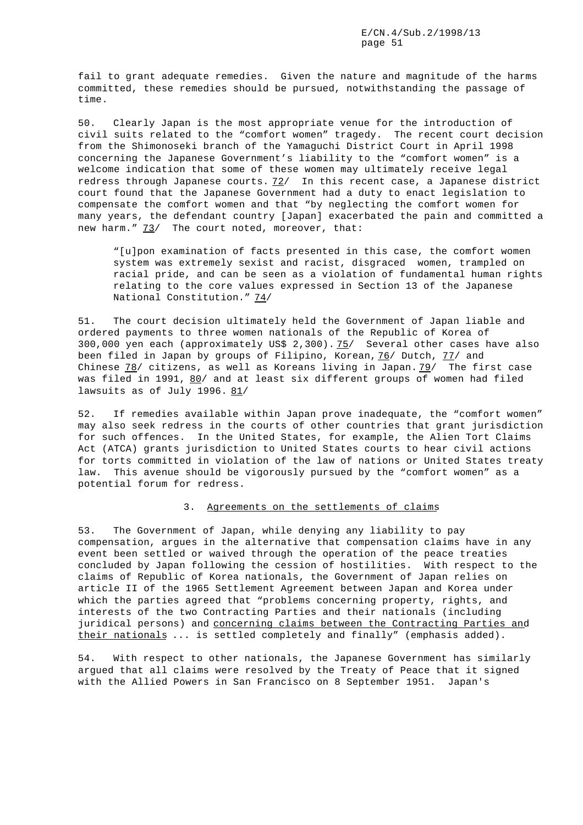fail to grant adequate remedies. Given the nature and magnitude of the harms committed, these remedies should be pursued, notwithstanding the passage of time.

50. Clearly Japan is the most appropriate venue for the introduction of civil suits related to the "comfort women" tragedy. The recent court decision from the Shimonoseki branch of the Yamaguchi District Court in April 1998 concerning the Japanese Government's liability to the "comfort women" is a welcome indication that some of these women may ultimately receive legal redress through Japanese courts.  $72/$  In this recent case, a Japanese district court found that the Japanese Government had a duty to enact legislation to compensate the comfort women and that "by neglecting the comfort women for many years, the defendant country [Japan] exacerbated the pain and committed a new harm." 73/ The court noted, moreover, that:

"[u]pon examination of facts presented in this case, the comfort women system was extremely sexist and racist, disgraced women, trampled on racial pride, and can be seen as a violation of fundamental human rights relating to the core values expressed in Section 13 of the Japanese National Constitution." 74/

51. The court decision ultimately held the Government of Japan liable and ordered payments to three women nationals of the Republic of Korea of 300,000 yen each (approximately US\$ 2,300). 75/ Several other cases have also been filed in Japan by groups of Filipino, Korean, 76/ Dutch, 77/ and Chinese  $78/$  citizens, as well as Koreans living in Japan.  $79/$  The first case was filed in 1991, 80/ and at least six different groups of women had filed lawsuits as of July 1996. 81/

52. If remedies available within Japan prove inadequate, the "comfort women" may also seek redress in the courts of other countries that grant jurisdiction for such offences. In the United States, for example, the Alien Tort Claims Act (ATCA) grants jurisdiction to United States courts to hear civil actions for torts committed in violation of the law of nations or United States treaty law. This avenue should be vigorously pursued by the "comfort women" as a potential forum for redress.

# 3. Agreements on the settlements of claims

53. The Government of Japan, while denying any liability to pay compensation, argues in the alternative that compensation claims have in any event been settled or waived through the operation of the peace treaties concluded by Japan following the cession of hostilities. With respect to the claims of Republic of Korea nationals, the Government of Japan relies on article II of the 1965 Settlement Agreement between Japan and Korea under which the parties agreed that "problems concerning property, rights, and interests of the two Contracting Parties and their nationals (including juridical persons) and concerning claims between the Contracting Parties and their nationals ... is settled completely and finally" (emphasis added).

54. With respect to other nationals, the Japanese Government has similarly argued that all claims were resolved by the Treaty of Peace that it signed with the Allied Powers in San Francisco on 8 September 1951. Japan's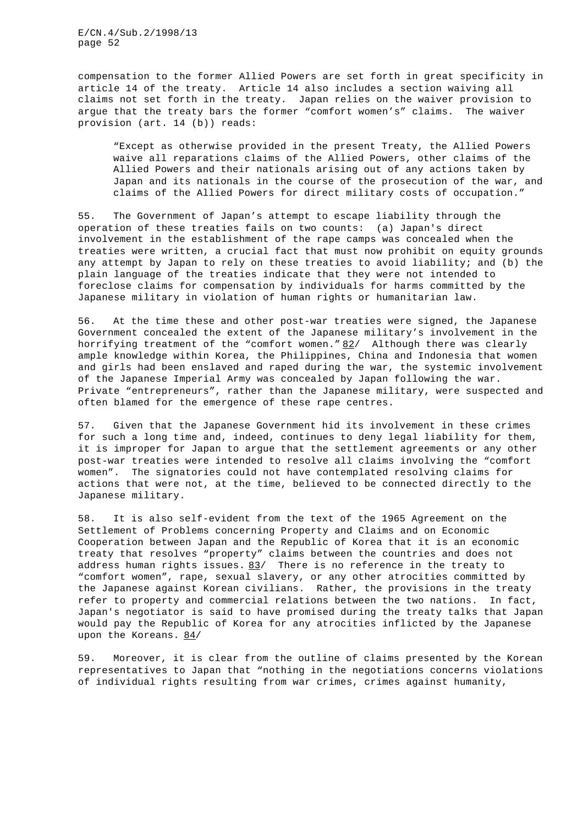compensation to the former Allied Powers are set forth in great specificity in article 14 of the treaty. Article 14 also includes a section waiving all claims not set forth in the treaty. Japan relies on the waiver provision to argue that the treaty bars the former "comfort women's" claims. The waiver provision (art. 14 (b)) reads:

"Except as otherwise provided in the present Treaty, the Allied Powers waive all reparations claims of the Allied Powers, other claims of the Allied Powers and their nationals arising out of any actions taken by Japan and its nationals in the course of the prosecution of the war, and claims of the Allied Powers for direct military costs of occupation."

55. The Government of Japan's attempt to escape liability through the operation of these treaties fails on two counts: (a) Japan's direct involvement in the establishment of the rape camps was concealed when the treaties were written, a crucial fact that must now prohibit on equity grounds any attempt by Japan to rely on these treaties to avoid liability; and (b) the plain language of the treaties indicate that they were not intended to foreclose claims for compensation by individuals for harms committed by the Japanese military in violation of human rights or humanitarian law.

56. At the time these and other post-war treaties were signed, the Japanese Government concealed the extent of the Japanese military's involvement in the horrifying treatment of the "comfort women." 82/ Although there was clearly ample knowledge within Korea, the Philippines, China and Indonesia that women and girls had been enslaved and raped during the war, the systemic involvement of the Japanese Imperial Army was concealed by Japan following the war. Private "entrepreneurs", rather than the Japanese military, were suspected and often blamed for the emergence of these rape centres.

57. Given that the Japanese Government hid its involvement in these crimes for such a long time and, indeed, continues to deny legal liability for them, it is improper for Japan to argue that the settlement agreements or any other post-war treaties were intended to resolve all claims involving the "comfort women". The signatories could not have contemplated resolving claims for actions that were not, at the time, believed to be connected directly to the Japanese military.

58. It is also self-evident from the text of the 1965 Agreement on the Settlement of Problems concerning Property and Claims and on Economic Cooperation between Japan and the Republic of Korea that it is an economic treaty that resolves "property" claims between the countries and does not address human rights issues.  $83/$  There is no reference in the treaty to "comfort women", rape, sexual slavery, or any other atrocities committed by the Japanese against Korean civilians. Rather, the provisions in the treaty refer to property and commercial relations between the two nations. In fact, Japan's negotiator is said to have promised during the treaty talks that Japan would pay the Republic of Korea for any atrocities inflicted by the Japanese upon the Koreans. 84/

59. Moreover, it is clear from the outline of claims presented by the Korean representatives to Japan that "nothing in the negotiations concerns violations of individual rights resulting from war crimes, crimes against humanity,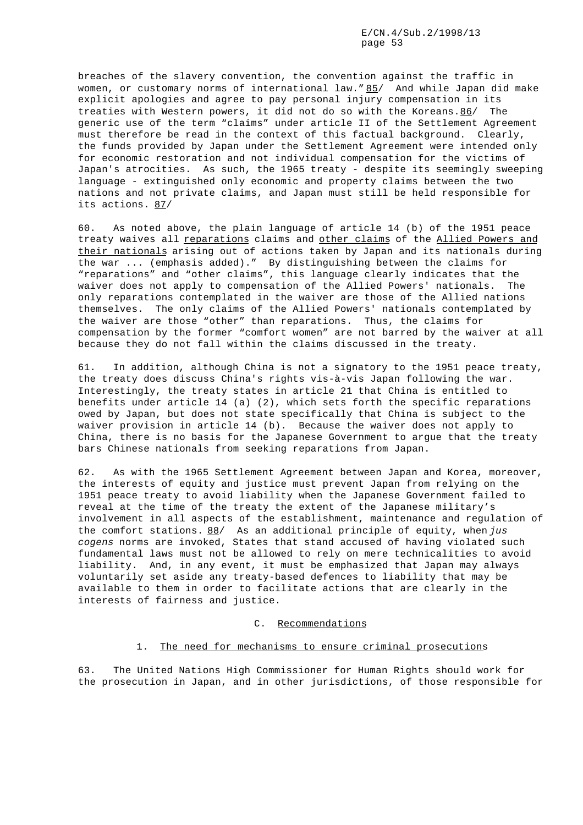breaches of the slavery convention, the convention against the traffic in women, or customary norms of international law.  $95/$  And while Japan did make explicit apologies and agree to pay personal injury compensation in its treaties with Western powers, it did not do so with the Koreans. 86/ The generic use of the term "claims" under article II of the Settlement Agreement must therefore be read in the context of this factual background. Clearly, the funds provided by Japan under the Settlement Agreement were intended only for economic restoration and not individual compensation for the victims of Japan's atrocities. As such, the 1965 treaty - despite its seemingly sweeping language - extinguished only economic and property claims between the two nations and not private claims, and Japan must still be held responsible for its actions. 87/

60. As noted above, the plain language of article 14 (b) of the 1951 peace treaty waives all reparations claims and other claims of the Allied Powers and their nationals arising out of actions taken by Japan and its nationals during the war ... (emphasis added)." By distinguishing between the claims for "reparations" and "other claims", this language clearly indicates that the waiver does not apply to compensation of the Allied Powers' nationals. The only reparations contemplated in the waiver are those of the Allied nations themselves. The only claims of the Allied Powers' nationals contemplated by the waiver are those "other" than reparations. Thus, the claims for compensation by the former "comfort women" are not barred by the waiver at all because they do not fall within the claims discussed in the treaty.

61. In addition, although China is not a signatory to the 1951 peace treaty, the treaty does discuss China's rights vis-à-vis Japan following the war. Interestingly, the treaty states in article 21 that China is entitled to benefits under article 14 (a) (2), which sets forth the specific reparations owed by Japan, but does not state specifically that China is subject to the waiver provision in article 14 (b). Because the waiver does not apply to China, there is no basis for the Japanese Government to argue that the treaty bars Chinese nationals from seeking reparations from Japan.

62. As with the 1965 Settlement Agreement between Japan and Korea, moreover, the interests of equity and justice must prevent Japan from relying on the 1951 peace treaty to avoid liability when the Japanese Government failed to reveal at the time of the treaty the extent of the Japanese military's involvement in all aspects of the establishment, maintenance and regulation of the comfort stations. 88/ As an additional principle of equity, when *jus cogens* norms are invoked, States that stand accused of having violated such fundamental laws must not be allowed to rely on mere technicalities to avoid liability. And, in any event, it must be emphasized that Japan may always voluntarily set aside any treaty-based defences to liability that may be available to them in order to facilitate actions that are clearly in the interests of fairness and justice.

#### C. Recommendations

## 1. The need for mechanisms to ensure criminal prosecutions

63. The United Nations High Commissioner for Human Rights should work for the prosecution in Japan, and in other jurisdictions, of those responsible for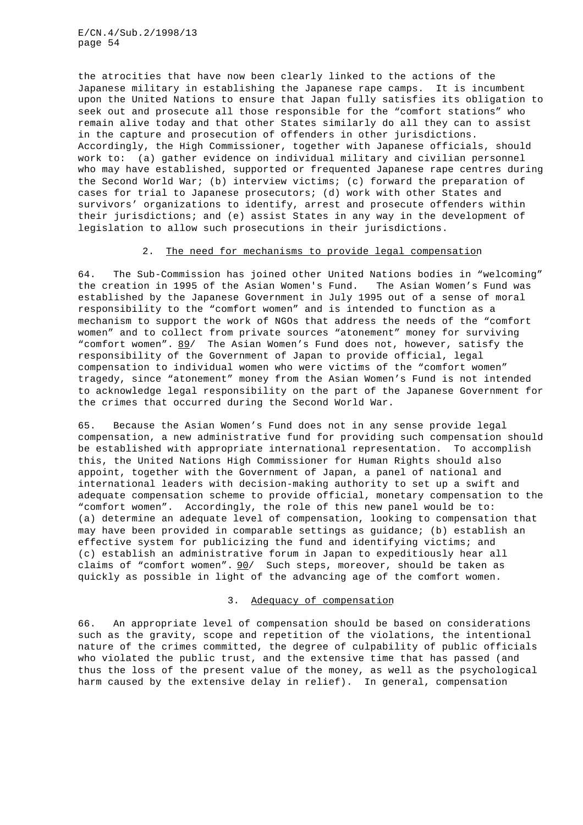the atrocities that have now been clearly linked to the actions of the Japanese military in establishing the Japanese rape camps. It is incumbent upon the United Nations to ensure that Japan fully satisfies its obligation to seek out and prosecute all those responsible for the "comfort stations" who remain alive today and that other States similarly do all they can to assist in the capture and prosecution of offenders in other jurisdictions. Accordingly, the High Commissioner, together with Japanese officials, should work to: (a) gather evidence on individual military and civilian personnel who may have established, supported or frequented Japanese rape centres during the Second World War; (b) interview victims; (c) forward the preparation of cases for trial to Japanese prosecutors; (d) work with other States and survivors' organizations to identify, arrest and prosecute offenders within their jurisdictions; and (e) assist States in any way in the development of legislation to allow such prosecutions in their jurisdictions.

# 2. The need for mechanisms to provide legal compensation

64. The Sub-Commission has joined other United Nations bodies in "welcoming" the creation in 1995 of the Asian Women's Fund. The Asian Women's Fund was established by the Japanese Government in July 1995 out of a sense of moral responsibility to the "comfort women" and is intended to function as a mechanism to support the work of NGOs that address the needs of the "comfort women" and to collect from private sources "atonement" money for surviving "comfort women". 89/ The Asian Women's Fund does not, however, satisfy the responsibility of the Government of Japan to provide official, legal compensation to individual women who were victims of the "comfort women" tragedy, since "atonement" money from the Asian Women's Fund is not intended to acknowledge legal responsibility on the part of the Japanese Government for the crimes that occurred during the Second World War.

65. Because the Asian Women's Fund does not in any sense provide legal compensation, a new administrative fund for providing such compensation should be established with appropriate international representation. To accomplish this, the United Nations High Commissioner for Human Rights should also appoint, together with the Government of Japan, a panel of national and international leaders with decision-making authority to set up a swift and adequate compensation scheme to provide official, monetary compensation to the "comfort women". Accordingly, the role of this new panel would be to: (a) determine an adequate level of compensation, looking to compensation that may have been provided in comparable settings as guidance; (b) establish an effective system for publicizing the fund and identifying victims; and (c) establish an administrative forum in Japan to expeditiously hear all claims of "comfort women".  $90/$  Such steps, moreover, should be taken as quickly as possible in light of the advancing age of the comfort women.

## 3. Adequacy of compensation

66. An appropriate level of compensation should be based on considerations such as the gravity, scope and repetition of the violations, the intentional nature of the crimes committed, the degree of culpability of public officials who violated the public trust, and the extensive time that has passed (and thus the loss of the present value of the money, as well as the psychological harm caused by the extensive delay in relief). In general, compensation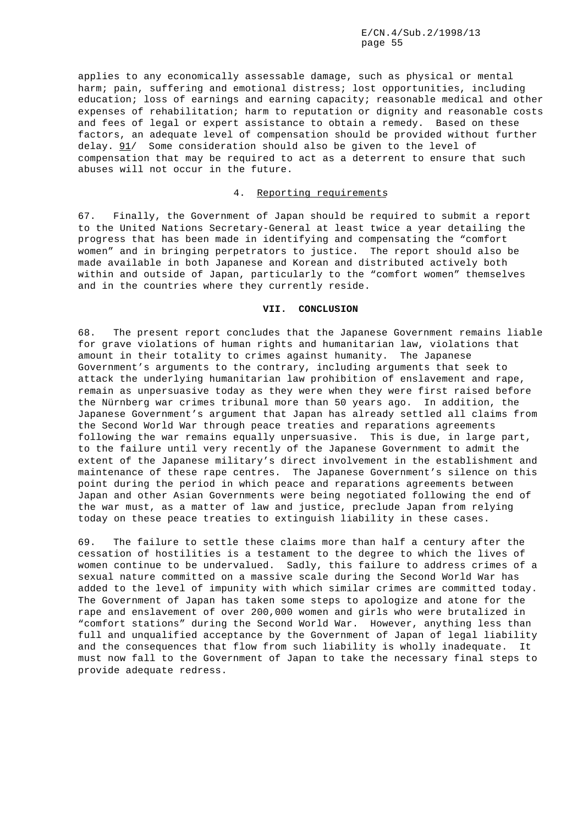applies to any economically assessable damage, such as physical or mental harm; pain, suffering and emotional distress; lost opportunities, including education; loss of earnings and earning capacity; reasonable medical and other expenses of rehabilitation; harm to reputation or dignity and reasonable costs and fees of legal or expert assistance to obtain a remedy. Based on these factors, an adequate level of compensation should be provided without further delay. 91/ Some consideration should also be given to the level of compensation that may be required to act as a deterrent to ensure that such abuses will not occur in the future.

# 4. Reporting requirements

67. Finally, the Government of Japan should be required to submit a report to the United Nations Secretary-General at least twice a year detailing the progress that has been made in identifying and compensating the "comfort women" and in bringing perpetrators to justice. The report should also be made available in both Japanese and Korean and distributed actively both within and outside of Japan, particularly to the "comfort women" themselves and in the countries where they currently reside.

#### **VII. CONCLUSION**

68. The present report concludes that the Japanese Government remains liable for grave violations of human rights and humanitarian law, violations that amount in their totality to crimes against humanity. The Japanese Government's arguments to the contrary, including arguments that seek to attack the underlying humanitarian law prohibition of enslavement and rape, remain as unpersuasive today as they were when they were first raised before the Nürnberg war crimes tribunal more than 50 years ago. In addition, the Japanese Government's argument that Japan has already settled all claims from the Second World War through peace treaties and reparations agreements following the war remains equally unpersuasive. This is due, in large part, to the failure until very recently of the Japanese Government to admit the extent of the Japanese military's direct involvement in the establishment and maintenance of these rape centres. The Japanese Government's silence on this point during the period in which peace and reparations agreements between Japan and other Asian Governments were being negotiated following the end of the war must, as a matter of law and justice, preclude Japan from relying today on these peace treaties to extinguish liability in these cases.

69. The failure to settle these claims more than half a century after the cessation of hostilities is a testament to the degree to which the lives of women continue to be undervalued. Sadly, this failure to address crimes of a sexual nature committed on a massive scale during the Second World War has added to the level of impunity with which similar crimes are committed today. The Government of Japan has taken some steps to apologize and atone for the rape and enslavement of over 200,000 women and girls who were brutalized in "comfort stations" during the Second World War. However, anything less than full and unqualified acceptance by the Government of Japan of legal liability and the consequences that flow from such liability is wholly inadequate. It must now fall to the Government of Japan to take the necessary final steps to provide adequate redress.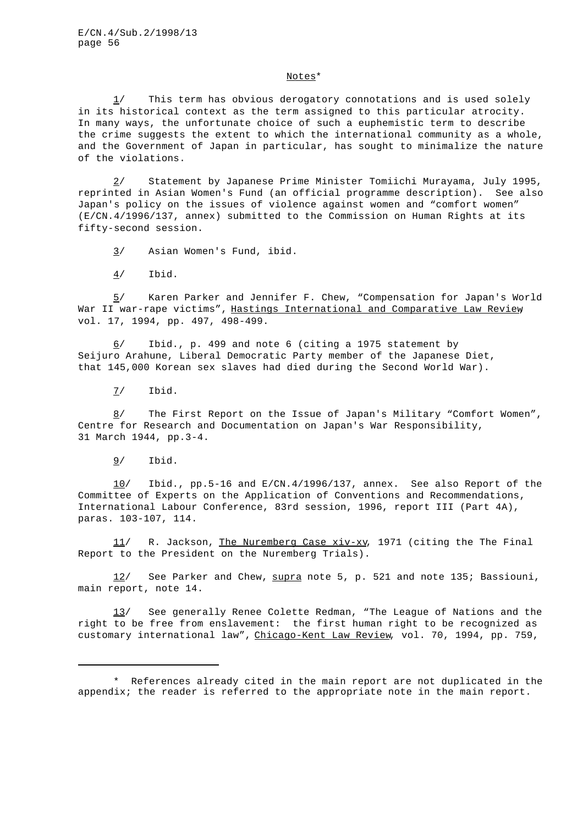#### Notes\*

 $1/$  This term has obvious derogatory connotations and is used solely in its historical context as the term assigned to this particular atrocity. In many ways, the unfortunate choice of such a euphemistic term to describe the crime suggests the extent to which the international community as a whole, and the Government of Japan in particular, has sought to minimalize the nature of the violations.

2/ Statement by Japanese Prime Minister Tomiichi Murayama, July 1995, reprinted in Asian Women's Fund (an official programme description). See also Japan's policy on the issues of violence against women and "comfort women" (E/CN.4/1996/137, annex) submitted to the Commission on Human Rights at its fifty-second session.

3/ Asian Women's Fund, ibid.

4/ Ibid.

5/ Karen Parker and Jennifer F. Chew, "Compensation for Japan's World War II war-rape victims", Hastings International and Comparative Law Review vol. 17, 1994, pp. 497, 498-499.

 $6/$  Ibid., p. 499 and note 6 (citing a 1975 statement by Seijuro Arahune, Liberal Democratic Party member of the Japanese Diet, that 145,000 Korean sex slaves had died during the Second World War).

 $7/$  Ibid.

8/ The First Report on the Issue of Japan's Military "Comfort Women", Centre for Research and Documentation on Japan's War Responsibility, 31 March 1944, pp.3-4.

9/ Ibid.

10/ Ibid., pp.5-16 and E/CN.4/1996/137, annex. See also Report of the Committee of Experts on the Application of Conventions and Recommendations, International Labour Conference, 83rd session, 1996, report III (Part 4A), paras. 103-107, 114.

11/ R. Jackson, The Nuremberg Case xiv-xv, 1971 (citing the The Final Report to the President on the Nuremberg Trials).

12/ See Parker and Chew, supra note 5, p. 521 and note 135; Bassiouni, main report, note 14.

13/ See generally Renee Colette Redman, "The League of Nations and the right to be free from enslavement: the first human right to be recognized as customary international law", Chicago-Kent Law Review, vol. 70, 1994, pp. 759,

<sup>\*</sup> References already cited in the main report are not duplicated in the appendix; the reader is referred to the appropriate note in the main report.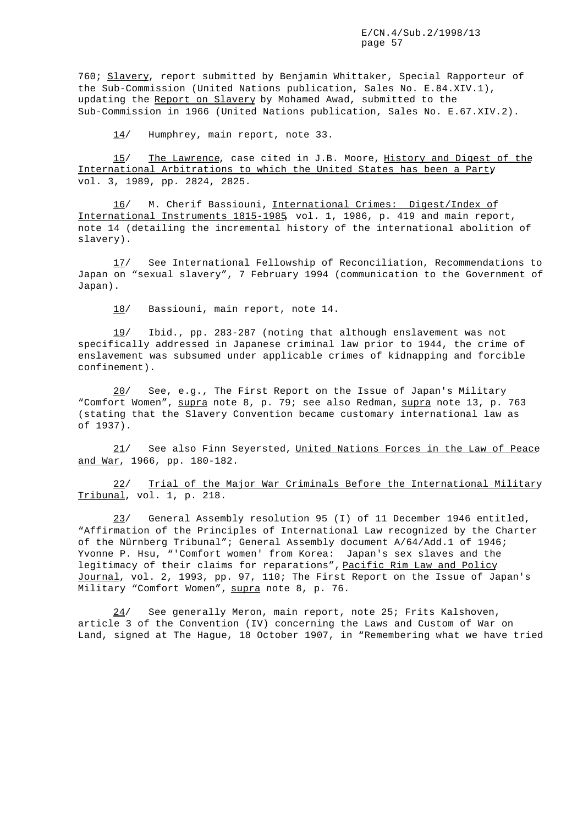760; Slavery, report submitted by Benjamin Whittaker, Special Rapporteur of the Sub-Commission (United Nations publication, Sales No. E.84.XIV.1), updating the Report on Slavery by Mohamed Awad, submitted to the Sub-Commission in 1966 (United Nations publication, Sales No. E.67.XIV.2).

14/ Humphrey, main report, note 33.

15/ The Lawrence, case cited in J.B. Moore, History and Digest of the International Arbitrations to which the United States has been a Party, vol. 3, 1989, pp. 2824, 2825.

16/ M. Cherif Bassiouni, International Crimes: Digest/Index of International Instruments 1815-1985, vol. 1, 1986, p. 419 and main report, note 14 (detailing the incremental history of the international abolition of slavery).

17/ See International Fellowship of Reconciliation, Recommendations to Japan on "sexual slavery", 7 February 1994 (communication to the Government of Japan).

18/ Bassiouni, main report, note 14.

19/ Ibid., pp. 283-287 (noting that although enslavement was not specifically addressed in Japanese criminal law prior to 1944, the crime of enslavement was subsumed under applicable crimes of kidnapping and forcible confinement).

20/ See, e.g., The First Report on the Issue of Japan's Military "Comfort Women", supra note 8, p. 79; see also Redman, supra note 13, p. 763 (stating that the Slavery Convention became customary international law as of 1937).

21/ See also Finn Seyersted, United Nations Forces in the Law of Peace and War, 1966, pp. 180-182.

22/ Trial of the Major War Criminals Before the International Military Tribunal, vol. 1, p. 218.

23/ General Assembly resolution 95 (I) of 11 December 1946 entitled, "Affirmation of the Principles of International Law recognized by the Charter of the Nürnberg Tribunal"; General Assembly document A/64/Add.1 of 1946; Yvonne P. Hsu, "'Comfort women' from Korea: Japan's sex slaves and the legitimacy of their claims for reparations", Pacific Rim Law and Policy Journal, vol. 2, 1993, pp. 97, 110; The First Report on the Issue of Japan's Military "Comfort Women", supra note 8, p. 76.

24/ See generally Meron, main report, note 25; Frits Kalshoven, article 3 of the Convention (IV) concerning the Laws and Custom of War on Land, signed at The Hague, 18 October 1907, in "Remembering what we have tried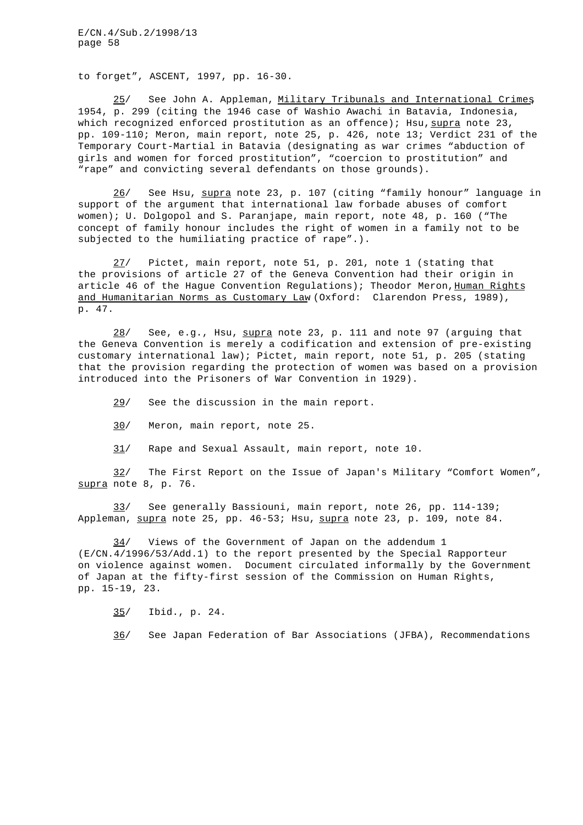to forget", ASCENT, 1997, pp. 16-30.

25/ See John A. Appleman, Military Tribunals and International Crimes, 1954, p. 299 (citing the 1946 case of Washio Awachi in Batavia, Indonesia, which recognized enforced prostitution as an offence); Hsu, supra note 23, pp. 109-110; Meron, main report, note 25, p. 426, note 13; Verdict 231 of the Temporary Court-Martial in Batavia (designating as war crimes "abduction of girls and women for forced prostitution", "coercion to prostitution" and "rape" and convicting several defendants on those grounds).

26/ See Hsu, supra note 23, p. 107 (citing "family honour" language in support of the argument that international law forbade abuses of comfort women); U. Dolgopol and S. Paranjape, main report, note 48, p. 160 ("The concept of family honour includes the right of women in a family not to be subjected to the humiliating practice of rape".).

27/ Pictet, main report, note 51, p. 201, note 1 (stating that the provisions of article 27 of the Geneva Convention had their origin in article 46 of the Hague Convention Regulations); Theodor Meron, Human Rights and Humanitarian Norms as Customary Law (Oxford: Clarendon Press, 1989), p. 47.

28/ See, e.g., Hsu, supra note 23, p. 111 and note 97 (arguing that the Geneva Convention is merely a codification and extension of pre-existing customary international law); Pictet, main report, note 51, p. 205 (stating that the provision regarding the protection of women was based on a provision introduced into the Prisoners of War Convention in 1929).

29/ See the discussion in the main report.

30/ Meron, main report, note 25.

31/ Rape and Sexual Assault, main report, note 10.

32/ The First Report on the Issue of Japan's Military "Comfort Women", supra note 8, p. 76.

33/ See generally Bassiouni, main report, note 26, pp. 114-139; Appleman, supra note 25, pp. 46-53; Hsu, supra note 23, p. 109, note 84.

34/ Views of the Government of Japan on the addendum 1 (E/CN.4/1996/53/Add.1) to the report presented by the Special Rapporteur on violence against women. Document circulated informally by the Government of Japan at the fifty-first session of the Commission on Human Rights, pp. 15-19, 23.

35/ Ibid., p. 24.

36/ See Japan Federation of Bar Associations (JFBA), Recommendations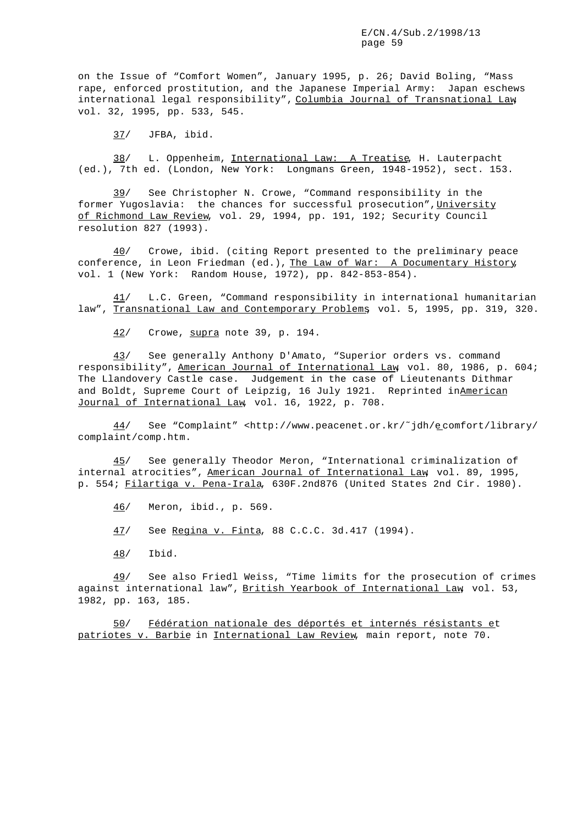on the Issue of "Comfort Women", January 1995, p. 26; David Boling, "Mass rape, enforced prostitution, and the Japanese Imperial Army: Japan eschews international legal responsibility", Columbia Journal of Transnational Law, vol. 32, 1995, pp. 533, 545.

37/ JFBA, ibid.

38/ L. Oppenheim, International Law: A Treatise, H. Lauterpacht (ed.), 7th ed. (London, New York: Longmans Green, 1948-1952), sect. 153.

39/ See Christopher N. Crowe, "Command responsibility in the former Yugoslavia: the chances for successful prosecution", University of Richmond Law Review, vol. 29, 1994, pp. 191, 192; Security Council resolution 827 (1993).

40/ Crowe, ibid. (citing Report presented to the preliminary peace conference, in Leon Friedman (ed.), The Law of War: A Documentary History, vol. 1 (New York: Random House, 1972), pp. 842-853-854).

41/ L.C. Green, "Command responsibility in international humanitarian law", Transnational Law and Contemporary Problems, vol. 5, 1995, pp. 319, 320.

42/ Crowe, supra note 39, p. 194.

43/ See generally Anthony D'Amato, "Superior orders vs. command responsibility", American Journal of International Law, vol. 80, 1986, p. 604; The Llandovery Castle case. Judgement in the case of Lieutenants Dithmar and Boldt, Supreme Court of Leipzig, 16 July 1921. Reprinted inAmerican Journal of International Law, vol. 16, 1922, p. 708.

44/ See "Complaint" <http://www.peacenet.or.kr/˜jdh/e comfort/library/ complaint/comp.htm.

45/ See generally Theodor Meron, "International criminalization of internal atrocities", American Journal of International Law, vol. 89, 1995, p. 554; Filartiga v. Pena-Irala, 630F.2nd876 (United States 2nd Cir. 1980).

46/ Meron, ibid., p. 569.

47/ See Regina v. Finta, 88 C.C.C. 3d.417 (1994).

48/ Ibid.

49/ See also Friedl Weiss, "Time limits for the prosecution of crimes against international law", British Yearbook of International Law, vol. 53, 1982, pp. 163, 185.

50/ Fédération nationale des déportés et internés résistants et patriotes v. Barbie in International Law Review, main report, note 70.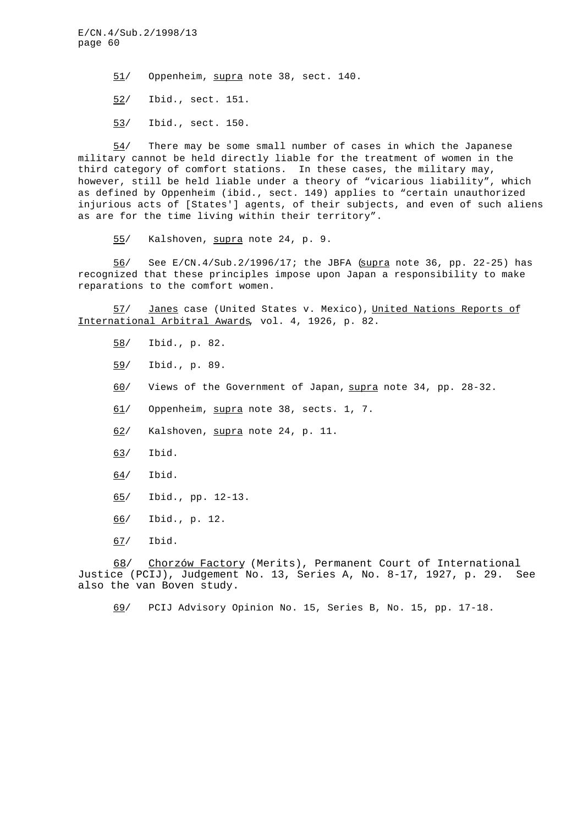51/ Oppenheim, supra note 38, sect. 140.

52/ Ibid., sect. 151.

53/ Ibid., sect. 150.

54/ There may be some small number of cases in which the Japanese military cannot be held directly liable for the treatment of women in the third category of comfort stations. In these cases, the military may, however, still be held liable under a theory of "vicarious liability", which as defined by Oppenheim (ibid., sect. 149) applies to "certain unauthorized injurious acts of [States'] agents, of their subjects, and even of such aliens as are for the time living within their territory".

55/ Kalshoven, supra note 24, p. 9.

56/ See E/CN.4/Sub.2/1996/17; the JBFA (supra note 36, pp. 22-25) has recognized that these principles impose upon Japan a responsibility to make reparations to the comfort women.

57/ Janes case (United States v. Mexico), United Nations Reports of International Arbitral Awards, vol. 4, 1926, p. 82.

58/ Ibid., p. 82.

59/ Ibid., p. 89.

60/ Views of the Government of Japan, supra note 34, pp. 28-32.

61/ Oppenheim, supra note 38, sects. 1, 7.

62/ Kalshoven, supra note 24, p. 11.

- 63/ Ibid.
- 64/ Ibid.
- 65/ Ibid., pp. 12-13.
- 66/ Ibid., p. 12.

67/ Ibid.

68/ Chorzów Factory (Merits), Permanent Court of International Justice (PCIJ), Judgement No. 13, Series A, No. 8-17, 1927, p. 29. See also the van Boven study.

69/ PCIJ Advisory Opinion No. 15, Series B, No. 15, pp. 17-18.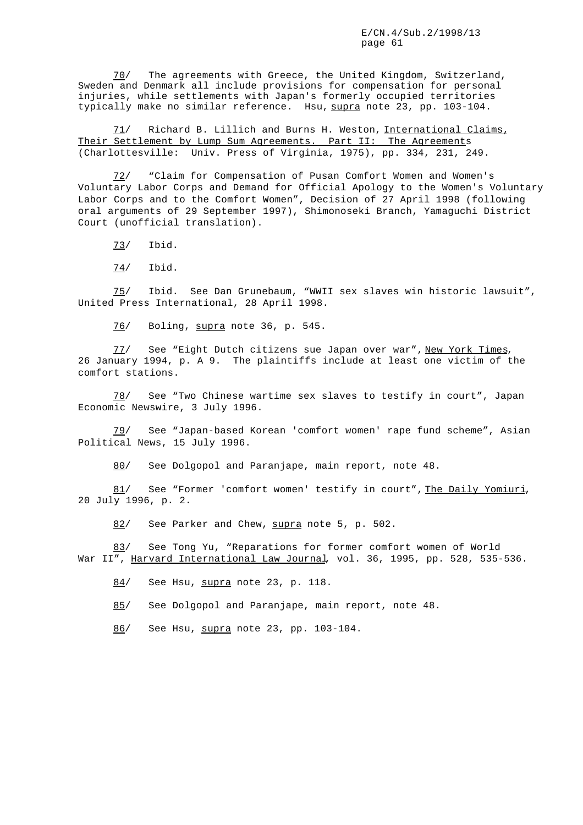70/ The agreements with Greece, the United Kingdom, Switzerland, Sweden and Denmark all include provisions for compensation for personal injuries, while settlements with Japan's formerly occupied territories typically make no similar reference. Hsu, supra note 23, pp. 103-104.

71/ Richard B. Lillich and Burns H. Weston, International Claims, Their Settlement by Lump Sum Agreements. Part II: The Agreements (Charlottesville: Univ. Press of Virginia, 1975), pp. 334, 231, 249.

72/ "Claim for Compensation of Pusan Comfort Women and Women's Voluntary Labor Corps and Demand for Official Apology to the Women's Voluntary Labor Corps and to the Comfort Women", Decision of 27 April 1998 (following oral arguments of 29 September 1997), Shimonoseki Branch, Yamaguchi District Court (unofficial translation).

73/ Ibid.

74/ Ibid.

75/ Ibid. See Dan Grunebaum, "WWII sex slaves win historic lawsuit", United Press International, 28 April 1998.

76/ Boling, supra note 36, p. 545.

77/ See "Eight Dutch citizens sue Japan over war", New York Times, 26 January 1994, p. A 9. The plaintiffs include at least one victim of the comfort stations.

78/ See "Two Chinese wartime sex slaves to testify in court", Japan Economic Newswire, 3 July 1996.

79/ See "Japan-based Korean 'comfort women' rape fund scheme", Asian Political News, 15 July 1996.

80/ See Dolgopol and Paranjape, main report, note 48.

81/ See "Former 'comfort women' testify in court", The Daily Yomiuri, 20 July 1996, p. 2.

82/ See Parker and Chew, supra note 5, p. 502.

83/ See Tong Yu, "Reparations for former comfort women of World War II", Harvard International Law Journal, vol. 36, 1995, pp. 528, 535-536.

84/ See Hsu, supra note 23, p. 118.

85/ See Dolgopol and Paranjape, main report, note 48.

86/ See Hsu, supra note 23, pp. 103-104.